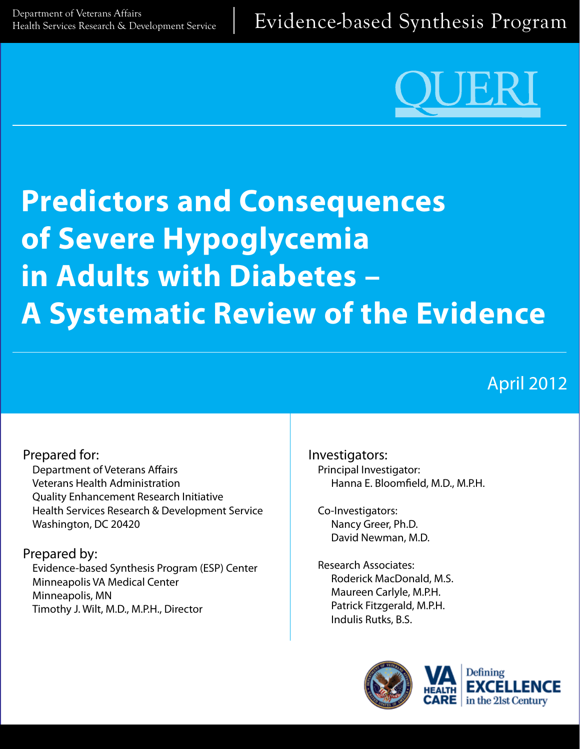[Department of Veterans Affairs](http://www.hsrd.research.va.gov/)<br>Health Services Research & Development Service | Evidence-based Synthesis Program



# **Predictors and Consequences of Severe Hypoglycemia in Adults with Diabetes – A Systematic Review of the Evidence**

# April 2012

## Prepared for: Department of Veterans Affairs Veterans Health Administration Quality Enhancement Research Initiative Health Services Research & Development Service Washington, DC 20420

Prepared by: Evidence-based Synthesis Program (ESP) Center Minneapolis VA Medical Center Minneapolis, MN Timothy J. Wilt, M.D., M.P.H., Director

Investigators: Principal Investigator: Hanna E. Bloomfield, M.D., M.P.H.

Co-Investigators: Nancy Greer, Ph.D. David Newman, M.D.

Research Associates: Roderick MacDonald, M.S. Maureen Carlyle, M.P.H. Patrick Fitzgerald, M.P.H. Indulis Rutks, B.S.



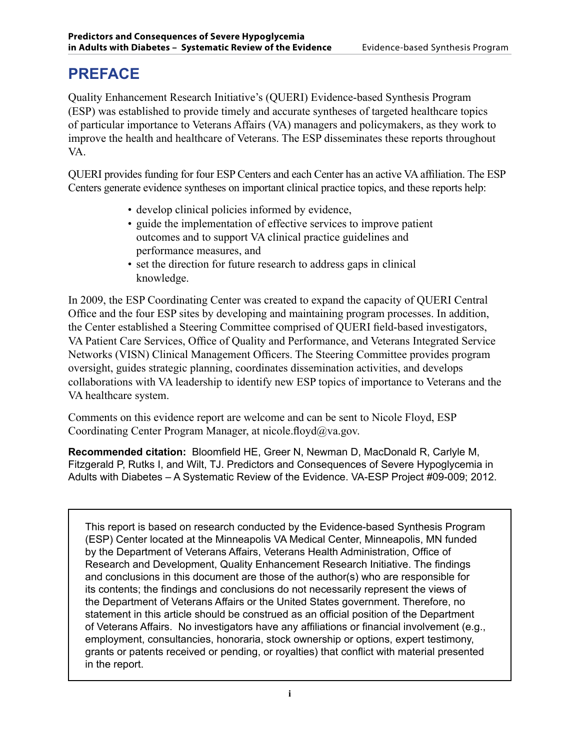# **PREFACE**

Quality Enhancement Research Initiative's (QUERI) Evidence-based Synthesis Program (ESP) was established to provide timely and accurate syntheses of targeted healthcare topics of particular importance to Veterans Affairs (VA) managers and policymakers, as they work to improve the health and healthcare of Veterans. The ESP disseminates these reports throughout VA.

QUERI provides funding for four ESP Centers and each Center has an active VA affiliation. The ESP Centers generate evidence syntheses on important clinical practice topics, and these reports help:

- develop clinical policies informed by evidence,
- guide the implementation of effective services to improve patient outcomes and to support VA clinical practice guidelines and performance measures, and
- set the direction for future research to address gaps in clinical knowledge.

In 2009, the ESP Coordinating Center was created to expand the capacity of QUERI Central Office and the four ESP sites by developing and maintaining program processes. In addition, the Center established a Steering Committee comprised of QUERI field-based investigators, VA Patient Care Services, Office of Quality and Performance, and Veterans Integrated Service Networks (VISN) Clinical Management Officers. The Steering Committee provides program oversight, guides strategic planning, coordinates dissemination activities, and develops collaborations with VA leadership to identify new ESP topics of importance to Veterans and the VA healthcare system.

Comments on this evidence report are welcome and can be sent to Nicole Floyd, ESP Coordinating Center Program Manager, at nicole.floyd@va.gov.

**Recommended citation:** Bloomfield HE, Greer N, Newman D, MacDonald R, Carlyle M, Fitzgerald P, Rutks I, and Wilt, TJ. Predictors and Consequences of Severe Hypoglycemia in Adults with Diabetes – A Systematic Review of the Evidence. VA-ESP Project #09-009; 2012.

This report is based on research conducted by the Evidence-based Synthesis Program (ESP) Center located at the Minneapolis VA Medical Center, Minneapolis, MN funded by the Department of Veterans Affairs, Veterans Health Administration, Office of Research and Development, Quality Enhancement Research Initiative. The findings and conclusions in this document are those of the author(s) who are responsible for its contents; the findings and conclusions do not necessarily represent the views of the Department of Veterans Affairs or the United States government. Therefore, no statement in this article should be construed as an official position of the Department of Veterans Affairs. No investigators have any affiliations or financial involvement (e.g., employment, consultancies, honoraria, stock ownership or options, expert testimony, grants or patents received or pending, or royalties) that conflict with material presented in the report.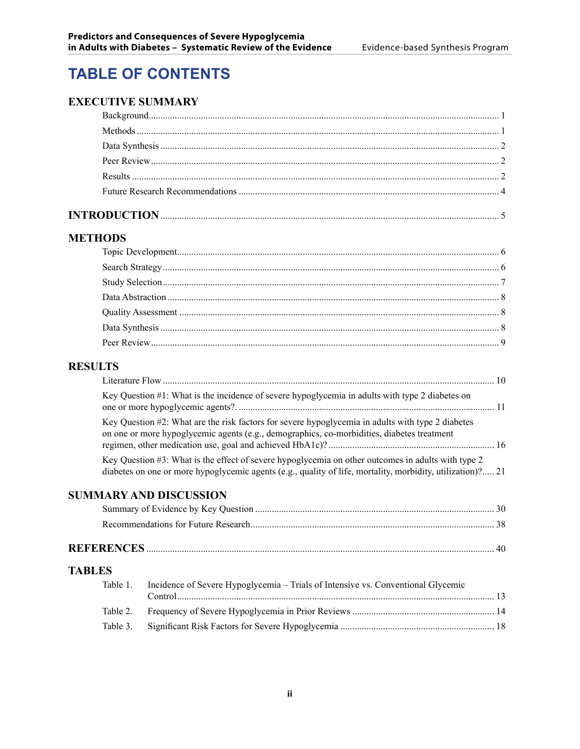# **TABLE OF CONTENTS**

## **EXECUTIVE SUMMARY**

| $\textbf{Methods} \textcolor{red}{\textbf{1}} \textcolor{red}{\textbf{1}} \textcolor{red}{\textbf{1}} \textcolor{red}{\textbf{1}}$ |  |
|------------------------------------------------------------------------------------------------------------------------------------|--|
|                                                                                                                                    |  |
|                                                                                                                                    |  |
|                                                                                                                                    |  |
|                                                                                                                                    |  |
|                                                                                                                                    |  |

## 

#### **METHODS**

#### **RESULTS**

|                                                                                                                                                   | Key Question #2: What are the risk factors for severe hypoglycemia in adults with type 2 diabetes<br>on one or more hypoglycemic agents (e.g., demographics, co-morbidities, diabetes treatment<br>Key Question #3: What is the effect of severe hypoglycemia on other outcomes in adults with type 2<br>diabetes on one or more hypoglycemic agents (e.g., quality of life, mortality, morbidity, utilization)? 21<br>Incidence of Severe Hypoglycemia – Trials of Intensive vs. Conventional Glycemic<br>Table 1.<br>Control |  |    |
|---------------------------------------------------------------------------------------------------------------------------------------------------|--------------------------------------------------------------------------------------------------------------------------------------------------------------------------------------------------------------------------------------------------------------------------------------------------------------------------------------------------------------------------------------------------------------------------------------------------------------------------------------------------------------------------------|--|----|
| Key Question #1: What is the incidence of severe hypoglycemia in adults with type 2 diabetes on<br><b>SUMMARY AND DISCUSSION</b><br><b>TABLES</b> |                                                                                                                                                                                                                                                                                                                                                                                                                                                                                                                                |  |    |
|                                                                                                                                                   |                                                                                                                                                                                                                                                                                                                                                                                                                                                                                                                                |  |    |
|                                                                                                                                                   |                                                                                                                                                                                                                                                                                                                                                                                                                                                                                                                                |  | 12 |

| $\ldots$ |  |
|----------|--|
|          |  |
|          |  |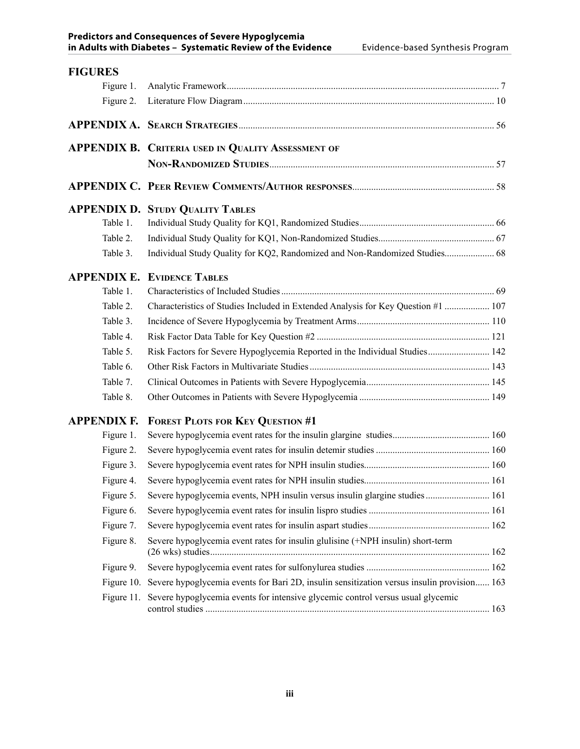**Predictors and Consequences of Severe Hypoglycemia in Adults with Diabetes – Systematic Review of the Evidence** Evidence-based Synthesis Program

| <b>FIGURES</b>     |                                                                                                       |  |
|--------------------|-------------------------------------------------------------------------------------------------------|--|
| Figure 1.          |                                                                                                       |  |
| Figure 2.          |                                                                                                       |  |
|                    |                                                                                                       |  |
|                    | APPENDIX B. CRITERIA USED IN QUALITY ASSESSMENT OF                                                    |  |
|                    |                                                                                                       |  |
|                    |                                                                                                       |  |
|                    | <b>APPENDIX D. STUDY QUALITY TABLES</b>                                                               |  |
| Table 1.           |                                                                                                       |  |
| Table 2.           |                                                                                                       |  |
| Table 3.           | Individual Study Quality for KQ2, Randomized and Non-Randomized Studies 68                            |  |
| <b>APPENDIX E.</b> | <b>EVIDENCE TABLES</b>                                                                                |  |
| Table 1.           |                                                                                                       |  |
| Table 2.           | Characteristics of Studies Included in Extended Analysis for Key Question #1  107                     |  |
| Table 3.           |                                                                                                       |  |
| Table 4.           |                                                                                                       |  |
| Table 5.           | Risk Factors for Severe Hypoglycemia Reported in the Individual Studies 142                           |  |
| Table 6.           |                                                                                                       |  |
| Table 7.           |                                                                                                       |  |
| Table 8.           |                                                                                                       |  |
| <b>APPENDIX F.</b> | <b>FOREST PLOTS FOR KEY QUESTION #1</b>                                                               |  |
| Figure 1.          |                                                                                                       |  |
| Figure 2.          |                                                                                                       |  |
| Figure 3.          |                                                                                                       |  |
| Figure 4.          |                                                                                                       |  |
| Figure 5.          | Severe hypoglycemia events, NPH insulin versus insulin glargine studies 161                           |  |
| Figure 6.          |                                                                                                       |  |
| Figure 7.          |                                                                                                       |  |
| Figure 8.          | Severe hypoglycemia event rates for insulin glulisine (+NPH insulin) short-term                       |  |
| Figure 9.          |                                                                                                       |  |
|                    | Figure 10. Severe hypoglycemia events for Bari 2D, insulin sensitization versus insulin provision 163 |  |
|                    | Figure 11. Severe hypoglycemia events for intensive glycemic control versus usual glycemic            |  |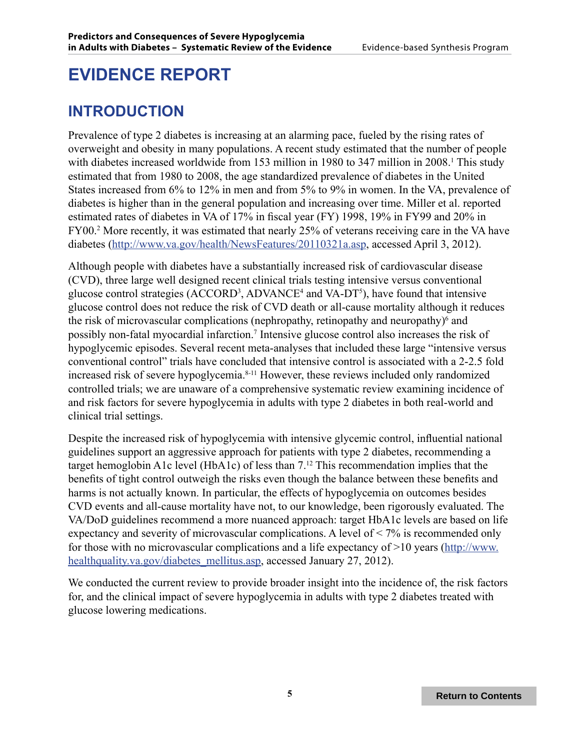# <span id="page-4-0"></span>**EVIDENCE REPORT**

# **INTRODUCTION**

Prevalence of type 2 diabetes is increasing at an alarming pace, fueled by the rising rates of overweight and obesity in many populations. A recent study estimated that the number of people with diabetes increased worldwide from 153 million in 1980 to 347 million in 2008.<sup>1</sup> This study estimated that from 1980 to 2008, the age standardized prevalence of diabetes in the United States increased from 6% to 12% in men and from 5% to 9% in women. In the VA, prevalence of diabetes is higher than in the general population and increasing over time. Miller et al. reported estimated rates of diabetes in VA of 17% in fiscal year (FY) 1998, 19% in FY99 and 20% in FY00.<sup>2</sup> More recently, it was estimated that nearly 25% of veterans receiving care in the VA have diabetes (http://www.va.gov/health/NewsFeatures/20110321a.asp, accessed April 3, 2012).

Although people with diabetes have a substantially increased risk of cardiovascular disease (CVD), three large well designed recent clinical trials testing intensive versus conventional glucose control strategies  $(ACCORD<sup>3</sup>, ADVANCE<sup>4</sup> and VA-DT<sup>5</sup>)$ , have found that intensive glucose control does not reduce the risk of CVD death or all-cause mortality although it reduces the risk of microvascular complications (nephropathy, retinopathy and neuropathy)<sup>6</sup> and possibly non-fatal myocardial infarction.7 Intensive glucose control also increases the risk of hypoglycemic episodes. Several recent meta-analyses that included these large "intensive versus conventional control" trials have concluded that intensive control is associated with a 2-2.5 fold increased risk of severe hypoglycemia.<sup>8-11</sup> However, these reviews included only randomized controlled trials; we are unaware of a comprehensive systematic review examining incidence of and risk factors for severe hypoglycemia in adults with type 2 diabetes in both real-world and clinical trial settings.

Despite the increased risk of hypoglycemia with intensive glycemic control, influential national guidelines support an aggressive approach for patients with type 2 diabetes, recommending a target hemoglobin A1c level (HbA1c) of less than 7.12 This recommendation implies that the benefits of tight control outweigh the risks even though the balance between these benefits and harms is not actually known. In particular, the effects of hypoglycemia on outcomes besides CVD events and all-cause mortality have not, to our knowledge, been rigorously evaluated. The VA/DoD guidelines recommend a more nuanced approach: target HbA1c levels are based on life expectancy and severity of microvascular complications. A level of < 7% is recommended only for those with no microvascular complications and a life expectancy of >10 years (http://www. healthquality.va.gov/diabetes\_mellitus.asp, accessed January 27, 2012).

We conducted the current review to provide broader insight into the incidence of, the risk factors for, and the clinical impact of severe hypoglycemia in adults with type 2 diabetes treated with glucose lowering medications.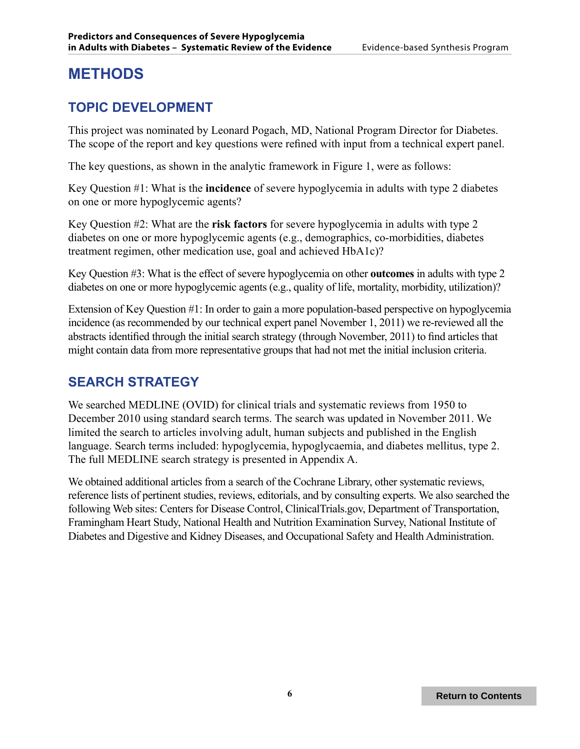# <span id="page-5-0"></span>**METHODS**

## **TOPIC DEVELOPMENT**

This project was nominated by Leonard Pogach, MD, National Program Director for Diabetes. The scope of the report and key questions were refined with input from a technical expert panel.

The key questions, as shown in the analytic framework in Figure 1, were as follows:

Key Question #1: What is the **incidence** of severe hypoglycemia in adults with type 2 diabetes on one or more hypoglycemic agents?

Key Question #2: What are the **risk factors** for severe hypoglycemia in adults with type 2 diabetes on one or more hypoglycemic agents (e.g., demographics, co-morbidities, diabetes treatment regimen, other medication use, goal and achieved HbA1c)?

Key Question #3: What is the effect of severe hypoglycemia on other **outcomes** in adults with type 2 diabetes on one or more hypoglycemic agents (e.g., quality of life, mortality, morbidity, utilization)?

Extension of Key Question #1: In order to gain a more population-based perspective on hypoglycemia incidence (as recommended by our technical expert panel November 1, 2011) we re-reviewed all the abstracts identified through the initial search strategy (through November, 2011) to find articles that might contain data from more representative groups that had not met the initial inclusion criteria.

## **SEARCH STRATEGY**

We searched MEDLINE (OVID) for clinical trials and systematic reviews from 1950 to December 2010 using standard search terms. The search was updated in November 2011. We limited the search to articles involving adult, human subjects and published in the English language. Search terms included: hypoglycemia, hypoglycaemia, and diabetes mellitus, type 2. The full MEDLINE search strategy is presented in Appendix A.

We obtained additional articles from a search of the Cochrane Library, other systematic reviews, reference lists of pertinent studies, reviews, editorials, and by consulting experts. We also searched the following Web sites: Centers for Disease Control, ClinicalTrials.gov, Department of Transportation, Framingham Heart Study, National Health and Nutrition Examination Survey, National Institute of Diabetes and Digestive and Kidney Diseases, and Occupational Safety and Health Administration.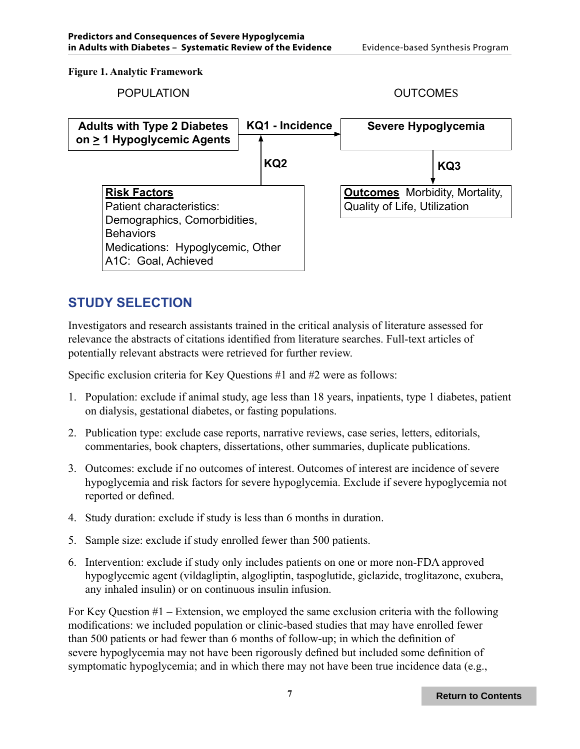<span id="page-6-0"></span>**Figure 1. Analytic Framework**

POPULATION

**OUTCOMES** 



## **STUDY SELECTION**

Investigators and research assistants trained in the critical analysis of literature assessed for relevance the abstracts of citations identified from literature searches. Full-text articles of potentially relevant abstracts were retrieved for further review.

Specific exclusion criteria for Key Questions #1 and #2 were as follows:

- 1. Population: exclude if animal study, age less than 18 years, inpatients, type 1 diabetes, patient on dialysis, gestational diabetes, or fasting populations.
- 2. Publication type: exclude case reports, narrative reviews, case series, letters, editorials, commentaries, book chapters, dissertations, other summaries, duplicate publications.
- 3. Outcomes: exclude if no outcomes of interest. Outcomes of interest are incidence of severe hypoglycemia and risk factors for severe hypoglycemia. Exclude if severe hypoglycemia not reported or defined.
- 4. Study duration: exclude if study is less than 6 months in duration.
- 5. Sample size: exclude if study enrolled fewer than 500 patients.
- 6. Intervention: exclude if study only includes patients on one or more non-FDA approved hypoglycemic agent (vildagliptin, algogliptin, taspoglutide, giclazide, troglitazone, exubera, any inhaled insulin) or on continuous insulin infusion.

For Key Question #1 – Extension, we employed the same exclusion criteria with the following modifications: we included population or clinic-based studies that may have enrolled fewer than 500 patients or had fewer than 6 months of follow-up; in which the definition of severe hypoglycemia may not have been rigorously defined but included some definition of symptomatic hypoglycemia; and in which there may not have been true incidence data (e.g.,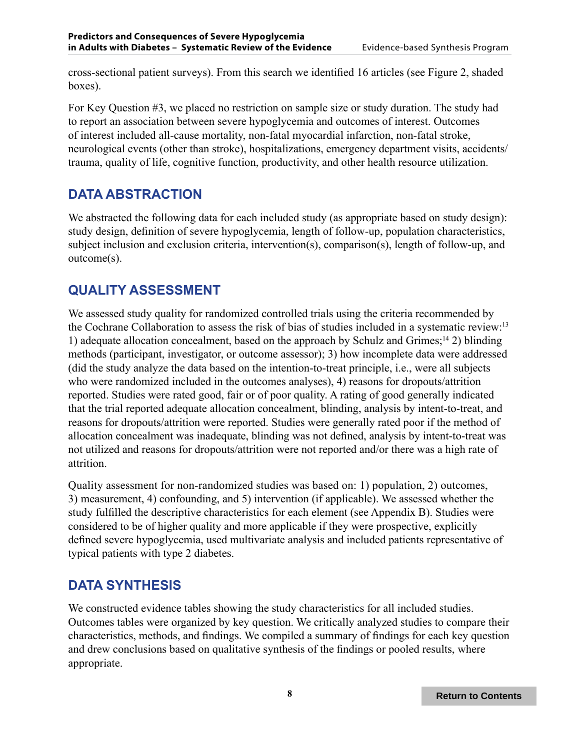<span id="page-7-0"></span>cross-sectional patient surveys). From this search we identified 16 articles (see Figure 2, shaded boxes).

For Key Question #3, we placed no restriction on sample size or study duration. The study had to report an association between severe hypoglycemia and outcomes of interest. Outcomes of interest included all-cause mortality, non-fatal myocardial infarction, non-fatal stroke, neurological events (other than stroke), hospitalizations, emergency department visits, accidents/ trauma, quality of life, cognitive function, productivity, and other health resource utilization.

## **DATA ABSTRACTION**

We abstracted the following data for each included study (as appropriate based on study design): study design, definition of severe hypoglycemia, length of follow-up, population characteristics, subject inclusion and exclusion criteria, intervention(s), comparison(s), length of follow-up, and outcome(s).

## **QUALITY ASSESSMENT**

We assessed study quality for randomized controlled trials using the criteria recommended by the Cochrane Collaboration to assess the risk of bias of studies included in a systematic review:13 1) adequate allocation concealment, based on the approach by Schulz and Grimes;14 2) blinding methods (participant, investigator, or outcome assessor); 3) how incomplete data were addressed (did the study analyze the data based on the intention-to-treat principle, i.e., were all subjects who were randomized included in the outcomes analyses), 4) reasons for dropouts/attrition reported. Studies were rated good, fair or of poor quality. A rating of good generally indicated that the trial reported adequate allocation concealment, blinding, analysis by intent-to-treat, and reasons for dropouts/attrition were reported. Studies were generally rated poor if the method of allocation concealment was inadequate, blinding was not defined, analysis by intent-to-treat was not utilized and reasons for dropouts/attrition were not reported and/or there was a high rate of attrition.

Quality assessment for non-randomized studies was based on: 1) population, 2) outcomes, 3) measurement, 4) confounding, and 5) intervention (if applicable). We assessed whether the study fulfilled the descriptive characteristics for each element (see Appendix B). Studies were considered to be of higher quality and more applicable if they were prospective, explicitly defined severe hypoglycemia, used multivariate analysis and included patients representative of typical patients with type 2 diabetes.

## **DATA SYNTHESIS**

We constructed evidence tables showing the study characteristics for all included studies. Outcomes tables were organized by key question. We critically analyzed studies to compare their characteristics, methods, and findings. We compiled a summary of findings for each key question and drew conclusions based on qualitative synthesis of the findings or pooled results, where appropriate.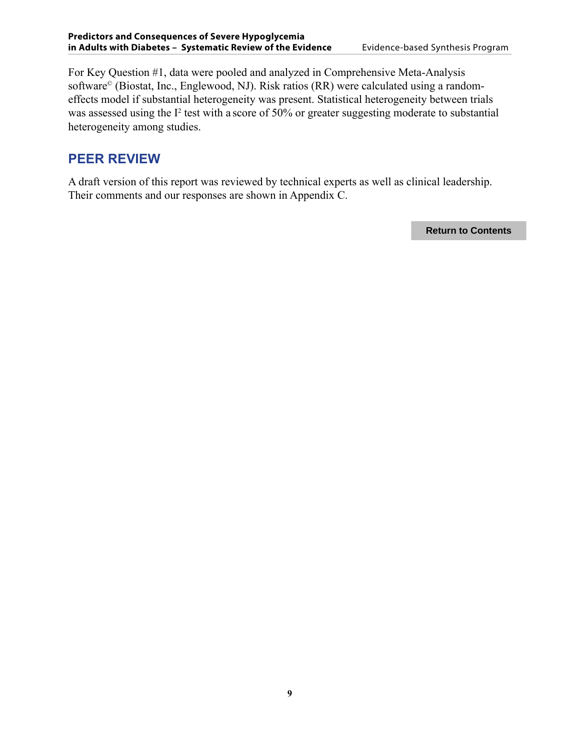<span id="page-8-0"></span>For Key Question #1, data were pooled and analyzed in Comprehensive Meta-Analysis software<sup>©</sup> (Biostat, Inc., Englewood, NJ). Risk ratios (RR) were calculated using a randomeffects model if substantial heterogeneity was present. Statistical heterogeneity between trials was assessed using the I<sup>2</sup> test with a score of 50% or greater suggesting moderate to substantial heterogeneity among studies.

## **PEER REVIEW**

A draft version of this report was reviewed by technical experts as well as clinical leadership. Their comments and our responses are shown in Appendix C.

**Return to Contents**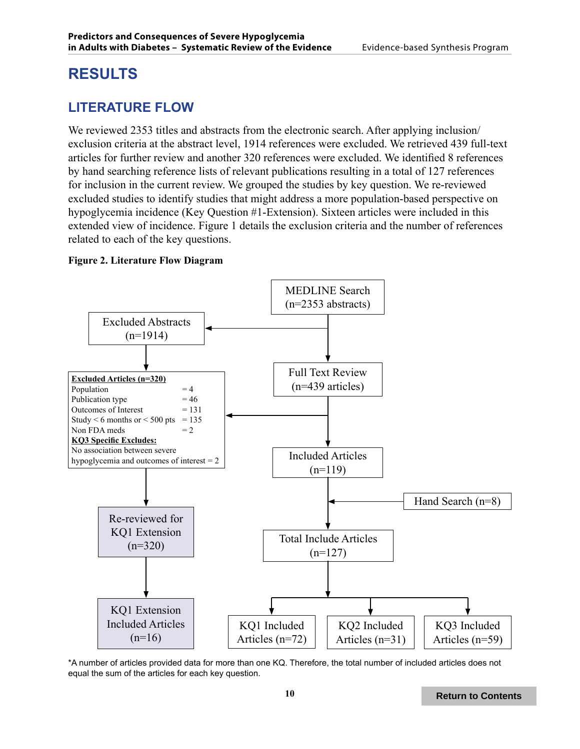# <span id="page-9-0"></span>**RESULTS**

## **LITERATURE FLOW**

We reviewed 2353 titles and abstracts from the electronic search. After applying inclusion exclusion criteria at the abstract level, 1914 references were excluded. We retrieved 439 full-text articles for further review and another 320 references were excluded. We identified 8 references by hand searching reference lists of relevant publications resulting in a total of 127 references for inclusion in the current review. We grouped the studies by key question. We re-reviewed excluded studies to identify studies that might address a more population-based perspective on hypoglycemia incidence (Key Question #1-Extension). Sixteen articles were included in this extended view of incidence. Figure 1 details the exclusion criteria and the number of references related to each of the key questions.

#### **Figure 2. Literature Flow Diagram**



\*A number of articles provided data for more than one KQ. Therefore, the total number of included articles does not equal the sum of the articles for each key question.

**Return to Contents**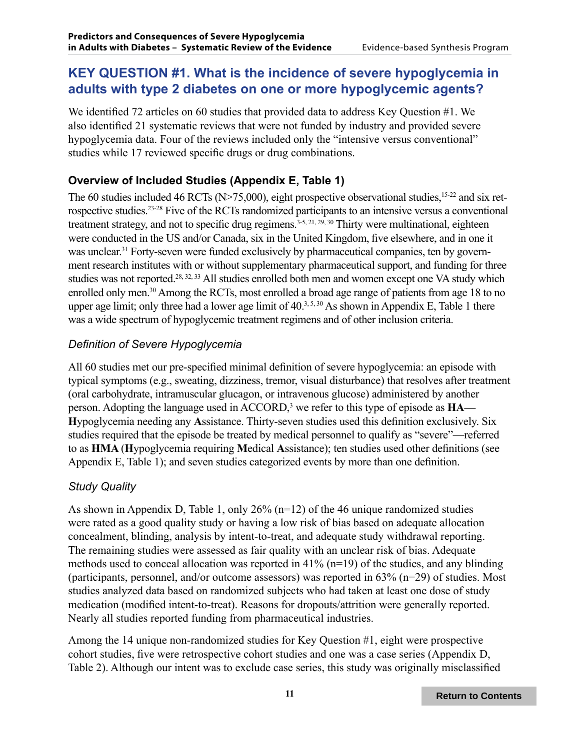## <span id="page-10-0"></span>**KEY QUESTION #1. What is the incidence of severe hypoglycemia in adults with type 2 diabetes on one or more hypoglycemic agents?**

We identified 72 articles on 60 studies that provided data to address Key Question #1. We also identified 21 systematic reviews that were not funded by industry and provided severe hypoglycemia data. Four of the reviews included only the "intensive versus conventional" studies while 17 reviewed specific drugs or drug combinations.

## **Overview of Included Studies (Appendix E, Table 1)**

The 60 studies included 46 RCTs ( $N>75,000$ ), eight prospective observational studies,<sup>15-22</sup> and six retrospective studies.23-28 Five of the RCTs randomized participants to an intensive versus a conventional treatment strategy, and not to specific drug regimens.<sup>3-5, 21, 29, 30</sup> Thirty were multinational, eighteen were conducted in the US and/or Canada, six in the United Kingdom, five elsewhere, and in one it was unclear.<sup>31</sup> Forty-seven were funded exclusively by pharmaceutical companies, ten by government research institutes with or without supplementary pharmaceutical support, and funding for three studies was not reported.<sup>28, 32, 33</sup> All studies enrolled both men and women except one VA study which enrolled only men.<sup>30</sup> Among the RCTs, most enrolled a broad age range of patients from age 18 to no upper age limit; only three had a lower age limit of  $40^{3,5,30}$  As shown in Appendix E, Table 1 there was a wide spectrum of hypoglycemic treatment regimens and of other inclusion criteria.

## *Definition of Severe Hypoglycemia*

All 60 studies met our pre-specified minimal definition of severe hypoglycemia: an episode with typical symptoms (e.g., sweating, dizziness, tremor, visual disturbance) that resolves after treatment (oral carbohydrate, intramuscular glucagon, or intravenous glucose) administered by another person. Adopting the language used in ACCORD,<sup>3</sup> we refer to this type of episode as **HA**— **H**ypoglycemia needing any **A**ssistance. Thirty-seven studies used this definition exclusively. Six studies required that the episode be treated by medical personnel to qualify as "severe"—referred to as **HMA** (**H**ypoglycemia requiring **M**edical **A**ssistance); ten studies used other definitions (see Appendix E, Table 1); and seven studies categorized events by more than one definition.

## *Study Quality*

As shown in Appendix D, Table 1, only  $26\%$  (n=12) of the 46 unique randomized studies were rated as a good quality study or having a low risk of bias based on adequate allocation concealment, blinding, analysis by intent-to-treat, and adequate study withdrawal reporting. The remaining studies were assessed as fair quality with an unclear risk of bias. Adequate methods used to conceal allocation was reported in 41% (n=19) of the studies, and any blinding (participants, personnel, and/or outcome assessors) was reported in 63% (n=29) of studies. Most studies analyzed data based on randomized subjects who had taken at least one dose of study medication (modified intent-to-treat). Reasons for dropouts/attrition were generally reported. Nearly all studies reported funding from pharmaceutical industries.

Among the 14 unique non-randomized studies for Key Question #1, eight were prospective cohort studies, five were retrospective cohort studies and one was a case series (Appendix D, Table 2). Although our intent was to exclude case series, this study was originally misclassified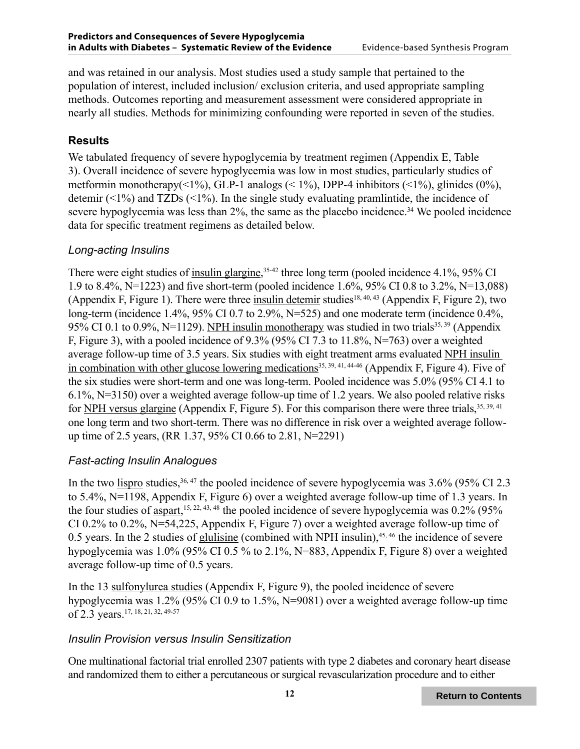and was retained in our analysis. Most studies used a study sample that pertained to the population of interest, included inclusion/ exclusion criteria, and used appropriate sampling methods. Outcomes reporting and measurement assessment were considered appropriate in nearly all studies. Methods for minimizing confounding were reported in seven of the studies.

## **Results**

We tabulated frequency of severe hypoglycemia by treatment regimen (Appendix E, Table 3). Overall incidence of severe hypoglycemia was low in most studies, particularly studies of metformin monotherapy(<1%), GLP-1 analogs (<1%), DPP-4 inhibitors (<1%), glinides (0%), detemir  $(\leq 1\%)$  and TZDs  $(\leq 1\%)$ . In the single study evaluating pramlintide, the incidence of severe hypoglycemia was less than  $2\%$ , the same as the placebo incidence.<sup>34</sup> We pooled incidence data for specific treatment regimens as detailed below.

## *Long-acting Insulins*

There were eight studies of <u>insulin glargine</u>,<sup>35-42</sup> three long term (pooled incidence 4.1%, 95% CI 1.9 to 8.4%, N=1223) and five short-term (pooled incidence 1.6%, 95% CI 0.8 to 3.2%, N=13,088) (Appendix F, Figure 1). There were three insulin detemir studies<sup>18, 40, 43</sup> (Appendix F, Figure 2), two long-term (incidence 1.4%, 95% CI 0.7 to 2.9%, N=525) and one moderate term (incidence 0.4%, 95% CI 0.1 to 0.9%, N=1129). NPH insulin monotherapy was studied in two trials<sup>35, 39</sup> (Appendix F, Figure 3), with a pooled incidence of 9.3% (95% CI 7.3 to 11.8%, N=763) over a weighted average follow-up time of 3.5 years. Six studies with eight treatment arms evaluated NPH insulin in combination with other glucose lowering medications<sup>35, 39, 41, 44-46</sup> (Appendix F, Figure 4). Five of the six studies were short-term and one was long-term. Pooled incidence was 5.0% (95% CI 4.1 to 6.1%, N=3150) over a weighted average follow-up time of 1.2 years. We also pooled relative risks for NPH versus glargine (Appendix F, Figure 5). For this comparison there were three trials,  $35, 39, 41$ one long term and two short-term. There was no difference in risk over a weighted average followup time of 2.5 years, (RR 1.37, 95% CI 0.66 to 2.81, N=2291)

## *Fast-acting Insulin Analogues*

In the two lispro studies,  $36, 47$  the pooled incidence of severe hypoglycemia was  $3.6\%$  (95% CI 2.3) to 5.4%, N=1198, Appendix F, Figure 6) over a weighted average follow-up time of 1.3 years. In the four studies of aspart,  $15, 22, 43, 48$  the pooled incidence of severe hypoglycemia was  $0.2\%$  (95%) CI 0.2% to 0.2%, N=54,225, Appendix F, Figure 7) over a weighted average follow-up time of 0.5 years. In the 2 studies of glulisine (combined with NPH insulin), $45, 46$  the incidence of severe hypoglycemia was 1.0% (95% CI 0.5 % to 2.1%, N=883, Appendix F, Figure 8) over a weighted average follow-up time of 0.5 years.

In the 13 sulfonylurea studies (Appendix F, Figure 9), the pooled incidence of severe hypoglycemia was 1.2% (95% CI 0.9 to 1.5%, N=9081) over a weighted average follow-up time of 2.3 years.17, 18, 21, 32, 49-57

#### *Insulin Provision versus Insulin Sensitization*

One multinational factorial trial enrolled 2307 patients with type 2 diabetes and coronary heart disease and randomized them to either a percutaneous or surgical revascularization procedure and to either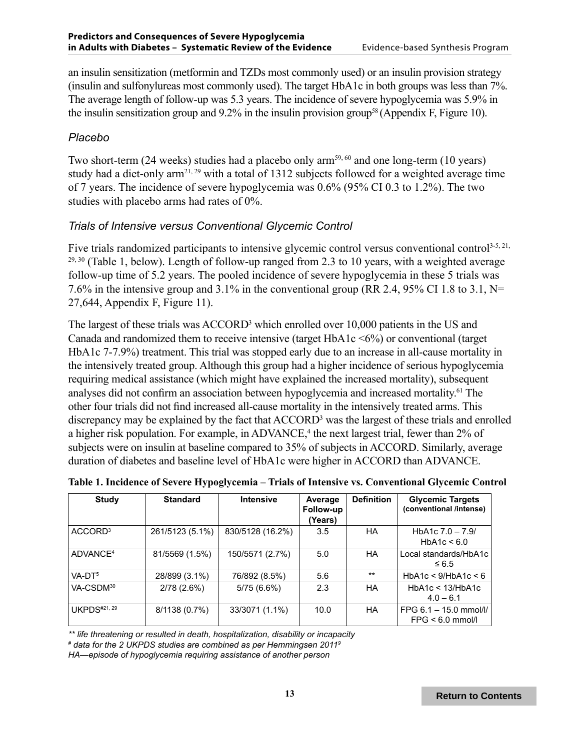<span id="page-12-0"></span>an insulin sensitization (metformin and TZDs most commonly used) or an insulin provision strategy (insulin and sulfonylureas most commonly used). The target HbA1c in both groups was less than 7%. The average length of follow-up was 5.3 years. The incidence of severe hypoglycemia was 5.9% in the insulin sensitization group and 9.2% in the insulin provision group<sup>58</sup> (Appendix F, Figure 10).

## *Placebo*

Two short-term (24 weeks) studies had a placebo only arm<sup>59, 60</sup> and one long-term (10 years) study had a diet-only arm<sup>21, 29</sup> with a total of 1312 subjects followed for a weighted average time of 7 years. The incidence of severe hypoglycemia was 0.6% (95% CI 0.3 to 1.2%). The two studies with placebo arms had rates of 0%.

## *Trials of Intensive versus Conventional Glycemic Control*

Five trials randomized participants to intensive glycemic control versus conventional control<sup>3-5, 21,</sup>  $29,30$  (Table 1, below). Length of follow-up ranged from 2.3 to 10 years, with a weighted average follow-up time of 5.2 years. The pooled incidence of severe hypoglycemia in these 5 trials was 7.6% in the intensive group and 3.1% in the conventional group (RR 2.4, 95% CI 1.8 to 3.1, N= 27,644, Appendix F, Figure 11).

The largest of these trials was ACCORD<sup>3</sup> which enrolled over 10,000 patients in the US and Canada and randomized them to receive intensive (target HbA1c <6%) or conventional (target HbA1c 7-7.9%) treatment. This trial was stopped early due to an increase in all-cause mortality in the intensively treated group. Although this group had a higher incidence of serious hypoglycemia requiring medical assistance (which might have explained the increased mortality), subsequent analyses did not confirm an association between hypoglycemia and increased mortality.61 The other four trials did not find increased all-cause mortality in the intensively treated arms. This discrepancy may be explained by the fact that ACCORD<sup>3</sup> was the largest of these trials and enrolled a higher risk population. For example, in ADVANCE,<sup>4</sup> the next largest trial, fewer than 2% of subjects were on insulin at baseline compared to 35% of subjects in ACCORD. Similarly, average duration of diabetes and baseline level of HbA1c were higher in ACCORD than ADVANCE.

| <b>Study</b>          | <b>Standard</b> | <b>Intensive</b> | Average<br>Follow-up<br>(Years) | <b>Definition</b> | <b>Glycemic Targets</b><br>(conventional /intense) |
|-----------------------|-----------------|------------------|---------------------------------|-------------------|----------------------------------------------------|
| ACCORD <sup>3</sup>   | 261/5123 (5.1%) | 830/5128 (16.2%) | 3.5                             | HA                | HbA1c $7.0 - 7.9$<br>HbA1c < 6.0                   |
| ADVANCE <sup>4</sup>  | 81/5569 (1.5%)  | 150/5571 (2.7%)  | 5.0                             | <b>HA</b>         | Local standards/HbA1c<br>$\leq 6.5$                |
| $VA-DT5$              | 28/899 (3.1%)   | 76/892 (8.5%)    | 5.6                             | $***$             | HbA1c < 9/HbA1c < 6                                |
| VA-CSDM <sup>30</sup> | 2/78(2.6%)      | 5/75(6.6%)       | 2.3                             | HA                | HbA1c < 13/HbA1c<br>$4.0 - 6.1$                    |
| <b>UKPDS#21, 29</b>   | 8/1138 (0.7%)   | 33/3071 (1.1%)   | 10.0                            | HA                | FPG $6.1 - 15.0$ mmol/l/<br>$FPG < 6.0$ mmol/l     |

|  |  |  |  | Table 1. Incidence of Severe Hypoglycemia - Trials of Intensive vs. Conventional Glycemic Control |  |
|--|--|--|--|---------------------------------------------------------------------------------------------------|--|
|  |  |  |  |                                                                                                   |  |

*\*\* life threatening or resulted in death, hospitalization, disability or incapacity*

*# data for the 2 UKPDS studies are combined as per Hemmingsen 2011<sup>9</sup>*

*HA—episode of hypoglycemia requiring assistance of another person*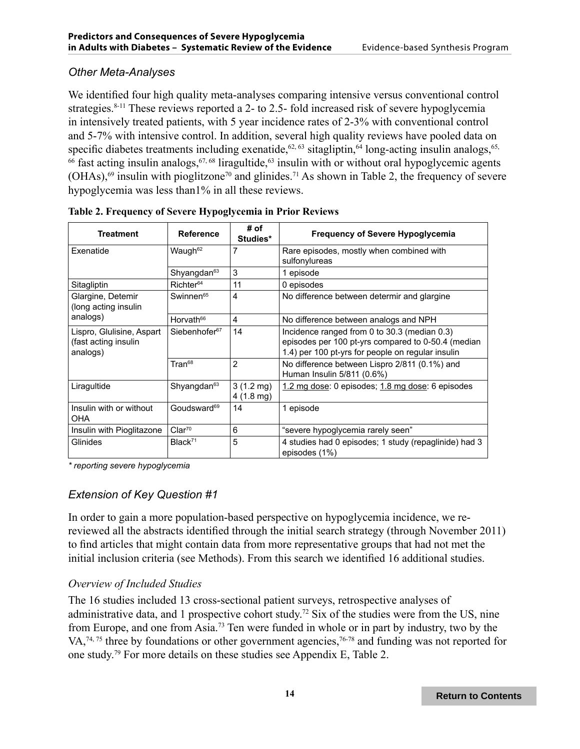#### <span id="page-13-0"></span>*Other Meta-Analyses*

We identified four high quality meta-analyses comparing intensive versus conventional control strategies.<sup>8-11</sup> These reviews reported a 2- to 2.5- fold increased risk of severe hypoglycemia in intensively treated patients, with 5 year incidence rates of 2-3% with conventional control and 5-7% with intensive control. In addition, several high quality reviews have pooled data on specific diabetes treatments including exenatide,<sup>62, 63</sup> sitagliptin,<sup>64</sup> long-acting insulin analogs,<sup>65,</sup>  $66$  fast acting insulin analogs,  $67, 68$  liragultide,  $63$  insulin with or without oral hypoglycemic agents  $(OHAs)$ ,<sup>69</sup> insulin with pioglitzone<sup>70</sup> and glinides.<sup>71</sup> As shown in Table 2, the frequency of severe hypoglycemia was less than1% in all these reviews.

| <b>Treatment</b>                                              | <b>Reference</b>          | # of<br>Studies*                           | <b>Frequency of Severe Hypoglycemia</b>                                                                                                                 |
|---------------------------------------------------------------|---------------------------|--------------------------------------------|---------------------------------------------------------------------------------------------------------------------------------------------------------|
| Exenatide                                                     | Waugh <sup>62</sup>       | 7                                          | Rare episodes, mostly when combined with<br>sulfonylureas                                                                                               |
|                                                               | Shyangdan <sup>63</sup>   | 3                                          | 1 episode                                                                                                                                               |
| Sitagliptin                                                   | Richter <sup>64</sup>     | 11                                         | 0 episodes                                                                                                                                              |
| Glargine, Detemir<br>(long acting insulin                     | Swinnen <sup>65</sup>     | 4                                          | No difference between determir and glargine                                                                                                             |
| analogs)                                                      | Horvath <sup>66</sup>     | 4                                          | No difference between analogs and NPH                                                                                                                   |
| Lispro, Glulisine, Aspart<br>(fast acting insulin<br>analogs) | Siebenhofer <sup>67</sup> | 14                                         | Incidence ranged from 0 to 30.3 (median 0.3)<br>episodes per 100 pt-yrs compared to 0-50.4 (median<br>1.4) per 100 pt-yrs for people on regular insulin |
|                                                               | $\text{Tran}^{68}$        | $\overline{2}$                             | No difference between Lispro 2/811 (0.1%) and<br>Human Insulin 5/811 (0.6%)                                                                             |
| Liragultide                                                   | Shyangdan <sup>63</sup>   | $3(1.2 \text{ mg})$<br>$4(1.8 \text{ mg})$ | 1.2 mg dose: 0 episodes; 1.8 mg dose: 6 episodes                                                                                                        |
| Insulin with or without<br><b>OHA</b>                         | Goudsward <sup>69</sup>   | 14                                         | 1 episode                                                                                                                                               |
| Insulin with Pioglitazone                                     | $Clar^{70}$               | 6                                          | "severe hypoglycemia rarely seen"                                                                                                                       |
| Glinides                                                      | Black <sup>71</sup>       | 5                                          | 4 studies had 0 episodes; 1 study (repaglinide) had 3<br>episodes (1%)                                                                                  |

|  |  | Table 2. Frequency of Severe Hypoglycemia in Prior Reviews |
|--|--|------------------------------------------------------------|
|  |  |                                                            |

*\* reporting severe hypoglycemia*

#### *Extension of Key Question #1*

In order to gain a more population-based perspective on hypoglycemia incidence, we rereviewed all the abstracts identified through the initial search strategy (through November 2011) to find articles that might contain data from more representative groups that had not met the initial inclusion criteria (see Methods). From this search we identified 16 additional studies.

#### *Overview of Included Studies*

The 16 studies included 13 cross-sectional patient surveys, retrospective analyses of administrative data, and 1 prospective cohort study.<sup>72</sup> Six of the studies were from the US, nine from Europe, and one from Asia.73 Ten were funded in whole or in part by industry, two by the VA,<sup>74, 75</sup> three by foundations or other government agencies,<sup>76-78</sup> and funding was not reported for one study.79 For more details on these studies see Appendix E, Table 2.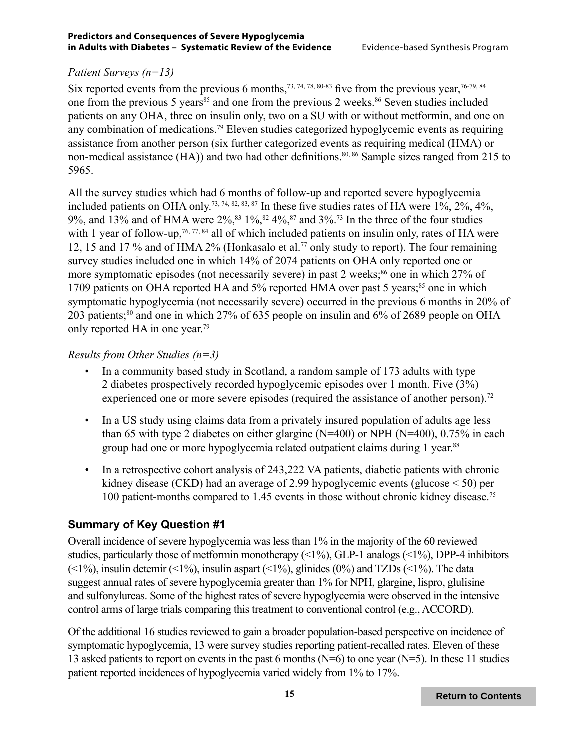#### *Patient Surveys (n=13)*

Six reported events from the previous 6 months,<sup>73, 74, 78, 80-83</sup> five from the previous year,<sup>76-79, 84</sup> one from the previous 5 years<sup>85</sup> and one from the previous 2 weeks.<sup>86</sup> Seven studies included patients on any OHA, three on insulin only, two on a SU with or without metformin, and one on any combination of medications.79 Eleven studies categorized hypoglycemic events as requiring assistance from another person (six further categorized events as requiring medical (HMA) or non-medical assistance (HA)) and two had other definitions.<sup>80, 86</sup> Sample sizes ranged from 215 to 5965.

All the survey studies which had 6 months of follow-up and reported severe hypoglycemia included patients on OHA only.<sup>73, 74, 82, 83, 87</sup> In these five studies rates of HA were  $1\%$ ,  $2\%$ ,  $4\%$ , 9%, and 13% and of HMA were  $2\%$ ,<sup>83</sup>, 1%, <sup>82</sup>, 4%, <sup>87</sup> and 3%.<sup>73</sup> In the three of the four studies with 1 year of follow-up,  $76, 77, 84$  all of which included patients on insulin only, rates of HA were 12, 15 and 17 % and of HMA 2% (Honkasalo et al.<sup>77</sup> only study to report). The four remaining survey studies included one in which 14% of 2074 patients on OHA only reported one or more symptomatic episodes (not necessarily severe) in past 2 weeks; $86$  one in which 27% of 1709 patients on OHA reported HA and 5% reported HMA over past 5 years;<sup>85</sup> one in which symptomatic hypoglycemia (not necessarily severe) occurred in the previous 6 months in 20% of 203 patients;<sup>80</sup> and one in which 27% of 635 people on insulin and 6% of 2689 people on OHA only reported HA in one year.79

#### *Results from Other Studies (n=3)*

- In a community based study in Scotland, a random sample of 173 adults with type 2 diabetes prospectively recorded hypoglycemic episodes over 1 month. Five (3%) experienced one or more severe episodes (required the assistance of another person).<sup>72</sup>
- In a US study using claims data from a privately insured population of adults age less than 65 with type 2 diabetes on either glargine ( $N=400$ ) or NPH ( $N=400$ ), 0.75% in each group had one or more hypoglycemia related outpatient claims during 1 year.<sup>88</sup>
- In a retrospective cohort analysis of 243,222 VA patients, diabetic patients with chronic kidney disease (CKD) had an average of 2.99 hypoglycemic events (glucose < 50) per 100 patient-months compared to 1.45 events in those without chronic kidney disease.75

## **Summary of Key Question #1**

Overall incidence of severe hypoglycemia was less than 1% in the majority of the 60 reviewed studies, particularly those of metformin monotherapy  $(\leq 1\%)$ , GLP-1 analogs  $(\leq 1\%)$ , DPP-4 inhibitors  $(\leq 1\%)$ , insulin detemir  $(\leq 1\%)$ , insulin aspart  $(\leq 1\%)$ , glinides  $(0\%)$  and TZDs  $(\leq 1\%)$ . The data suggest annual rates of severe hypoglycemia greater than 1% for NPH, glargine, lispro, glulisine and sulfonylureas. Some of the highest rates of severe hypoglycemia were observed in the intensive control arms of large trials comparing this treatment to conventional control (e.g., ACCORD).

Of the additional 16 studies reviewed to gain a broader population-based perspective on incidence of symptomatic hypoglycemia, 13 were survey studies reporting patient-recalled rates. Eleven of these 13 asked patients to report on events in the past 6 months ( $N=6$ ) to one year ( $N=5$ ). In these 11 studies patient reported incidences of hypoglycemia varied widely from 1% to 17%.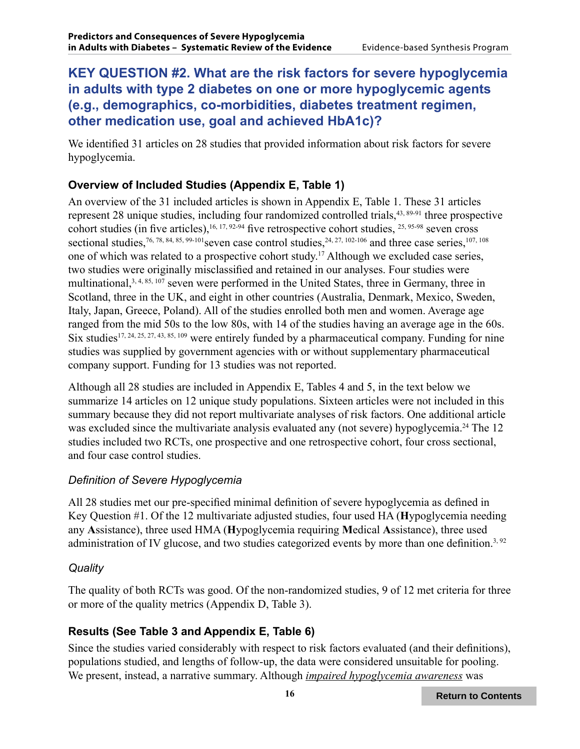## <span id="page-15-0"></span>**KEY QUESTION #2. What are the risk factors for severe hypoglycemia in adults with type 2 diabetes on one or more hypoglycemic agents (e.g., demographics, co-morbidities, diabetes treatment regimen, other medication use, goal and achieved HbA1c)?**

We identified 31 articles on 28 studies that provided information about risk factors for severe hypoglycemia.

## **Overview of Included Studies (Appendix E, Table 1)**

An overview of the 31 included articles is shown in Appendix E, Table 1. These 31 articles represent 28 unique studies, including four randomized controlled trials,<sup>43, 89-91</sup> three prospective cohort studies (in five articles),  $16, 17, 92-94$  five retrospective cohort studies,  $25, 95-98$  seven cross sectional studies,<sup>76, 78, 84, 85, 99-101</sup>seven case control studies,<sup>24, 27, 102-106</sup> and three case series,<sup>107, 108</sup> one of which was related to a prospective cohort study.17 Although we excluded case series, two studies were originally misclassified and retained in our analyses. Four studies were multinational,3, 4, 85, 107 seven were performed in the United States, three in Germany, three in Scotland, three in the UK, and eight in other countries (Australia, Denmark, Mexico, Sweden, Italy, Japan, Greece, Poland). All of the studies enrolled both men and women. Average age ranged from the mid 50s to the low 80s, with 14 of the studies having an average age in the 60s. Six studies<sup>17, 24, 25, 27, 43, 85, 109</sup> were entirely funded by a pharmaceutical company. Funding for nine studies was supplied by government agencies with or without supplementary pharmaceutical company support. Funding for 13 studies was not reported.

Although all 28 studies are included in Appendix E, Tables 4 and 5, in the text below we summarize 14 articles on 12 unique study populations. Sixteen articles were not included in this summary because they did not report multivariate analyses of risk factors. One additional article was excluded since the multivariate analysis evaluated any (not severe) hypoglycemia.<sup>24</sup> The 12 studies included two RCTs, one prospective and one retrospective cohort, four cross sectional, and four case control studies.

## *Definition of Severe Hypoglycemia*

All 28 studies met our pre-specified minimal definition of severe hypoglycemia as defined in Key Question #1. Of the 12 multivariate adjusted studies, four used HA (**H**ypoglycemia needing any **A**ssistance), three used HMA (**H**ypoglycemia requiring **M**edical **A**ssistance), three used administration of IV glucose, and two studies categorized events by more than one definition.<sup>3, 92</sup>

## *Quality*

The quality of both RCTs was good. Of the non-randomized studies, 9 of 12 met criteria for three or more of the quality metrics (Appendix D, Table 3).

## **Results (See Table 3 and Appendix E, Table 6)**

Since the studies varied considerably with respect to risk factors evaluated (and their definitions), populations studied, and lengths of follow-up, the data were considered unsuitable for pooling. We present, instead, a narrative summary. Although *impaired hypoglycemia awareness* was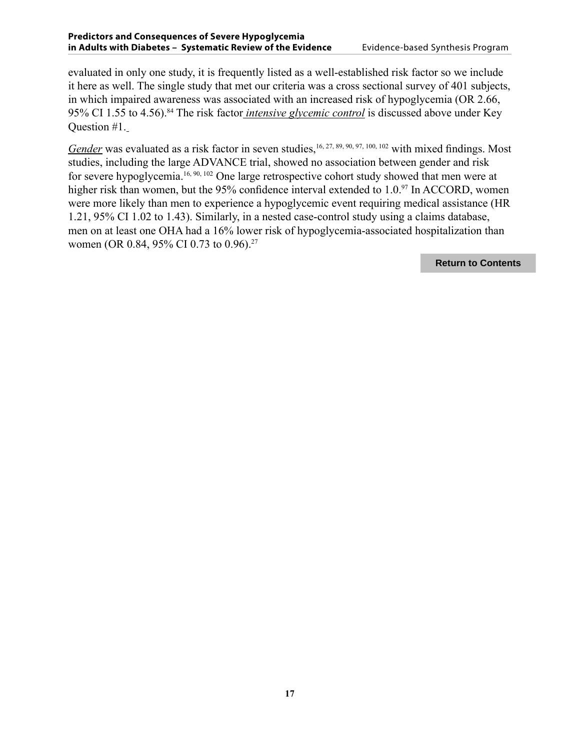evaluated in only one study, it is frequently listed as a well-established risk factor so we include it here as well. The single study that met our criteria was a cross sectional survey of 401 subjects, in which impaired awareness was associated with an increased risk of hypoglycemia (OR 2.66, 95% CI 1.55 to 4.56).84 The risk factor *intensive glycemic control* is discussed above under Key Question #1.

*Gender* was evaluated as a risk factor in seven studies,<sup>16, 27, 89, 90, 97, 100, 102 with mixed findings. Most</sup> studies, including the large ADVANCE trial, showed no association between gender and risk for severe hypoglycemia.16, 90, 102 One large retrospective cohort study showed that men were at higher risk than women, but the 95% confidence interval extended to 1.0.97 In ACCORD, women were more likely than men to experience a hypoglycemic event requiring medical assistance (HR 1.21, 95% CI 1.02 to 1.43). Similarly, in a nested case-control study using a claims database, men on at least one OHA had a 16% lower risk of hypoglycemia-associated hospitalization than women (OR 0.84, 95% CI 0.73 to 0.96).<sup>27</sup>

**Return to Contents**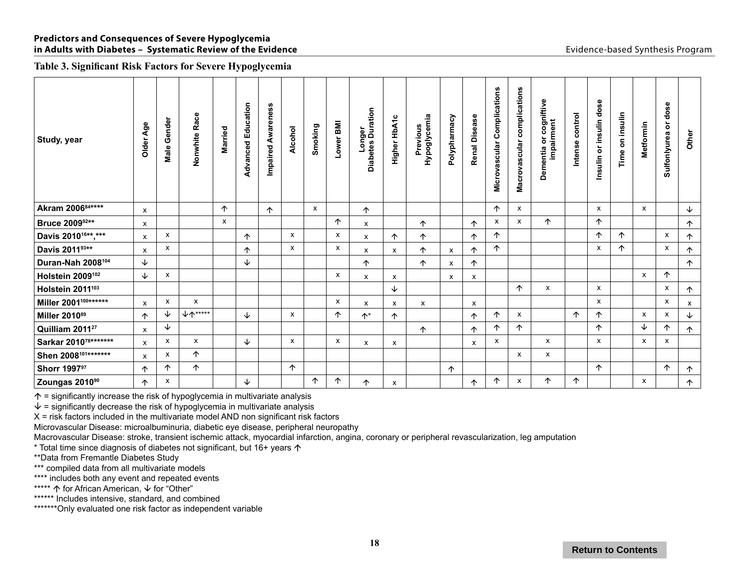<span id="page-17-0"></span>**Table 3. Significant Risk Factors for Severe Hypoglycemia**

| Study, year                      | Older Age                 | Gender<br>Male | ဗီ<br>Ř<br>Nonwhite           | Married | Education<br>Advanced | <b>Impaired Awareness</b> | Alcohol  | Smoking | Lower BMI | Longer<br>Diabetes Duration | ပ<br>Higher HbA1 | Previous<br>Hypoglycemia | Polypharmacy | <b>Disease</b><br>Renal | Complications<br>Microvascular | complications<br>Macrovascular | entia or cogniftive<br>impairment<br>ementia<br>۵ | control<br>Intense | dose<br>or insulin<br>Insulin | Time on insulin | Metformin | ose<br>ᄒ<br>ŏ<br>Sulfonlyurea | Other        |
|----------------------------------|---------------------------|----------------|-------------------------------|---------|-----------------------|---------------------------|----------|---------|-----------|-----------------------------|------------------|--------------------------|--------------|-------------------------|--------------------------------|--------------------------------|---------------------------------------------------|--------------------|-------------------------------|-----------------|-----------|-------------------------------|--------------|
| Akram 2006 <sup>84****</sup>     | x                         |                |                               | 个       |                       | 个                         |          | x       |           | ↑                           |                  |                          |              |                         | ↑                              | X                              |                                                   |                    | X                             |                 | X         |                               | ↓            |
| Bruce 200992**                   | x                         |                |                               | x       |                       |                           |          |         | 个         | x                           |                  | ↑                        |              | 个                       | x                              | x                              | 个                                                 |                    | 个                             |                 |           |                               | 个            |
| Davis 2010 <sup>16**</sup> ,***  | x                         | X              |                               |         | 个                     |                           | <b>X</b> |         | x         | x                           | ↑                | ↑                        |              | 个                       | 个                              |                                |                                                   |                    | 个                             | ↑               |           | х                             | 个            |
| Davis 201193**                   | х                         | x              |                               |         | ↑                     |                           | x        |         | x         | x                           | x                | ↑                        | x            | ↑                       | 个                              |                                |                                                   |                    | x                             | ↑               |           | x                             | 个            |
| Duran-Nah 2008104                | ↓                         |                |                               |         | ↓                     |                           |          |         |           | ↑                           |                  | ↑                        | x            | ↑                       |                                |                                |                                                   |                    |                               |                 |           |                               | 个            |
| Holstein 2009102                 | ↓                         | <b>X</b>       |                               |         |                       |                           |          |         | x         | х                           | X                |                          | х            | х                       |                                |                                |                                                   |                    |                               |                 | x         | 个                             |              |
| Holstein 2011103                 |                           |                |                               |         |                       |                           |          |         |           |                             | ↓                |                          |              |                         |                                | 个                              | x                                                 |                    | X                             |                 |           | x                             | 个            |
| Miller 2001 <sup>100******</sup> | $\boldsymbol{\mathsf{x}}$ | X              | x                             |         |                       |                           |          |         | x         | x                           | $\mathsf{x}$     | x                        |              | x                       |                                |                                |                                                   |                    | x                             |                 |           | x                             | x            |
| Miller 201089                    | ↑                         | ↓              | $\downarrow$ $\uparrow$ ***** |         | ↓                     |                           | x        |         | 个         | $\uparrow^*$                | 个                |                          |              | 个                       | ↑                              | X                              |                                                   | 个                  | 个                             |                 | x         | x                             | $\downarrow$ |
| Quilliam 2011 <sup>27</sup>      | x                         | ↓              |                               |         |                       |                           |          |         |           |                             |                  | 个                        |              | ↑                       | ↑                              | 个                              |                                                   |                    | 个                             |                 | ↓         | 个                             | $\uparrow$   |
| Sarkar 2010 <sup>78*******</sup> | x                         | X              | x                             |         | ↓                     |                           | x        |         | X         | x                           | x                |                          |              | x                       | x                              |                                | x                                                 |                    | x                             |                 | x         | x                             |              |
| Shen 2008 <sup>101*******</sup>  | x                         | X              | ↑                             |         |                       |                           |          |         |           |                             |                  |                          |              |                         |                                | X                              | x                                                 |                    |                               |                 |           |                               |              |
| Shorr 199797                     | ↑                         | 个              | ↑                             |         |                       |                           | 个        |         |           |                             |                  |                          | ↑            |                         |                                |                                |                                                   |                    | 个                             |                 |           | ↑                             | 个            |
| Zoungas 2010 <sup>90</sup>       | ↑                         | х              |                               |         | ↓                     |                           |          | ↑       | 个         | ↑                           | x                |                          |              | 个                       | ↑                              | x                              | ↑                                                 | ↑                  |                               |                 | x         |                               | ↑            |

 $\uparrow$  = significantly increase the risk of hypoglycemia in multivariate analysis

 $\sqrt{ }$  = significantly decrease the risk of hypoglycemia in multivariate analysis

 $X$  = risk factors included in the multivariate model AND non significant risk factors

Microvascular Disease: microalbuminuria, diabetic eye disease, peripheral neuropathy

Macrovascular Disease: stroke, transient ischemic attack, myocardial infarction, angina, coronary or peripheral revascularization, leg amputation

\* Total time since diagnosis of diabetes not significant, but 16+ years  $\uparrow$ 

\*\*Data from Fremantle Diabetes Study

\*\*\* compiled data from all multivariate models

\*\*\*\* includes both any event and repeated events

\*\*\*\*\*  $\uparrow$  for African American,  $\downarrow$  for "Other"

\*\*\*\*\*\* Includes intensive, standard, and combined

\*\*\*\*\*\*\*Only evaluated one risk factor as independent variable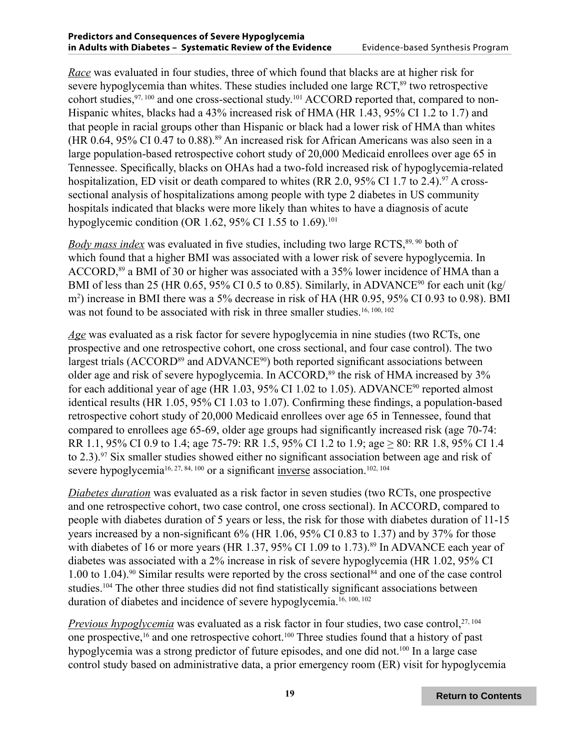*Race* was evaluated in four studies, three of which found that blacks are at higher risk for severe hypoglycemia than whites. These studies included one large RCT,<sup>89</sup> two retrospective cohort studies, <sup>97, 100</sup> and one cross-sectional study.<sup>101</sup> ACCORD reported that, compared to non-Hispanic whites, blacks had a 43% increased risk of HMA (HR 1.43, 95% CI 1.2 to 1.7) and that people in racial groups other than Hispanic or black had a lower risk of HMA than whites (HR  $0.64$ ,  $95\%$  CI  $0.47$  to  $0.88$ ).<sup>89</sup> An increased risk for African Americans was also seen in a large population-based retrospective cohort study of 20,000 Medicaid enrollees over age 65 in Tennessee. Specifically, blacks on OHAs had a two-fold increased risk of hypoglycemia-related hospitalization, ED visit or death compared to whites (RR 2.0, 95% CI 1.7 to 2.4).<sup>97</sup> A crosssectional analysis of hospitalizations among people with type 2 diabetes in US community hospitals indicated that blacks were more likely than whites to have a diagnosis of acute hypoglycemic condition (OR 1.62,  $95\%$  CI 1.55 to 1.69).<sup>101</sup>

*Body mass index* was evaluated in five studies, including two large RCTS,<sup>89, 90</sup> both of which found that a higher BMI was associated with a lower risk of severe hypoglycemia. In ACCORD,<sup>89</sup> a BMI of 30 or higher was associated with a 35% lower incidence of HMA than a BMI of less than 25 (HR 0.65, 95% CI 0.5 to 0.85). Similarly, in ADVANCE<sup>90</sup> for each unit (kg/ m2 ) increase in BMI there was a 5% decrease in risk of HA (HR 0.95, 95% CI 0.93 to 0.98). BMI was not found to be associated with risk in three smaller studies.<sup>16, 100, 102</sup>

*Age* was evaluated as a risk factor for severe hypoglycemia in nine studies (two RCTs, one prospective and one retrospective cohort, one cross sectional, and four case control). The two largest trials  $(ACCORD<sup>89</sup>$  and  $ADVANCE<sup>90</sup>)$  both reported significant associations between older age and risk of severe hypoglycemia. In ACCORD, $89$  the risk of HMA increased by  $3\%$ for each additional year of age (HR 1.03, 95% CI 1.02 to 1.05). ADVANCE<sup>90</sup> reported almost identical results (HR 1.05, 95% CI 1.03 to 1.07). Confirming these findings, a population-based retrospective cohort study of 20,000 Medicaid enrollees over age 65 in Tennessee, found that compared to enrollees age 65-69, older age groups had significantly increased risk (age 70-74: RR 1.1, 95% CI 0.9 to 1.4; age 75-79: RR 1.5, 95% CI 1.2 to 1.9; age > 80: RR 1.8, 95% CI 1.4 to 2.3).<sup>97</sup> Six smaller studies showed either no significant association between age and risk of severe hypoglycemia<sup>16, 27, 84, 100</sup> or a significant inverse association.<sup>102, 104</sup>

*Diabetes duration* was evaluated as a risk factor in seven studies (two RCTs, one prospective and one retrospective cohort, two case control, one cross sectional). In ACCORD, compared to people with diabetes duration of 5 years or less, the risk for those with diabetes duration of 11-15 years increased by a non-significant 6% (HR 1.06, 95% CI 0.83 to 1.37) and by 37% for those with diabetes of 16 or more years (HR 1.37, 95% CI 1.09 to 1.73).<sup>89</sup> In ADVANCE each year of diabetes was associated with a 2% increase in risk of severe hypoglycemia (HR 1.02, 95% CI 1.00 to 1.04).<sup>90</sup> Similar results were reported by the cross sectional<sup>84</sup> and one of the case control studies.<sup>104</sup> The other three studies did not find statistically significant associations between duration of diabetes and incidence of severe hypoglycemia.<sup>16, 100, 102</sup>

*Previous hypoglycemia* was evaluated as a risk factor in four studies, two case control,<sup>27, 104</sup> one prospective,16 and one retrospective cohort.100 Three studies found that a history of past hypoglycemia was a strong predictor of future episodes, and one did not.<sup>100</sup> In a large case control study based on administrative data, a prior emergency room (ER) visit for hypoglycemia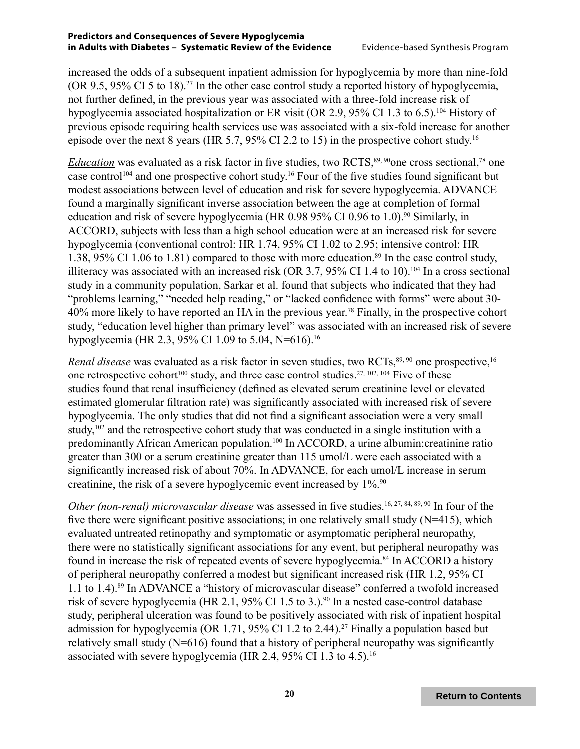increased the odds of a subsequent inpatient admission for hypoglycemia by more than nine-fold (OR 9.5, 95% CI 5 to 18).<sup>27</sup> In the other case control study a reported history of hypoglycemia, not further defined, in the previous year was associated with a three-fold increase risk of hypoglycemia associated hospitalization or ER visit (OR 2.9, 95% CI 1.3 to 6.5).<sup>104</sup> History of previous episode requiring health services use was associated with a six-fold increase for another episode over the next 8 years (HR 5.7, 95% CI 2.2 to 15) in the prospective cohort study.16

*Education* was evaluated as a risk factor in five studies, two RCTS,<sup>89, 90</sup> one cross sectional,<sup>78</sup> one case control104 and one prospective cohort study.16 Four of the five studies found significant but modest associations between level of education and risk for severe hypoglycemia. ADVANCE found a marginally significant inverse association between the age at completion of formal education and risk of severe hypoglycemia (HR  $0.98$  95% CI 0.96 to 1.0).<sup>90</sup> Similarly, in ACCORD, subjects with less than a high school education were at an increased risk for severe hypoglycemia (conventional control: HR 1.74, 95% CI 1.02 to 2.95; intensive control: HR 1.38, 95% CI 1.06 to 1.81) compared to those with more education.<sup>89</sup> In the case control study, illiteracy was associated with an increased risk  $(OR 3.7, 95\% \text{ CI} 1.4 \text{ to } 10)$ .<sup>104</sup> In a cross sectional study in a community population, Sarkar et al. found that subjects who indicated that they had "problems learning," "needed help reading," or "lacked confidence with forms" were about 30- 40% more likely to have reported an HA in the previous year.78 Finally, in the prospective cohort study, "education level higher than primary level" was associated with an increased risk of severe hypoglycemia (HR 2.3, 95% CI 1.09 to 5.04, N=616).<sup>16</sup>

*Renal disease* was evaluated as a risk factor in seven studies, two RCTs,<sup>89, 90</sup> one prospective,<sup>16</sup> one retrospective cohort<sup>100</sup> study, and three case control studies.<sup>27, 102, 104</sup> Five of these studies found that renal insufficiency (defined as elevated serum creatinine level or elevated estimated glomerular filtration rate) was significantly associated with increased risk of severe hypoglycemia. The only studies that did not find a significant association were a very small study,<sup>102</sup> and the retrospective cohort study that was conducted in a single institution with a predominantly African American population.100 In ACCORD, a urine albumin:creatinine ratio greater than 300 or a serum creatinine greater than 115 umol/L were each associated with a significantly increased risk of about 70%. In ADVANCE, for each umol/L increase in serum creatinine, the risk of a severe hypoglycemic event increased by 1%.90

*Other (non-renal) microvascular disease* was assessed in five studies.<sup>16, 27, 84, 89, 90</sup> In four of the five there were significant positive associations; in one relatively small study (N=415), which evaluated untreated retinopathy and symptomatic or asymptomatic peripheral neuropathy, there were no statistically significant associations for any event, but peripheral neuropathy was found in increase the risk of repeated events of severe hypoglycemia.<sup>84</sup> In ACCORD a history of peripheral neuropathy conferred a modest but significant increased risk (HR 1.2, 95% CI 1.1 to 1.4).<sup>89</sup> In ADVANCE a "history of microvascular disease" conferred a twofold increased risk of severe hypoglycemia (HR 2.1, 95% CI 1.5 to 3.).<sup>90</sup> In a nested case-control database study, peripheral ulceration was found to be positively associated with risk of inpatient hospital admission for hypoglycemia (OR 1.71, 95% CI 1.2 to 2.44).<sup>27</sup> Finally a population based but relatively small study (N=616) found that a history of peripheral neuropathy was significantly associated with severe hypoglycemia (HR 2.4, 95% CI 1.3 to 4.5).<sup>16</sup>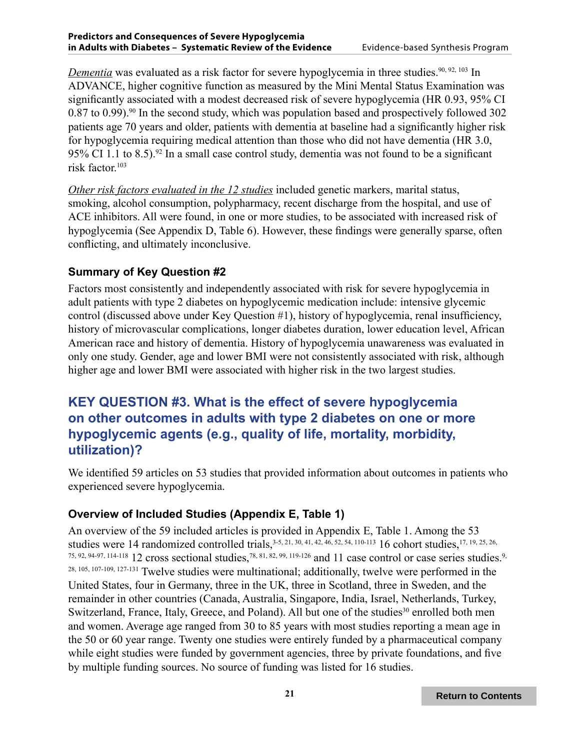<span id="page-20-0"></span>*Dementia* was evaluated as a risk factor for severe hypoglycemia in three studies.<sup>90, 92, 103</sup> In ADVANCE, higher cognitive function as measured by the Mini Mental Status Examination was significantly associated with a modest decreased risk of severe hypoglycemia (HR 0.93, 95% CI 0.87 to 0.99).<sup>90</sup> In the second study, which was population based and prospectively followed 302 patients age 70 years and older, patients with dementia at baseline had a significantly higher risk for hypoglycemia requiring medical attention than those who did not have dementia (HR 3.0, 95% CI 1.1 to 8.5).<sup>92</sup> In a small case control study, dementia was not found to be a significant risk factor.103

*Other risk factors evaluated in the 12 studies* included genetic markers, marital status, smoking, alcohol consumption, polypharmacy, recent discharge from the hospital, and use of ACE inhibitors. All were found, in one or more studies, to be associated with increased risk of hypoglycemia (See Appendix D, Table 6). However, these findings were generally sparse, often conflicting, and ultimately inconclusive.

## **Summary of Key Question #2**

Factors most consistently and independently associated with risk for severe hypoglycemia in adult patients with type 2 diabetes on hypoglycemic medication include: intensive glycemic control (discussed above under Key Question #1), history of hypoglycemia, renal insufficiency, history of microvascular complications, longer diabetes duration, lower education level, African American race and history of dementia. History of hypoglycemia unawareness was evaluated in only one study. Gender, age and lower BMI were not consistently associated with risk, although higher age and lower BMI were associated with higher risk in the two largest studies.

## **KEY QUESTION #3. What is the effect of severe hypoglycemia on other outcomes in adults with type 2 diabetes on one or more hypoglycemic agents (e.g., quality of life, mortality, morbidity, utilization)?**

We identified 59 articles on 53 studies that provided information about outcomes in patients who experienced severe hypoglycemia.

## **Overview of Included Studies (Appendix E, Table 1)**

An overview of the 59 included articles is provided in Appendix E, Table 1. Among the 53 studies were 14 randomized controlled trials,<sup>3-5, 21, 30, 41, 42, 46, 52, 54, 110-113</sup> 16 cohort studies,<sup>17, 19, 25, 26,</sup> 75, 92, 94-97, 114-118 12 cross sectional studies,78, 81, 82, 99, 119-126 and 11 case control or case series studies.9, 28, 105, 107-109, 127-131 Twelve studies were multinational; additionally, twelve were performed in the United States, four in Germany, three in the UK, three in Scotland, three in Sweden, and the remainder in other countries (Canada, Australia, Singapore, India, Israel, Netherlands, Turkey, Switzerland, France, Italy, Greece, and Poland). All but one of the studies<sup>30</sup> enrolled both men and women. Average age ranged from 30 to 85 years with most studies reporting a mean age in the 50 or 60 year range. Twenty one studies were entirely funded by a pharmaceutical company while eight studies were funded by government agencies, three by private foundations, and five by multiple funding sources. No source of funding was listed for 16 studies.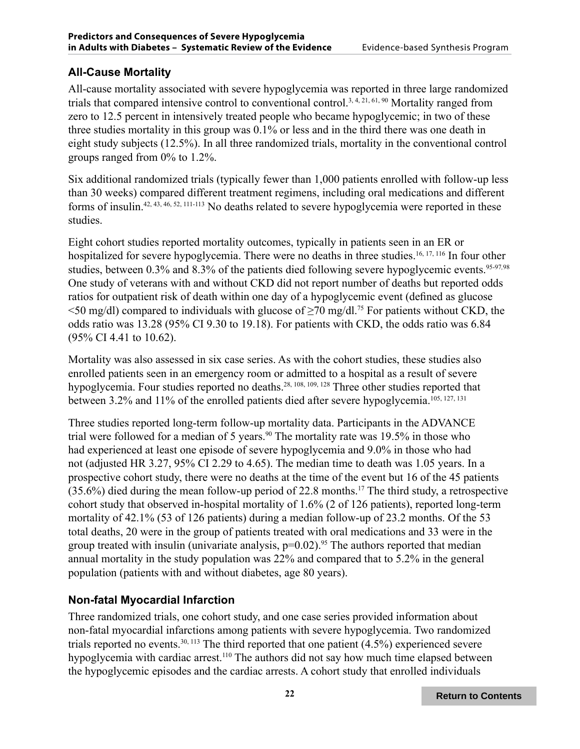## **All-Cause Mortality**

All-cause mortality associated with severe hypoglycemia was reported in three large randomized trials that compared intensive control to conventional control.3, 4, 21, 61, 90 Mortality ranged from zero to 12.5 percent in intensively treated people who became hypoglycemic; in two of these three studies mortality in this group was 0.1% or less and in the third there was one death in eight study subjects (12.5%). In all three randomized trials, mortality in the conventional control groups ranged from 0% to 1.2%.

Six additional randomized trials (typically fewer than 1,000 patients enrolled with follow-up less than 30 weeks) compared different treatment regimens, including oral medications and different forms of insulin.42, 43, 46, 52, 111-113 No deaths related to severe hypoglycemia were reported in these studies.

Eight cohort studies reported mortality outcomes, typically in patients seen in an ER or hospitalized for severe hypoglycemia. There were no deaths in three studies.<sup>16, 17, 116</sup> In four other studies, between 0.3% and 8.3% of the patients died following severe hypoglycemic events.<sup>95-97,98</sup> One study of veterans with and without CKD did not report number of deaths but reported odds ratios for outpatient risk of death within one day of a hypoglycemic event (defined as glucose  $\leq$ 50 mg/dl) compared to individuals with glucose of  $\geq$ 70 mg/dl.<sup>75</sup> For patients without CKD, the odds ratio was 13.28 (95% CI 9.30 to 19.18). For patients with CKD, the odds ratio was 6.84 (95% CI 4.41 to 10.62).

Mortality was also assessed in six case series. As with the cohort studies, these studies also enrolled patients seen in an emergency room or admitted to a hospital as a result of severe hypoglycemia. Four studies reported no deaths.<sup>28, 108, 109, 128</sup> Three other studies reported that between 3.2% and 11% of the enrolled patients died after severe hypoglycemia.<sup>105, 127, 131</sup>

Three studies reported long-term follow-up mortality data. Participants in the ADVANCE trial were followed for a median of 5 years.<sup>90</sup> The mortality rate was  $19.5\%$  in those who had experienced at least one episode of severe hypoglycemia and 9.0% in those who had not (adjusted HR 3.27, 95% CI 2.29 to 4.65). The median time to death was 1.05 years. In a prospective cohort study, there were no deaths at the time of the event but 16 of the 45 patients (35.6%) died during the mean follow-up period of 22.8 months.17 The third study, a retrospective cohort study that observed in-hospital mortality of 1.6% (2 of 126 patients), reported long-term mortality of 42.1% (53 of 126 patients) during a median follow-up of 23.2 months. Of the 53 total deaths, 20 were in the group of patients treated with oral medications and 33 were in the group treated with insulin (univariate analysis,  $p=0.02$ ).<sup>95</sup> The authors reported that median annual mortality in the study population was 22% and compared that to 5.2% in the general population (patients with and without diabetes, age 80 years).

## **Non-fatal Myocardial Infarction**

Three randomized trials, one cohort study, and one case series provided information about non-fatal myocardial infarctions among patients with severe hypoglycemia. Two randomized trials reported no events.<sup>30, 113</sup> The third reported that one patient  $(4.5\%)$  experienced severe hypoglycemia with cardiac arrest.<sup>110</sup> The authors did not say how much time elapsed between the hypoglycemic episodes and the cardiac arrests. A cohort study that enrolled individuals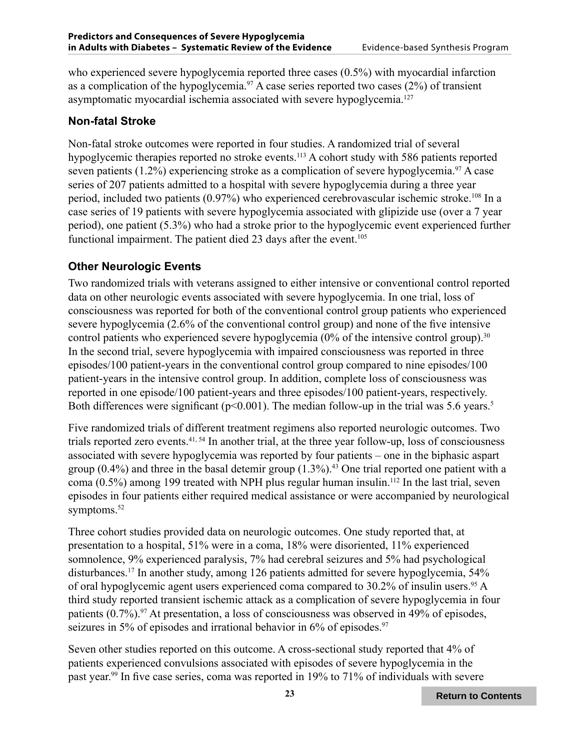who experienced severe hypoglycemia reported three cases (0.5%) with myocardial infarction as a complication of the hypoglycemia.<sup>97</sup> A case series reported two cases  $(2%)$  of transient asymptomatic myocardial ischemia associated with severe hypoglycemia.<sup>127</sup>

## **Non-fatal Stroke**

Non-fatal stroke outcomes were reported in four studies. A randomized trial of several hypoglycemic therapies reported no stroke events.<sup>113</sup> A cohort study with 586 patients reported seven patients (1.2%) experiencing stroke as a complication of severe hypoglycemia.<sup>97</sup> A case series of 207 patients admitted to a hospital with severe hypoglycemia during a three year period, included two patients (0.97%) who experienced cerebrovascular ischemic stroke.<sup>108</sup> In a case series of 19 patients with severe hypoglycemia associated with glipizide use (over a 7 year period), one patient (5.3%) who had a stroke prior to the hypoglycemic event experienced further functional impairment. The patient died 23 days after the event.<sup>105</sup>

## **Other Neurologic Events**

Two randomized trials with veterans assigned to either intensive or conventional control reported data on other neurologic events associated with severe hypoglycemia. In one trial, loss of consciousness was reported for both of the conventional control group patients who experienced severe hypoglycemia (2.6% of the conventional control group) and none of the five intensive control patients who experienced severe hypoglycemia  $(0\%$  of the intensive control group).<sup>30</sup> In the second trial, severe hypoglycemia with impaired consciousness was reported in three episodes/100 patient-years in the conventional control group compared to nine episodes/100 patient-years in the intensive control group. In addition, complete loss of consciousness was reported in one episode/100 patient-years and three episodes/100 patient-years, respectively. Both differences were significant ( $p<0.001$ ). The median follow-up in the trial was 5.6 years.<sup>5</sup>

Five randomized trials of different treatment regimens also reported neurologic outcomes. Two trials reported zero events.41, 54 In another trial, at the three year follow-up, loss of consciousness associated with severe hypoglycemia was reported by four patients – one in the biphasic aspart group  $(0.4\%)$  and three in the basal detemir group  $(1.3\%)$ .<sup>43</sup> One trial reported one patient with a coma  $(0.5\%)$  among 199 treated with NPH plus regular human insulin.<sup>112</sup> In the last trial, seven episodes in four patients either required medical assistance or were accompanied by neurological symptoms.<sup>52</sup>

Three cohort studies provided data on neurologic outcomes. One study reported that, at presentation to a hospital, 51% were in a coma, 18% were disoriented, 11% experienced somnolence, 9% experienced paralysis, 7% had cerebral seizures and 5% had psychological disturbances.<sup>17</sup> In another study, among 126 patients admitted for severe hypoglycemia, 54% of oral hypoglycemic agent users experienced coma compared to 30.2% of insulin users.<sup>95</sup> A third study reported transient ischemic attack as a complication of severe hypoglycemia in four patients  $(0.7\%)$ .<sup>97</sup> At presentation, a loss of consciousness was observed in 49% of episodes, seizures in 5% of episodes and irrational behavior in  $6\%$  of episodes.<sup>97</sup>

Seven other studies reported on this outcome. A cross-sectional study reported that 4% of patients experienced convulsions associated with episodes of severe hypoglycemia in the past year.99 In five case series, coma was reported in 19% to 71% of individuals with severe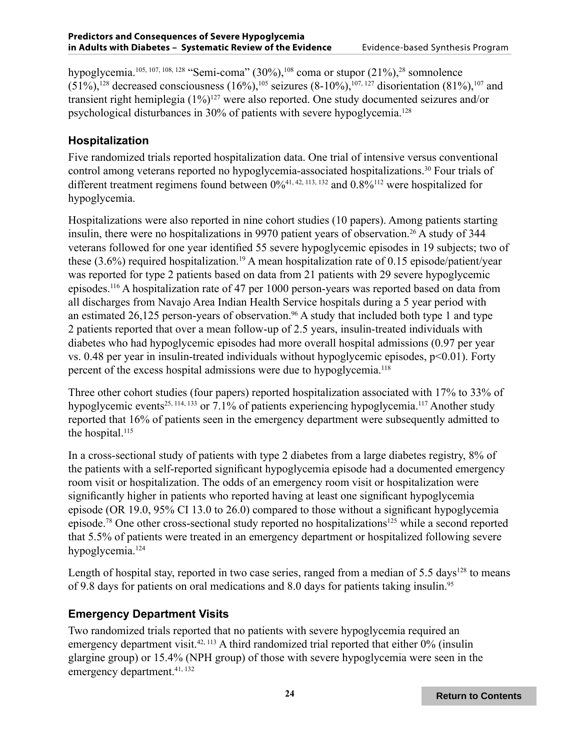hypoglycemia.<sup>105, 107, 108, 128</sup> "Semi-coma" (30%),<sup>108</sup> coma or stupor (21%),<sup>28</sup> somnolence  $(51\%)$ ,<sup>128</sup> decreased consciousness  $(16\%)$ ,<sup>105</sup> seizures  $(8-10\%)$ ,<sup>107, 127</sup> disorientation  $(81\%)$ ,<sup>107</sup> and transient right hemiplegia  $(1\%)^{127}$  were also reported. One study documented seizures and/or psychological disturbances in 30% of patients with severe hypoglycemia.128

## **Hospitalization**

Five randomized trials reported hospitalization data. One trial of intensive versus conventional control among veterans reported no hypoglycemia-associated hospitalizations.<sup>30</sup> Four trials of different treatment regimens found between  $0\%$ <sup>41, 42, 113, 132</sup> and  $0.8\%$ <sup>112</sup> were hospitalized for hypoglycemia.

Hospitalizations were also reported in nine cohort studies (10 papers). Among patients starting insulin, there were no hospitalizations in 9970 patient years of observation.<sup>26</sup> A study of 344 veterans followed for one year identified 55 severe hypoglycemic episodes in 19 subjects; two of these (3.6%) required hospitalization.<sup>19</sup> A mean hospitalization rate of 0.15 episode/patient/year was reported for type 2 patients based on data from 21 patients with 29 severe hypoglycemic episodes.116 A hospitalization rate of 47 per 1000 person-years was reported based on data from all discharges from Navajo Area Indian Health Service hospitals during a 5 year period with an estimated 26,125 person-years of observation.<sup>96</sup> A study that included both type 1 and type 2 patients reported that over a mean follow-up of 2.5 years, insulin-treated individuals with diabetes who had hypoglycemic episodes had more overall hospital admissions (0.97 per year vs. 0.48 per year in insulin-treated individuals without hypoglycemic episodes,  $p<0.01$ ). Forty percent of the excess hospital admissions were due to hypoglycemia.118

Three other cohort studies (four papers) reported hospitalization associated with 17% to 33% of hypoglycemic events<sup>25, 114, 133</sup> or 7.1% of patients experiencing hypoglycemia.<sup>117</sup> Another study reported that 16% of patients seen in the emergency department were subsequently admitted to the hospital.<sup>115</sup>

In a cross-sectional study of patients with type 2 diabetes from a large diabetes registry, 8% of the patients with a self-reported significant hypoglycemia episode had a documented emergency room visit or hospitalization. The odds of an emergency room visit or hospitalization were significantly higher in patients who reported having at least one significant hypoglycemia episode (OR 19.0, 95% CI 13.0 to 26.0) compared to those without a significant hypoglycemia episode.<sup>78</sup> One other cross-sectional study reported no hospitalizations<sup>125</sup> while a second reported that 5.5% of patients were treated in an emergency department or hospitalized following severe hypoglycemia.<sup>124</sup>

Length of hospital stay, reported in two case series, ranged from a median of  $5.5 \text{ days}^{128}$  to means of 9.8 days for patients on oral medications and 8.0 days for patients taking insulin.<sup>95</sup>

## **Emergency Department Visits**

Two randomized trials reported that no patients with severe hypoglycemia required an emergency department visit.<sup>42, 113</sup> A third randomized trial reported that either 0% (insulin glargine group) or 15.4% (NPH group) of those with severe hypoglycemia were seen in the emergency department.<sup>41, 132</sup>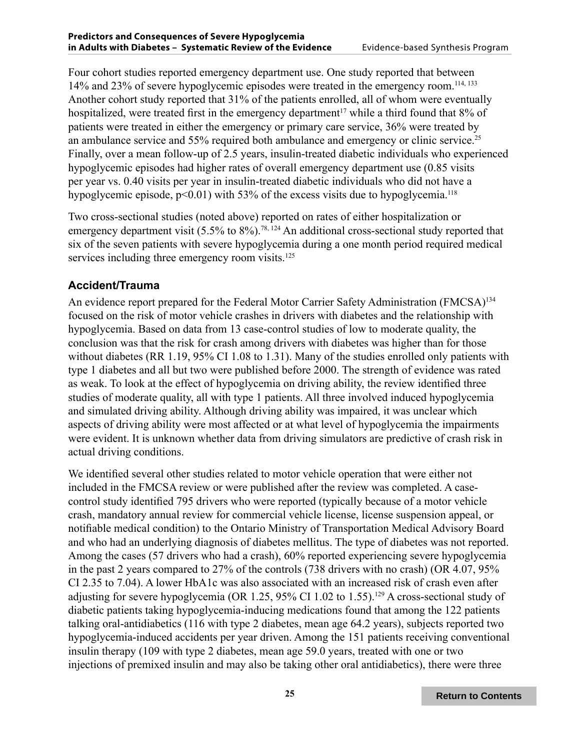Four cohort studies reported emergency department use. One study reported that between 14% and 23% of severe hypoglycemic episodes were treated in the emergency room.114, 133 Another cohort study reported that 31% of the patients enrolled, all of whom were eventually hospitalized, were treated first in the emergency department<sup>17</sup> while a third found that  $8\%$  of patients were treated in either the emergency or primary care service, 36% were treated by an ambulance service and 55% required both ambulance and emergency or clinic service.<sup>25</sup> Finally, over a mean follow-up of 2.5 years, insulin-treated diabetic individuals who experienced hypoglycemic episodes had higher rates of overall emergency department use (0.85 visits per year vs. 0.40 visits per year in insulin-treated diabetic individuals who did not have a hypoglycemic episode,  $p<0.01$ ) with 53% of the excess visits due to hypoglycemia.<sup>118</sup>

Two cross-sectional studies (noted above) reported on rates of either hospitalization or emergency department visit (5.5% to 8%).<sup>78, 124</sup> An additional cross-sectional study reported that six of the seven patients with severe hypoglycemia during a one month period required medical services including three emergency room visits.<sup>125</sup>

## **Accident/Trauma**

An evidence report prepared for the Federal Motor Carrier Safety Administration (FMCSA)<sup>134</sup> focused on the risk of motor vehicle crashes in drivers with diabetes and the relationship with hypoglycemia. Based on data from 13 case-control studies of low to moderate quality, the conclusion was that the risk for crash among drivers with diabetes was higher than for those without diabetes (RR 1.19, 95% CI 1.08 to 1.31). Many of the studies enrolled only patients with type 1 diabetes and all but two were published before 2000. The strength of evidence was rated as weak. To look at the effect of hypoglycemia on driving ability, the review identified three studies of moderate quality, all with type 1 patients. All three involved induced hypoglycemia and simulated driving ability. Although driving ability was impaired, it was unclear which aspects of driving ability were most affected or at what level of hypoglycemia the impairments were evident. It is unknown whether data from driving simulators are predictive of crash risk in actual driving conditions.

We identified several other studies related to motor vehicle operation that were either not included in the FMCSA review or were published after the review was completed. A casecontrol study identified 795 drivers who were reported (typically because of a motor vehicle crash, mandatory annual review for commercial vehicle license, license suspension appeal, or notifiable medical condition) to the Ontario Ministry of Transportation Medical Advisory Board and who had an underlying diagnosis of diabetes mellitus. The type of diabetes was not reported. Among the cases (57 drivers who had a crash), 60% reported experiencing severe hypoglycemia in the past 2 years compared to 27% of the controls (738 drivers with no crash) (OR 4.07, 95% CI 2.35 to 7.04). A lower HbA1c was also associated with an increased risk of crash even after adjusting for severe hypoglycemia (OR 1.25, 95% CI 1.02 to 1.55).<sup>129</sup> A cross-sectional study of diabetic patients taking hypoglycemia-inducing medications found that among the 122 patients talking oral-antidiabetics (116 with type 2 diabetes, mean age 64.2 years), subjects reported two hypoglycemia-induced accidents per year driven. Among the 151 patients receiving conventional insulin therapy (109 with type 2 diabetes, mean age 59.0 years, treated with one or two injections of premixed insulin and may also be taking other oral antidiabetics), there were three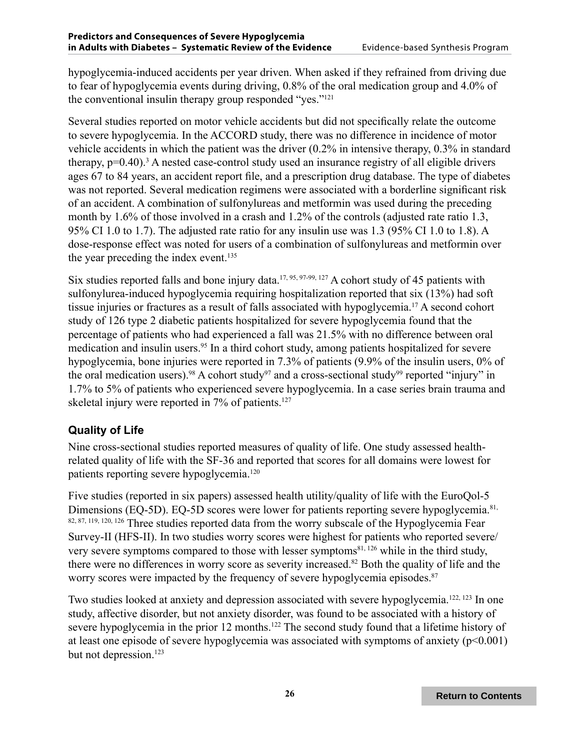hypoglycemia-induced accidents per year driven. When asked if they refrained from driving due to fear of hypoglycemia events during driving, 0.8% of the oral medication group and 4.0% of the conventional insulin therapy group responded "yes."<sup>121</sup>

Several studies reported on motor vehicle accidents but did not specifically relate the outcome to severe hypoglycemia. In the ACCORD study, there was no difference in incidence of motor vehicle accidents in which the patient was the driver (0.2% in intensive therapy, 0.3% in standard therapy,  $p=0.40$ ).<sup>3</sup> A nested case-control study used an insurance registry of all eligible drivers ages 67 to 84 years, an accident report file, and a prescription drug database. The type of diabetes was not reported. Several medication regimens were associated with a borderline significant risk of an accident. A combination of sulfonylureas and metformin was used during the preceding month by 1.6% of those involved in a crash and 1.2% of the controls (adjusted rate ratio 1.3, 95% CI 1.0 to 1.7). The adjusted rate ratio for any insulin use was 1.3 (95% CI 1.0 to 1.8). A dose-response effect was noted for users of a combination of sulfonylureas and metformin over the year preceding the index event.<sup>135</sup>

Six studies reported falls and bone injury data.<sup>17, 95, 97-99, 127</sup> A cohort study of 45 patients with sulfonylurea-induced hypoglycemia requiring hospitalization reported that six (13%) had soft tissue injuries or fractures as a result of falls associated with hypoglycemia.17 A second cohort study of 126 type 2 diabetic patients hospitalized for severe hypoglycemia found that the percentage of patients who had experienced a fall was 21.5% with no difference between oral medication and insulin users.<sup>95</sup> In a third cohort study, among patients hospitalized for severe hypoglycemia, bone injuries were reported in 7.3% of patients (9.9% of the insulin users, 0% of the oral medication users).<sup>98</sup> A cohort study<sup>97</sup> and a cross-sectional study<sup>99</sup> reported "injury" in 1.7% to 5% of patients who experienced severe hypoglycemia. In a case series brain trauma and skeletal injury were reported in 7% of patients.<sup>127</sup>

## **Quality of Life**

Nine cross-sectional studies reported measures of quality of life. One study assessed healthrelated quality of life with the SF-36 and reported that scores for all domains were lowest for patients reporting severe hypoglycemia.120

Five studies (reported in six papers) assessed health utility/quality of life with the EuroQol-5 Dimensions (EQ-5D). EQ-5D scores were lower for patients reporting severe hypoglycemia.<sup>81,</sup> 82, 87, 119, 120, 126 Three studies reported data from the worry subscale of the Hypoglycemia Fear Survey-II (HFS-II). In two studies worry scores were highest for patients who reported severe/ very severe symptoms compared to those with lesser symptoms<sup>81, 126</sup> while in the third study, there were no differences in worry score as severity increased.<sup>82</sup> Both the quality of life and the worry scores were impacted by the frequency of severe hypoglycemia episodes.<sup>87</sup>

Two studies looked at anxiety and depression associated with severe hypoglycemia.122, 123 In one study, affective disorder, but not anxiety disorder, was found to be associated with a history of severe hypoglycemia in the prior 12 months.<sup>122</sup> The second study found that a lifetime history of at least one episode of severe hypoglycemia was associated with symptoms of anxiety  $(p<0.001)$ but not depression.<sup>123</sup>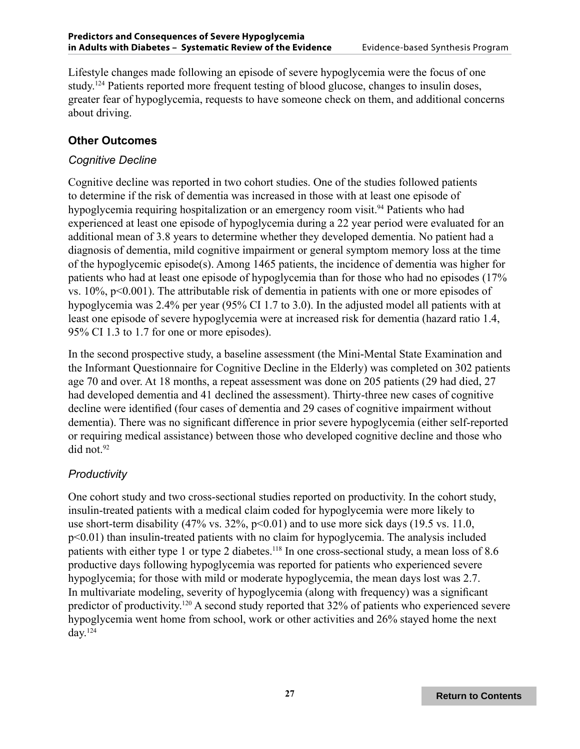Lifestyle changes made following an episode of severe hypoglycemia were the focus of one study.124 Patients reported more frequent testing of blood glucose, changes to insulin doses, greater fear of hypoglycemia, requests to have someone check on them, and additional concerns about driving.

## **Other Outcomes**

## *Cognitive Decline*

Cognitive decline was reported in two cohort studies. One of the studies followed patients to determine if the risk of dementia was increased in those with at least one episode of hypoglycemia requiring hospitalization or an emergency room visit.<sup>94</sup> Patients who had experienced at least one episode of hypoglycemia during a 22 year period were evaluated for an additional mean of 3.8 years to determine whether they developed dementia. No patient had a diagnosis of dementia, mild cognitive impairment or general symptom memory loss at the time of the hypoglycemic episode(s). Among 1465 patients, the incidence of dementia was higher for patients who had at least one episode of hypoglycemia than for those who had no episodes (17% vs. 10%, p<0.001). The attributable risk of dementia in patients with one or more episodes of hypoglycemia was 2.4% per year (95% CI 1.7 to 3.0). In the adjusted model all patients with at least one episode of severe hypoglycemia were at increased risk for dementia (hazard ratio 1.4, 95% CI 1.3 to 1.7 for one or more episodes).

In the second prospective study, a baseline assessment (the Mini-Mental State Examination and the Informant Questionnaire for Cognitive Decline in the Elderly) was completed on 302 patients age 70 and over. At 18 months, a repeat assessment was done on 205 patients (29 had died, 27 had developed dementia and 41 declined the assessment). Thirty-three new cases of cognitive decline were identified (four cases of dementia and 29 cases of cognitive impairment without dementia). There was no significant difference in prior severe hypoglycemia (either self-reported or requiring medical assistance) between those who developed cognitive decline and those who did not.<sup>92</sup>

## *Productivity*

One cohort study and two cross-sectional studies reported on productivity. In the cohort study, insulin-treated patients with a medical claim coded for hypoglycemia were more likely to use short-term disability (47% vs.  $32\%$ , p<0.01) and to use more sick days (19.5 vs. 11.0, p<0.01) than insulin-treated patients with no claim for hypoglycemia. The analysis included patients with either type 1 or type 2 diabetes.<sup>118</sup> In one cross-sectional study, a mean loss of 8.6 productive days following hypoglycemia was reported for patients who experienced severe hypoglycemia; for those with mild or moderate hypoglycemia, the mean days lost was 2.7. In multivariate modeling, severity of hypoglycemia (along with frequency) was a significant predictor of productivity.120 A second study reported that 32% of patients who experienced severe hypoglycemia went home from school, work or other activities and 26% stayed home the next day.124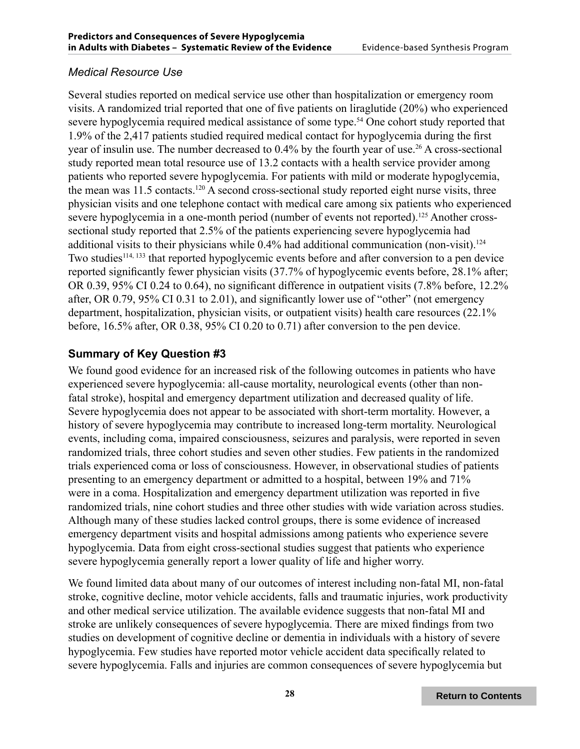#### *Medical Resource Use*

Several studies reported on medical service use other than hospitalization or emergency room visits. A randomized trial reported that one of five patients on liraglutide (20%) who experienced severe hypoglycemia required medical assistance of some type.<sup>54</sup> One cohort study reported that 1.9% of the 2,417 patients studied required medical contact for hypoglycemia during the first year of insulin use. The number decreased to 0.4% by the fourth year of use.26 A cross-sectional study reported mean total resource use of 13.2 contacts with a health service provider among patients who reported severe hypoglycemia. For patients with mild or moderate hypoglycemia, the mean was 11.5 contacts.<sup>120</sup> A second cross-sectional study reported eight nurse visits, three physician visits and one telephone contact with medical care among six patients who experienced severe hypoglycemia in a one-month period (number of events not reported).<sup>125</sup> Another crosssectional study reported that 2.5% of the patients experiencing severe hypoglycemia had additional visits to their physicians while  $0.4\%$  had additional communication (non-visit).<sup>124</sup> Two studies<sup>114, 133</sup> that reported hypoglycemic events before and after conversion to a pen device reported significantly fewer physician visits (37.7% of hypoglycemic events before, 28.1% after; OR 0.39, 95% CI 0.24 to 0.64), no significant difference in outpatient visits (7.8% before, 12.2% after, OR 0.79, 95% CI 0.31 to 2.01), and significantly lower use of "other" (not emergency department, hospitalization, physician visits, or outpatient visits) health care resources (22.1% before, 16.5% after, OR 0.38, 95% CI 0.20 to 0.71) after conversion to the pen device.

## **Summary of Key Question #3**

We found good evidence for an increased risk of the following outcomes in patients who have experienced severe hypoglycemia: all-cause mortality, neurological events (other than nonfatal stroke), hospital and emergency department utilization and decreased quality of life. Severe hypoglycemia does not appear to be associated with short-term mortality. However, a history of severe hypoglycemia may contribute to increased long-term mortality. Neurological events, including coma, impaired consciousness, seizures and paralysis, were reported in seven randomized trials, three cohort studies and seven other studies. Few patients in the randomized trials experienced coma or loss of consciousness. However, in observational studies of patients presenting to an emergency department or admitted to a hospital, between 19% and 71% were in a coma. Hospitalization and emergency department utilization was reported in five randomized trials, nine cohort studies and three other studies with wide variation across studies. Although many of these studies lacked control groups, there is some evidence of increased emergency department visits and hospital admissions among patients who experience severe hypoglycemia. Data from eight cross-sectional studies suggest that patients who experience severe hypoglycemia generally report a lower quality of life and higher worry.

We found limited data about many of our outcomes of interest including non-fatal MI, non-fatal stroke, cognitive decline, motor vehicle accidents, falls and traumatic injuries, work productivity and other medical service utilization. The available evidence suggests that non-fatal MI and stroke are unlikely consequences of severe hypoglycemia. There are mixed findings from two studies on development of cognitive decline or dementia in individuals with a history of severe hypoglycemia. Few studies have reported motor vehicle accident data specifically related to severe hypoglycemia. Falls and injuries are common consequences of severe hypoglycemia but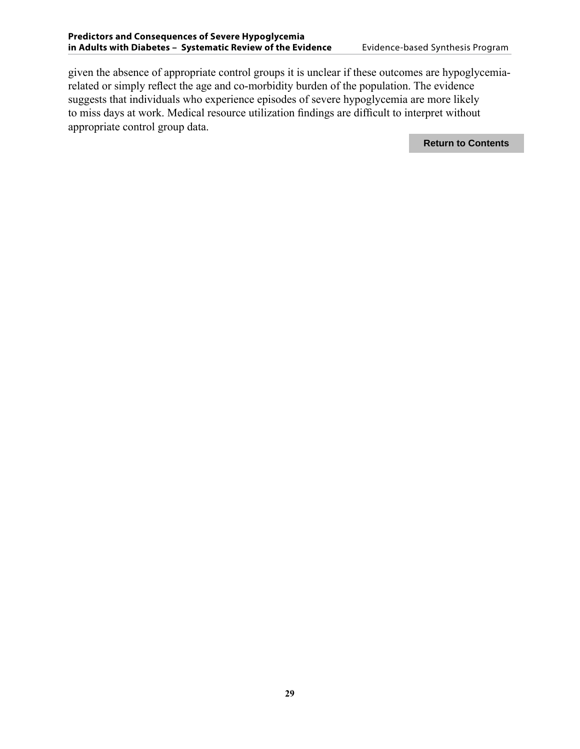given the absence of appropriate control groups it is unclear if these outcomes are hypoglycemiarelated or simply reflect the age and co-morbidity burden of the population. The evidence suggests that individuals who experience episodes of severe hypoglycemia are more likely to miss days at work. Medical resource utilization findings are difficult to interpret without appropriate control group data.

**Return to Contents**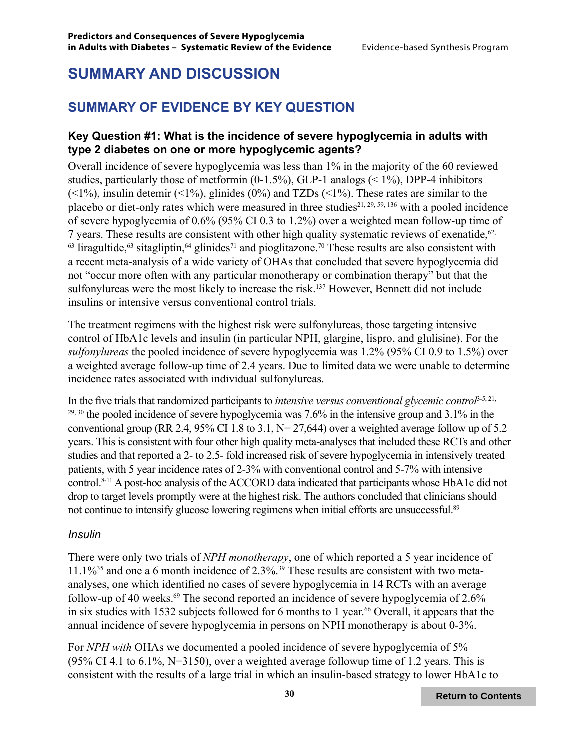# <span id="page-29-0"></span>**SUMMARY AND DISCUSSION**

## **SUMMARY OF EVIDENCE BY KEY QUESTION**

## **Key Question #1: What is the incidence of severe hypoglycemia in adults with type 2 diabetes on one or more hypoglycemic agents?**

Overall incidence of severe hypoglycemia was less than 1% in the majority of the 60 reviewed studies, particularly those of metformin  $(0-1.5\%)$ , GLP-1 analogs  $(< 1\%)$ , DPP-4 inhibitors  $(\leq 1\%)$ , insulin detemir  $(\leq 1\%)$ , glinides (0%) and TZDs  $(\leq 1\%)$ . These rates are similar to the placebo or diet-only rates which were measured in three studies<sup>21, 29, 59, 136</sup> with a pooled incidence of severe hypoglycemia of 0.6% (95% CI 0.3 to 1.2%) over a weighted mean follow-up time of 7 years. These results are consistent with other high quality systematic reviews of exenatide, $62$ ,  $^{63}$  liragultide,<sup>63</sup> sitagliptin,<sup>64</sup> glinides<sup>71</sup> and pioglitazone.<sup>70</sup> These results are also consistent with a recent meta-analysis of a wide variety of OHAs that concluded that severe hypoglycemia did not "occur more often with any particular monotherapy or combination therapy" but that the sulfonylureas were the most likely to increase the risk.<sup>137</sup> However, Bennett did not include insulins or intensive versus conventional control trials.

The treatment regimens with the highest risk were sulfonylureas, those targeting intensive control of HbA1c levels and insulin (in particular NPH, glargine, lispro, and glulisine). For the *sulfonylureas* the pooled incidence of severe hypoglycemia was 1.2% (95% CI 0.9 to 1.5%) over a weighted average follow-up time of 2.4 years. Due to limited data we were unable to determine incidence rates associated with individual sulfonylureas.

In the five trials that randomized participants to *intensive versus conventional glycemic control*<sup>3-5, 21,</sup>  $29,30$  the pooled incidence of severe hypoglycemia was 7.6% in the intensive group and 3.1% in the conventional group (RR 2.4, 95% CI 1.8 to 3.1,  $N=27,644$ ) over a weighted average follow up of 5.2 years. This is consistent with four other high quality meta-analyses that included these RCTs and other studies and that reported a 2- to 2.5- fold increased risk of severe hypoglycemia in intensively treated patients, with 5 year incidence rates of 2-3% with conventional control and 5-7% with intensive control.8-11 A post-hoc analysis of the ACCORD data indicated that participants whose HbA1c did not drop to target levels promptly were at the highest risk. The authors concluded that clinicians should not continue to intensify glucose lowering regimens when initial efforts are unsuccessful.<sup>89</sup>

#### *Insulin*

There were only two trials of *NPH monotherapy*, one of which reported a 5 year incidence of 11.1%35 and one a 6 month incidence of 2.3%.39 These results are consistent with two metaanalyses, one which identified no cases of severe hypoglycemia in 14 RCTs with an average follow-up of 40 weeks.<sup>69</sup> The second reported an incidence of severe hypoglycemia of  $2.6\%$ in six studies with 1532 subjects followed for 6 months to 1 year. 66 Overall, it appears that the annual incidence of severe hypoglycemia in persons on NPH monotherapy is about 0-3%.

For *NPH with* OHAs we documented a pooled incidence of severe hypoglycemia of 5%  $(95\% \text{ CI } 4.1 \text{ to } 6.1\%, \text{N} = 3150)$ , over a weighted average followup time of 1.2 years. This is consistent with the results of a large trial in which an insulin-based strategy to lower HbA1c to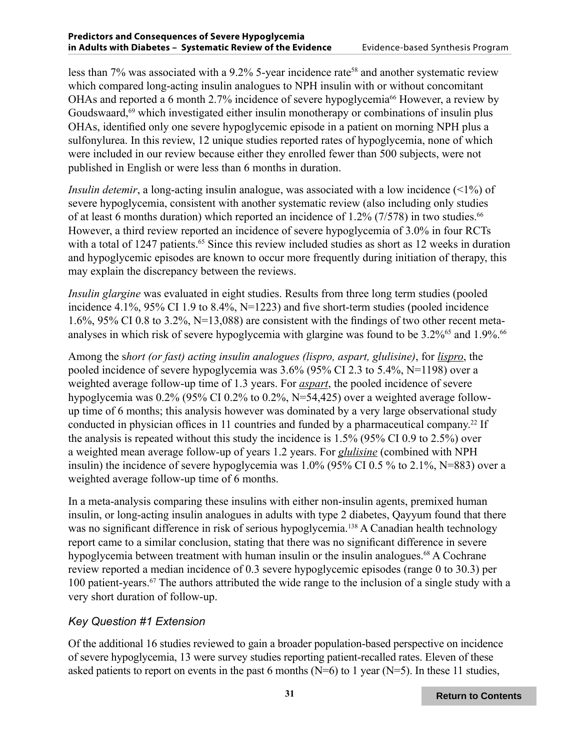less than 7% was associated with a 9.2% 5-year incidence rate<sup>58</sup> and another systematic review which compared long-acting insulin analogues to NPH insulin with or without concomitant OHAs and reported a 6 month 2.7% incidence of severe hypoglycemia<sup>66</sup> However, a review by Goudswaard,<sup>69</sup> which investigated either insulin monotherapy or combinations of insulin plus OHAs, identified only one severe hypoglycemic episode in a patient on morning NPH plus a sulfonylurea. In this review, 12 unique studies reported rates of hypoglycemia, none of which were included in our review because either they enrolled fewer than 500 subjects, were not published in English or were less than 6 months in duration.

*Insulin detemir*, a long-acting insulin analogue, was associated with a low incidence (<1%) of severe hypoglycemia, consistent with another systematic review (also including only studies of at least 6 months duration) which reported an incidence of 1.2% (7/578) in two studies.<sup>66</sup> However, a third review reported an incidence of severe hypoglycemia of 3.0% in four RCTs with a total of 1247 patients.<sup>65</sup> Since this review included studies as short as 12 weeks in duration and hypoglycemic episodes are known to occur more frequently during initiation of therapy, this may explain the discrepancy between the reviews.

*Insulin glargine* was evaluated in eight studies. Results from three long term studies (pooled incidence 4.1%, 95% CI 1.9 to 8.4%, N=1223) and five short-term studies (pooled incidence 1.6%, 95% CI 0.8 to 3.2%, N=13,088) are consistent with the findings of two other recent metaanalyses in which risk of severe hypoglycemia with glargine was found to be  $3.2\%$ <sup>65</sup> and  $1.9\%$ <sup>66</sup>

Among the s*hort (or fast) acting insulin analogues (lispro, aspart, glulisine)*, for *lispro*, the pooled incidence of severe hypoglycemia was 3.6% (95% CI 2.3 to 5.4%, N=1198) over a weighted average follow-up time of 1.3 years. For *aspart*, the pooled incidence of severe hypoglycemia was 0.2% (95% CI 0.2% to 0.2%, N=54,425) over a weighted average followup time of 6 months; this analysis however was dominated by a very large observational study conducted in physician offices in 11 countries and funded by a pharmaceutical company.<sup>22</sup> If the analysis is repeated without this study the incidence is 1.5% (95% CI 0.9 to 2.5%) over a weighted mean average follow-up of years 1.2 years. For *glulisine* (combined with NPH insulin) the incidence of severe hypoglycemia was 1.0% (95% CI 0.5 % to 2.1%, N=883) over a weighted average follow-up time of 6 months.

In a meta-analysis comparing these insulins with either non-insulin agents, premixed human insulin, or long-acting insulin analogues in adults with type 2 diabetes, Qayyum found that there was no significant difference in risk of serious hypoglycemia.<sup>138</sup> A Canadian health technology report came to a similar conclusion, stating that there was no significant difference in severe hypoglycemia between treatment with human insulin or the insulin analogues.<sup>68</sup> A Cochrane review reported a median incidence of 0.3 severe hypoglycemic episodes (range 0 to 30.3) per 100 patient-years.67 The authors attributed the wide range to the inclusion of a single study with a very short duration of follow-up.

## *Key Question #1 Extension*

Of the additional 16 studies reviewed to gain a broader population-based perspective on incidence of severe hypoglycemia, 13 were survey studies reporting patient-recalled rates. Eleven of these asked patients to report on events in the past 6 months ( $N=6$ ) to 1 year ( $N=5$ ). In these 11 studies,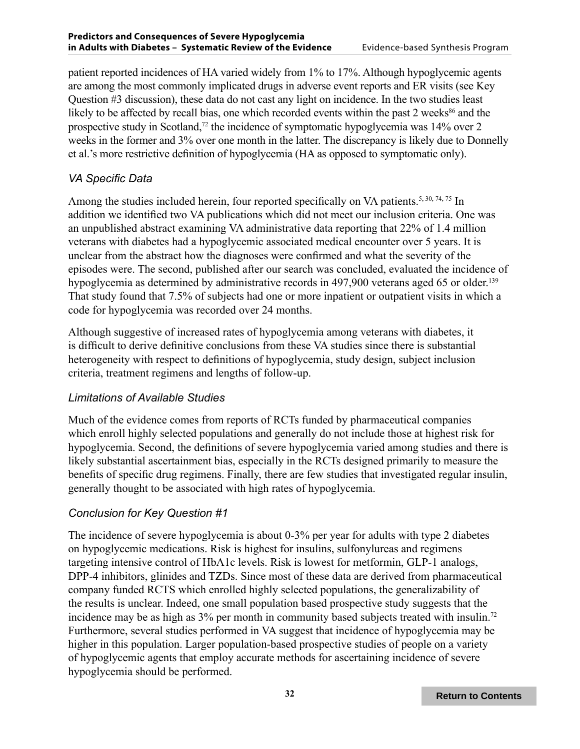patient reported incidences of HA varied widely from 1% to 17%. Although hypoglycemic agents are among the most commonly implicated drugs in adverse event reports and ER visits (see Key Question #3 discussion), these data do not cast any light on incidence. In the two studies least likely to be affected by recall bias, one which recorded events within the past 2 weeks<sup>86</sup> and the prospective study in Scotland.<sup>72</sup> the incidence of symptomatic hypoglycemia was  $14%$  over 2 weeks in the former and 3% over one month in the latter. The discrepancy is likely due to Donnelly et al.'s more restrictive definition of hypoglycemia (HA as opposed to symptomatic only).

## *VA Specific Data*

Among the studies included herein, four reported specifically on VA patients.<sup>5, 30, 74, 75</sup> In addition we identified two VA publications which did not meet our inclusion criteria. One was an unpublished abstract examining VA administrative data reporting that 22% of 1.4 million veterans with diabetes had a hypoglycemic associated medical encounter over 5 years. It is unclear from the abstract how the diagnoses were confirmed and what the severity of the episodes were. The second, published after our search was concluded, evaluated the incidence of hypoglycemia as determined by administrative records in 497,900 veterans aged 65 or older.<sup>139</sup> That study found that 7.5% of subjects had one or more inpatient or outpatient visits in which a code for hypoglycemia was recorded over 24 months.

Although suggestive of increased rates of hypoglycemia among veterans with diabetes, it is difficult to derive definitive conclusions from these VA studies since there is substantial heterogeneity with respect to definitions of hypoglycemia, study design, subject inclusion criteria, treatment regimens and lengths of follow-up.

#### *Limitations of Available Studies*

Much of the evidence comes from reports of RCTs funded by pharmaceutical companies which enroll highly selected populations and generally do not include those at highest risk for hypoglycemia. Second, the definitions of severe hypoglycemia varied among studies and there is likely substantial ascertainment bias, especially in the RCTs designed primarily to measure the benefits of specific drug regimens. Finally, there are few studies that investigated regular insulin, generally thought to be associated with high rates of hypoglycemia.

## *Conclusion for Key Question #1*

The incidence of severe hypoglycemia is about 0-3% per year for adults with type 2 diabetes on hypoglycemic medications. Risk is highest for insulins, sulfonylureas and regimens targeting intensive control of HbA1c levels. Risk is lowest for metformin, GLP-1 analogs, DPP-4 inhibitors, glinides and TZDs. Since most of these data are derived from pharmaceutical company funded RCTS which enrolled highly selected populations, the generalizability of the results is unclear. Indeed, one small population based prospective study suggests that the incidence may be as high as 3% per month in community based subjects treated with insulin.<sup>72</sup> Furthermore, several studies performed in VA suggest that incidence of hypoglycemia may be higher in this population. Larger population-based prospective studies of people on a variety of hypoglycemic agents that employ accurate methods for ascertaining incidence of severe hypoglycemia should be performed.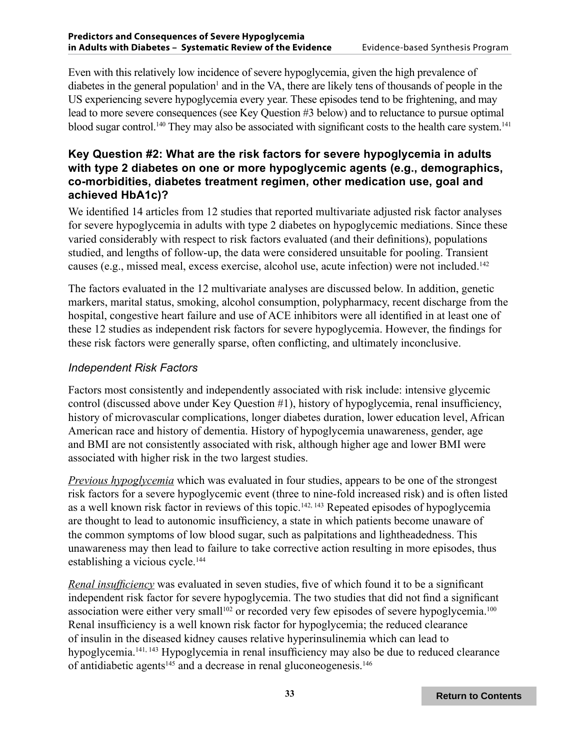Even with this relatively low incidence of severe hypoglycemia, given the high prevalence of diabetes in the general population<sup>1</sup> and in the VA, there are likely tens of thousands of people in the US experiencing severe hypoglycemia every year. These episodes tend to be frightening, and may lead to more severe consequences (see Key Question #3 below) and to reluctance to pursue optimal blood sugar control.<sup>140</sup> They may also be associated with significant costs to the health care system.<sup>141</sup>

## **Key Question #2: What are the risk factors for severe hypoglycemia in adults with type 2 diabetes on one or more hypoglycemic agents (e.g., demographics, co-morbidities, diabetes treatment regimen, other medication use, goal and achieved HbA1c)?**

We identified 14 articles from 12 studies that reported multivariate adjusted risk factor analyses for severe hypoglycemia in adults with type 2 diabetes on hypoglycemic mediations. Since these varied considerably with respect to risk factors evaluated (and their definitions), populations studied, and lengths of follow-up, the data were considered unsuitable for pooling. Transient causes (e.g., missed meal, excess exercise, alcohol use, acute infection) were not included.142

The factors evaluated in the 12 multivariate analyses are discussed below. In addition, genetic markers, marital status, smoking, alcohol consumption, polypharmacy, recent discharge from the hospital, congestive heart failure and use of ACE inhibitors were all identified in at least one of these 12 studies as independent risk factors for severe hypoglycemia. However, the findings for these risk factors were generally sparse, often conflicting, and ultimately inconclusive.

#### *Independent Risk Factors*

Factors most consistently and independently associated with risk include: intensive glycemic control (discussed above under Key Question #1), history of hypoglycemia, renal insufficiency, history of microvascular complications, longer diabetes duration, lower education level, African American race and history of dementia. History of hypoglycemia unawareness, gender, age and BMI are not consistently associated with risk, although higher age and lower BMI were associated with higher risk in the two largest studies.

*Previous hypoglycemia* which was evaluated in four studies, appears to be one of the strongest risk factors for a severe hypoglycemic event (three to nine-fold increased risk) and is often listed as a well known risk factor in reviews of this topic.142, 143 Repeated episodes of hypoglycemia are thought to lead to autonomic insufficiency, a state in which patients become unaware of the common symptoms of low blood sugar, such as palpitations and lightheadedness. This unawareness may then lead to failure to take corrective action resulting in more episodes, thus establishing a vicious cycle.144

*Renal insufficiency* was evaluated in seven studies, five of which found it to be a significant independent risk factor for severe hypoglycemia. The two studies that did not find a significant association were either very small<sup>102</sup> or recorded very few episodes of severe hypoglycemia.<sup>100</sup> Renal insufficiency is a well known risk factor for hypoglycemia; the reduced clearance of insulin in the diseased kidney causes relative hyperinsulinemia which can lead to hypoglycemia.<sup>141, 143</sup> Hypoglycemia in renal insufficiency may also be due to reduced clearance of antidiabetic agents<sup>145</sup> and a decrease in renal gluconeogenesis.<sup>146</sup>

**Return to Contents**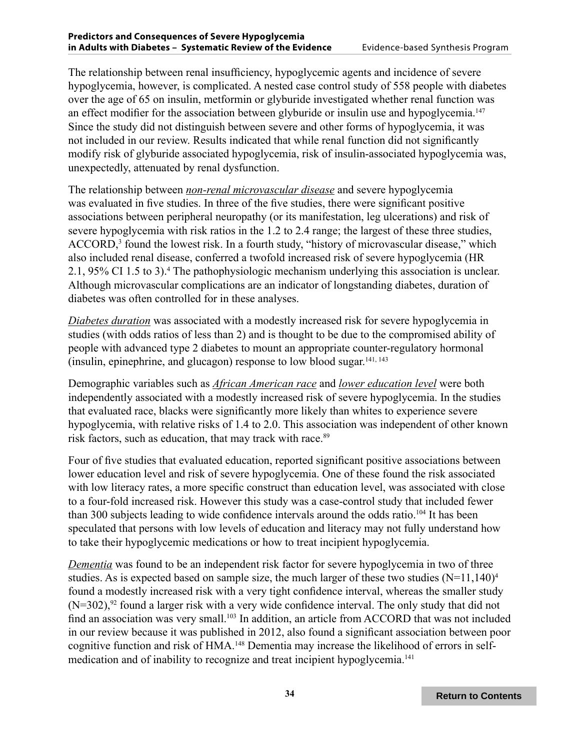The relationship between renal insufficiency, hypoglycemic agents and incidence of severe hypoglycemia, however, is complicated. A nested case control study of 558 people with diabetes over the age of 65 on insulin, metformin or glyburide investigated whether renal function was an effect modifier for the association between glyburide or insulin use and hypoglycemia.<sup>147</sup> Since the study did not distinguish between severe and other forms of hypoglycemia, it was not included in our review. Results indicated that while renal function did not significantly modify risk of glyburide associated hypoglycemia, risk of insulin-associated hypoglycemia was, unexpectedly, attenuated by renal dysfunction.

The relationship between *non-renal microvascular disease* and severe hypoglycemia was evaluated in five studies. In three of the five studies, there were significant positive associations between peripheral neuropathy (or its manifestation, leg ulcerations) and risk of severe hypoglycemia with risk ratios in the 1.2 to 2.4 range; the largest of these three studies,  $ACCORD<sup>3</sup>$  found the lowest risk. In a fourth study, "history of microvascular disease," which also included renal disease, conferred a twofold increased risk of severe hypoglycemia (HR 2.1, 95% CI 1.5 to 3).<sup>4</sup> The pathophysiologic mechanism underlying this association is unclear. Although microvascular complications are an indicator of longstanding diabetes, duration of diabetes was often controlled for in these analyses.

*Diabetes duration* was associated with a modestly increased risk for severe hypoglycemia in studies (with odds ratios of less than 2) and is thought to be due to the compromised ability of people with advanced type 2 diabetes to mount an appropriate counter-regulatory hormonal (insulin, epinephrine, and glucagon) response to low blood sugar.141, 143

Demographic variables such as *African American race* and *lower education level* were both independently associated with a modestly increased risk of severe hypoglycemia. In the studies that evaluated race, blacks were significantly more likely than whites to experience severe hypoglycemia, with relative risks of 1.4 to 2.0. This association was independent of other known risk factors, such as education, that may track with race.<sup>89</sup>

Four of five studies that evaluated education, reported significant positive associations between lower education level and risk of severe hypoglycemia. One of these found the risk associated with low literacy rates, a more specific construct than education level, was associated with close to a four-fold increased risk. However this study was a case-control study that included fewer than 300 subjects leading to wide confidence intervals around the odds ratio.<sup>104</sup> It has been speculated that persons with low levels of education and literacy may not fully understand how to take their hypoglycemic medications or how to treat incipient hypoglycemia.

*Dementia* was found to be an independent risk factor for severe hypoglycemia in two of three studies. As is expected based on sample size, the much larger of these two studies  $(N=11,140)^4$ found a modestly increased risk with a very tight confidence interval, whereas the smaller study  $(N=302)$ ,<sup>92</sup> found a larger risk with a very wide confidence interval. The only study that did not find an association was very small.<sup>103</sup> In addition, an article from ACCORD that was not included in our review because it was published in 2012, also found a significant association between poor cognitive function and risk of HMA.148 Dementia may increase the likelihood of errors in selfmedication and of inability to recognize and treat incipient hypoglycemia.<sup>141</sup>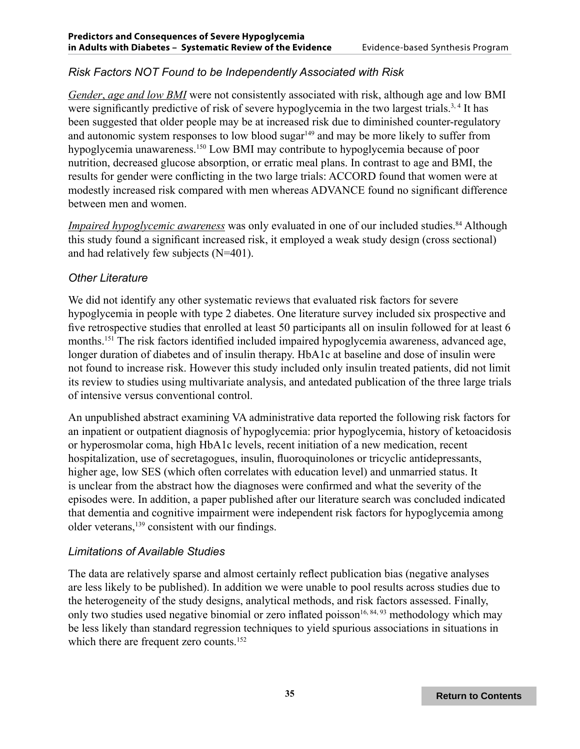## *Risk Factors NOT Found to be Independently Associated with Risk*

*Gender*, *age and low BMI* were not consistently associated with risk, although age and low BMI were significantly predictive of risk of severe hypoglycemia in the two largest trials.<sup>3,4</sup> It has been suggested that older people may be at increased risk due to diminished counter-regulatory and autonomic system responses to low blood sugar $149$  and may be more likely to suffer from hypoglycemia unawareness.150 Low BMI may contribute to hypoglycemia because of poor nutrition, decreased glucose absorption, or erratic meal plans. In contrast to age and BMI, the results for gender were conflicting in the two large trials: ACCORD found that women were at modestly increased risk compared with men whereas ADVANCE found no significant difference between men and women.

*Impaired hypoglycemic awareness* was only evaluated in one of our included studies.<sup>84</sup> Although this study found a significant increased risk, it employed a weak study design (cross sectional) and had relatively few subjects (N=401).

## *Other Literature*

We did not identify any other systematic reviews that evaluated risk factors for severe hypoglycemia in people with type 2 diabetes. One literature survey included six prospective and five retrospective studies that enrolled at least 50 participants all on insulin followed for at least 6 months.151 The risk factors identified included impaired hypoglycemia awareness, advanced age, longer duration of diabetes and of insulin therapy. HbA1c at baseline and dose of insulin were not found to increase risk. However this study included only insulin treated patients, did not limit its review to studies using multivariate analysis, and antedated publication of the three large trials of intensive versus conventional control.

An unpublished abstract examining VA administrative data reported the following risk factors for an inpatient or outpatient diagnosis of hypoglycemia: prior hypoglycemia, history of ketoacidosis or hyperosmolar coma, high HbA1c levels, recent initiation of a new medication, recent hospitalization, use of secretagogues, insulin, fluoroquinolones or tricyclic antidepressants, higher age, low SES (which often correlates with education level) and unmarried status. It is unclear from the abstract how the diagnoses were confirmed and what the severity of the episodes were. In addition, a paper published after our literature search was concluded indicated that dementia and cognitive impairment were independent risk factors for hypoglycemia among older veterans,139 consistent with our findings.

## *Limitations of Available Studies*

The data are relatively sparse and almost certainly reflect publication bias (negative analyses are less likely to be published). In addition we were unable to pool results across studies due to the heterogeneity of the study designs, analytical methods, and risk factors assessed. Finally, only two studies used negative binomial or zero inflated poisson<sup>16, 84, 93</sup> methodology which may be less likely than standard regression techniques to yield spurious associations in situations in which there are frequent zero counts.<sup>152</sup>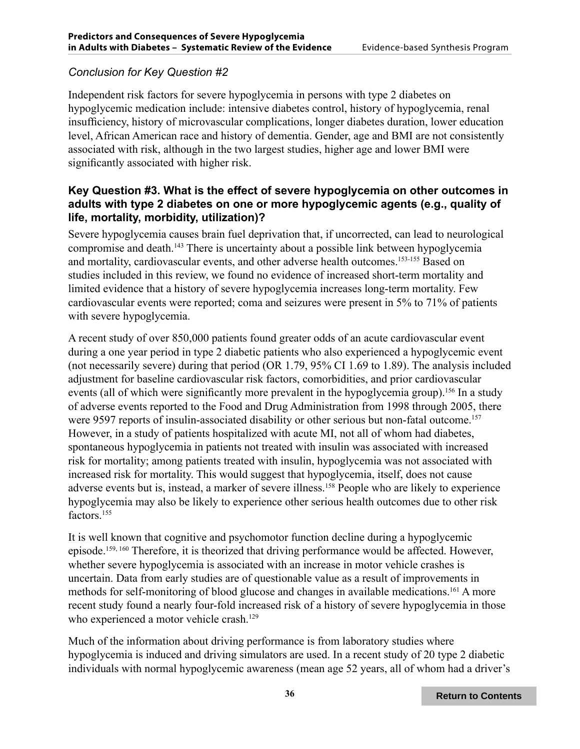## *Conclusion for Key Question #2*

Independent risk factors for severe hypoglycemia in persons with type 2 diabetes on hypoglycemic medication include: intensive diabetes control, history of hypoglycemia, renal insufficiency, history of microvascular complications, longer diabetes duration, lower education level, African American race and history of dementia. Gender, age and BMI are not consistently associated with risk, although in the two largest studies, higher age and lower BMI were significantly associated with higher risk.

## **Key Question #3. What is the effect of severe hypoglycemia on other outcomes in adults with type 2 diabetes on one or more hypoglycemic agents (e.g., quality of life, mortality, morbidity, utilization)?**

Severe hypoglycemia causes brain fuel deprivation that, if uncorrected, can lead to neurological compromise and death.143 There is uncertainty about a possible link between hypoglycemia and mortality, cardiovascular events, and other adverse health outcomes.153-155 Based on studies included in this review, we found no evidence of increased short-term mortality and limited evidence that a history of severe hypoglycemia increases long-term mortality. Few cardiovascular events were reported; coma and seizures were present in 5% to 71% of patients with severe hypoglycemia.

A recent study of over 850,000 patients found greater odds of an acute cardiovascular event during a one year period in type 2 diabetic patients who also experienced a hypoglycemic event (not necessarily severe) during that period (OR 1.79, 95% CI 1.69 to 1.89). The analysis included adjustment for baseline cardiovascular risk factors, comorbidities, and prior cardiovascular events (all of which were significantly more prevalent in the hypoglycemia group).<sup>156</sup> In a study of adverse events reported to the Food and Drug Administration from 1998 through 2005, there were 9597 reports of insulin-associated disability or other serious but non-fatal outcome.<sup>157</sup> However, in a study of patients hospitalized with acute MI, not all of whom had diabetes, spontaneous hypoglycemia in patients not treated with insulin was associated with increased risk for mortality; among patients treated with insulin, hypoglycemia was not associated with increased risk for mortality. This would suggest that hypoglycemia, itself, does not cause adverse events but is, instead, a marker of severe illness.158 People who are likely to experience hypoglycemia may also be likely to experience other serious health outcomes due to other risk factors.<sup>155</sup>

It is well known that cognitive and psychomotor function decline during a hypoglycemic episode.159, 160 Therefore, it is theorized that driving performance would be affected. However, whether severe hypoglycemia is associated with an increase in motor vehicle crashes is uncertain. Data from early studies are of questionable value as a result of improvements in methods for self-monitoring of blood glucose and changes in available medications.161 A more recent study found a nearly four-fold increased risk of a history of severe hypoglycemia in those who experienced a motor vehicle crash.<sup>129</sup>

Much of the information about driving performance is from laboratory studies where hypoglycemia is induced and driving simulators are used. In a recent study of 20 type 2 diabetic individuals with normal hypoglycemic awareness (mean age 52 years, all of whom had a driver's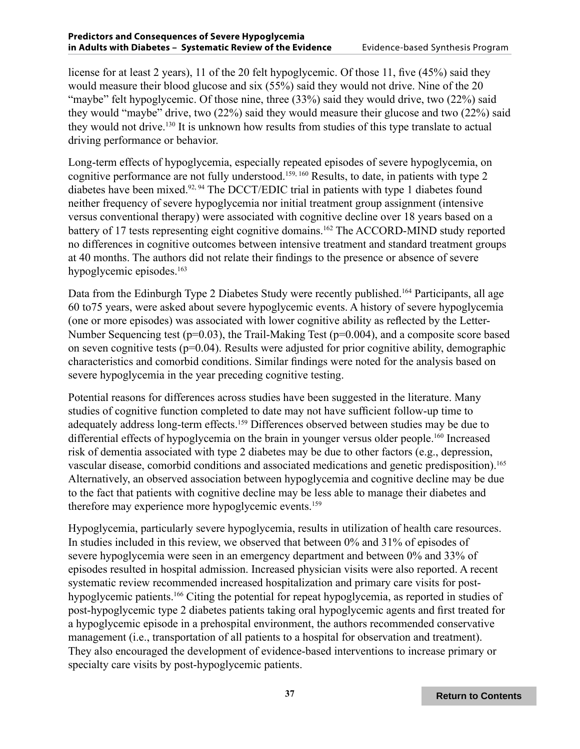license for at least 2 years), 11 of the 20 felt hypoglycemic. Of those 11, five (45%) said they would measure their blood glucose and six (55%) said they would not drive. Nine of the 20 "maybe" felt hypoglycemic. Of those nine, three (33%) said they would drive, two (22%) said they would "maybe" drive, two (22%) said they would measure their glucose and two (22%) said they would not drive.130 It is unknown how results from studies of this type translate to actual driving performance or behavior.

Long-term effects of hypoglycemia, especially repeated episodes of severe hypoglycemia, on cognitive performance are not fully understood.159, 160 Results, to date, in patients with type 2 diabetes have been mixed.<sup>92, 94</sup> The DCCT/EDIC trial in patients with type 1 diabetes found neither frequency of severe hypoglycemia nor initial treatment group assignment (intensive versus conventional therapy) were associated with cognitive decline over 18 years based on a battery of 17 tests representing eight cognitive domains.<sup>162</sup> The ACCORD-MIND study reported no differences in cognitive outcomes between intensive treatment and standard treatment groups at 40 months. The authors did not relate their findings to the presence or absence of severe hypoglycemic episodes.<sup>163</sup>

Data from the Edinburgh Type 2 Diabetes Study were recently published.<sup>164</sup> Participants, all age 60 to75 years, were asked about severe hypoglycemic events. A history of severe hypoglycemia (one or more episodes) was associated with lower cognitive ability as reflected by the Letter-Number Sequencing test (p=0.03), the Trail-Making Test (p=0.004), and a composite score based on seven cognitive tests ( $p=0.04$ ). Results were adjusted for prior cognitive ability, demographic characteristics and comorbid conditions. Similar findings were noted for the analysis based on severe hypoglycemia in the year preceding cognitive testing.

Potential reasons for differences across studies have been suggested in the literature. Many studies of cognitive function completed to date may not have sufficient follow-up time to adequately address long-term effects.<sup>159</sup> Differences observed between studies may be due to differential effects of hypoglycemia on the brain in younger versus older people.160 Increased risk of dementia associated with type 2 diabetes may be due to other factors (e.g., depression, vascular disease, comorbid conditions and associated medications and genetic predisposition).165 Alternatively, an observed association between hypoglycemia and cognitive decline may be due to the fact that patients with cognitive decline may be less able to manage their diabetes and therefore may experience more hypoglycemic events.159

Hypoglycemia, particularly severe hypoglycemia, results in utilization of health care resources. In studies included in this review, we observed that between 0% and 31% of episodes of severe hypoglycemia were seen in an emergency department and between 0% and 33% of episodes resulted in hospital admission. Increased physician visits were also reported. A recent systematic review recommended increased hospitalization and primary care visits for posthypoglycemic patients.<sup>166</sup> Citing the potential for repeat hypoglycemia, as reported in studies of post-hypoglycemic type 2 diabetes patients taking oral hypoglycemic agents and first treated for a hypoglycemic episode in a prehospital environment, the authors recommended conservative management (i.e., transportation of all patients to a hospital for observation and treatment). They also encouraged the development of evidence-based interventions to increase primary or specialty care visits by post-hypoglycemic patients.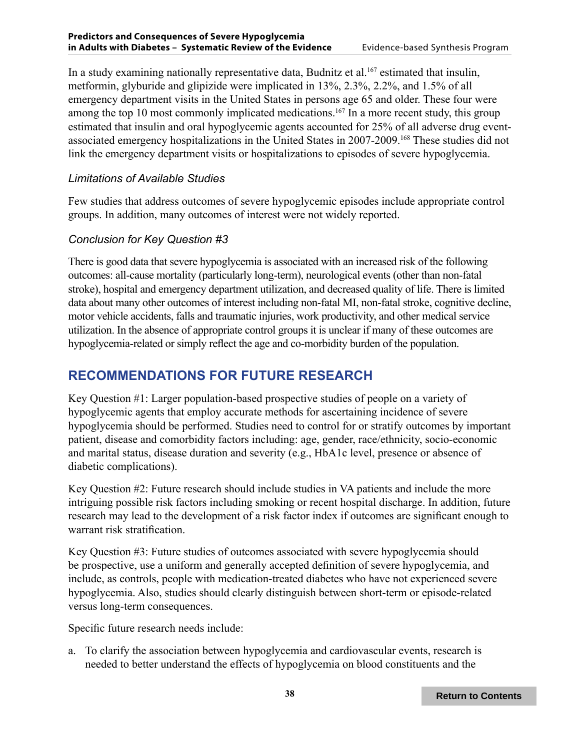<span id="page-37-0"></span>In a study examining nationally representative data, Budnitz et al.<sup>167</sup> estimated that insulin, metformin, glyburide and glipizide were implicated in 13%, 2.3%, 2.2%, and 1.5% of all emergency department visits in the United States in persons age 65 and older. These four were among the top 10 most commonly implicated medications.<sup>167</sup> In a more recent study, this group estimated that insulin and oral hypoglycemic agents accounted for 25% of all adverse drug eventassociated emergency hospitalizations in the United States in 2007-2009.168 These studies did not link the emergency department visits or hospitalizations to episodes of severe hypoglycemia.

## *Limitations of Available Studies*

Few studies that address outcomes of severe hypoglycemic episodes include appropriate control groups. In addition, many outcomes of interest were not widely reported.

#### *Conclusion for Key Question #3*

There is good data that severe hypoglycemia is associated with an increased risk of the following outcomes: all-cause mortality (particularly long-term), neurological events (other than non-fatal stroke), hospital and emergency department utilization, and decreased quality of life. There is limited data about many other outcomes of interest including non-fatal MI, non-fatal stroke, cognitive decline, motor vehicle accidents, falls and traumatic injuries, work productivity, and other medical service utilization. In the absence of appropriate control groups it is unclear if many of these outcomes are hypoglycemia-related or simply reflect the age and co-morbidity burden of the population.

## **RECOMMENDATIONS FOR FUTURE RESEARCH**

Key Question #1: Larger population-based prospective studies of people on a variety of hypoglycemic agents that employ accurate methods for ascertaining incidence of severe hypoglycemia should be performed. Studies need to control for or stratify outcomes by important patient, disease and comorbidity factors including: age, gender, race/ethnicity, socio-economic and marital status, disease duration and severity (e.g., HbA1c level, presence or absence of diabetic complications).

Key Question #2: Future research should include studies in VA patients and include the more intriguing possible risk factors including smoking or recent hospital discharge. In addition, future research may lead to the development of a risk factor index if outcomes are significant enough to warrant risk stratification.

Key Question #3: Future studies of outcomes associated with severe hypoglycemia should be prospective, use a uniform and generally accepted definition of severe hypoglycemia, and include, as controls, people with medication-treated diabetes who have not experienced severe hypoglycemia. Also, studies should clearly distinguish between short-term or episode-related versus long-term consequences.

Specific future research needs include:

a. To clarify the association between hypoglycemia and cardiovascular events, research is needed to better understand the effects of hypoglycemia on blood constituents and the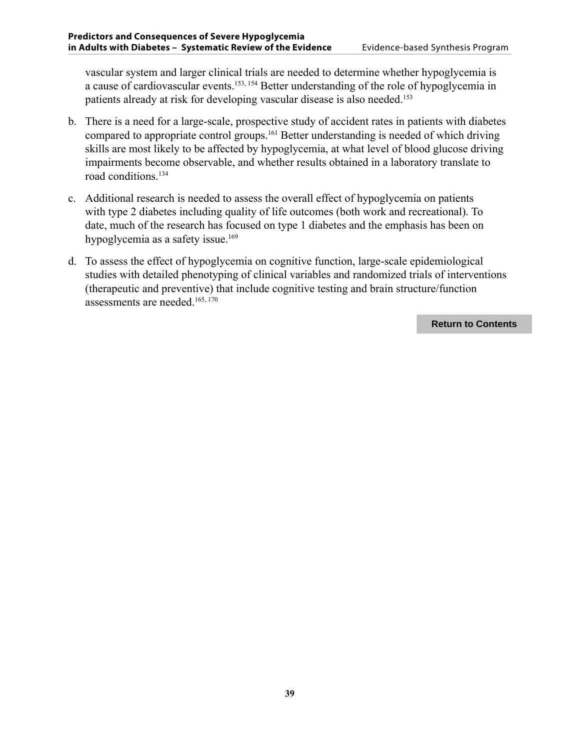vascular system and larger clinical trials are needed to determine whether hypoglycemia is a cause of cardiovascular events.<sup>153, 154</sup> Better understanding of the role of hypoglycemia in patients already at risk for developing vascular disease is also needed.153

- b. There is a need for a large-scale, prospective study of accident rates in patients with diabetes compared to appropriate control groups.<sup>161</sup> Better understanding is needed of which driving skills are most likely to be affected by hypoglycemia, at what level of blood glucose driving impairments become observable, and whether results obtained in a laboratory translate to road conditions.134
- c. Additional research is needed to assess the overall effect of hypoglycemia on patients with type 2 diabetes including quality of life outcomes (both work and recreational). To date, much of the research has focused on type 1 diabetes and the emphasis has been on hypoglycemia as a safety issue.<sup>169</sup>
- d. To assess the effect of hypoglycemia on cognitive function, large-scale epidemiological studies with detailed phenotyping of clinical variables and randomized trials of interventions (therapeutic and preventive) that include cognitive testing and brain structure/function assessments are needed.165, 170

**Return to Contents**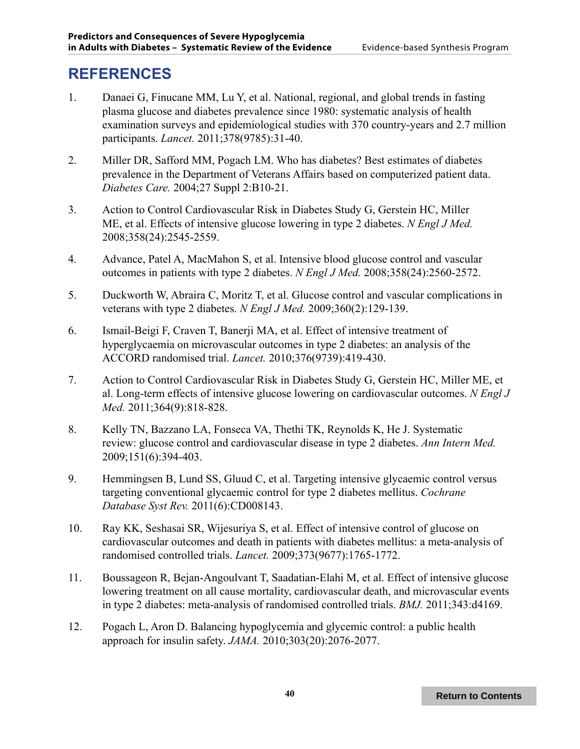## <span id="page-39-0"></span>**REFERENCES**

- 1. Danaei G, Finucane MM, Lu Y, et al. National, regional, and global trends in fasting plasma glucose and diabetes prevalence since 1980: systematic analysis of health examination surveys and epidemiological studies with 370 country-years and 2.7 million participants. *Lancet.* 2011;378(9785):31-40.
- 2. Miller DR, Safford MM, Pogach LM. Who has diabetes? Best estimates of diabetes prevalence in the Department of Veterans Affairs based on computerized patient data. *Diabetes Care.* 2004;27 Suppl 2:B10-21.
- 3. Action to Control Cardiovascular Risk in Diabetes Study G, Gerstein HC, Miller ME, et al. Effects of intensive glucose lowering in type 2 diabetes. *N Engl J Med.*  2008;358(24):2545-2559.
- 4. Advance, Patel A, MacMahon S, et al. Intensive blood glucose control and vascular outcomes in patients with type 2 diabetes. *N Engl J Med.* 2008;358(24):2560-2572.
- 5. Duckworth W, Abraira C, Moritz T, et al. Glucose control and vascular complications in veterans with type 2 diabetes. *N Engl J Med.* 2009;360(2):129-139.
- 6. Ismail-Beigi F, Craven T, Banerji MA, et al. Effect of intensive treatment of hyperglycaemia on microvascular outcomes in type 2 diabetes: an analysis of the ACCORD randomised trial. *Lancet.* 2010;376(9739):419-430.
- 7. Action to Control Cardiovascular Risk in Diabetes Study G, Gerstein HC, Miller ME, et al. Long-term effects of intensive glucose lowering on cardiovascular outcomes. *N Engl J Med.* 2011;364(9):818-828.
- 8. Kelly TN, Bazzano LA, Fonseca VA, Thethi TK, Reynolds K, He J. Systematic review: glucose control and cardiovascular disease in type 2 diabetes. *Ann Intern Med.*  2009;151(6):394-403.
- 9. Hemmingsen B, Lund SS, Gluud C, et al. Targeting intensive glycaemic control versus targeting conventional glycaemic control for type 2 diabetes mellitus. *Cochrane Database Syst Rev.* 2011(6):CD008143.
- 10. Ray KK, Seshasai SR, Wijesuriya S, et al. Effect of intensive control of glucose on cardiovascular outcomes and death in patients with diabetes mellitus: a meta-analysis of randomised controlled trials. *Lancet.* 2009;373(9677):1765-1772.
- 11. Boussageon R, Bejan-Angoulvant T, Saadatian-Elahi M, et al. Effect of intensive glucose lowering treatment on all cause mortality, cardiovascular death, and microvascular events in type 2 diabetes: meta-analysis of randomised controlled trials. *BMJ.* 2011;343:d4169.
- 12. Pogach L, Aron D. Balancing hypoglycemia and glycemic control: a public health approach for insulin safety. *JAMA.* 2010;303(20):2076-2077.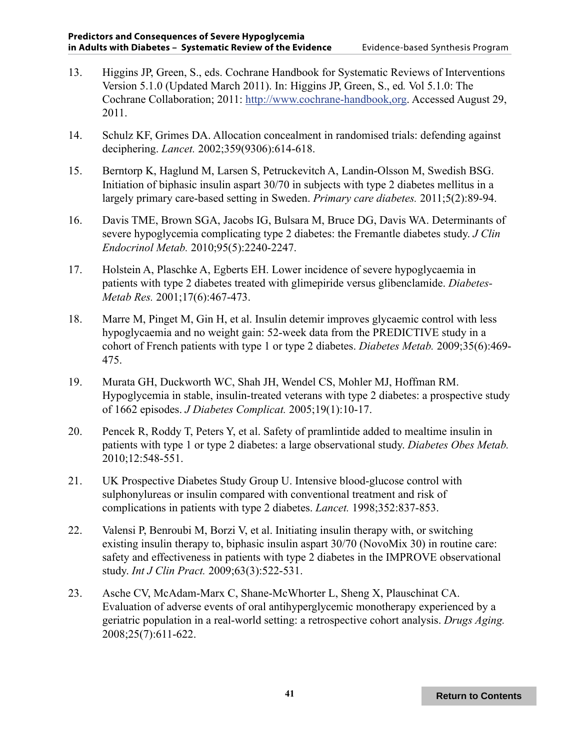- 13. Higgins JP, Green, S., eds. Cochrane Handbook for Systematic Reviews of Interventions Version 5.1.0 (Updated March 2011). In: Higgins JP, Green, S., ed*.* Vol 5.1.0: The Cochrane Collaboration; 2011: http://www.cochrane-handbook,org. Accessed August 29, 2011.
- 14. Schulz KF, Grimes DA. Allocation concealment in randomised trials: defending against deciphering. *Lancet.* 2002;359(9306):614-618.
- 15. Berntorp K, Haglund M, Larsen S, Petruckevitch A, Landin-Olsson M, Swedish BSG. Initiation of biphasic insulin aspart 30/70 in subjects with type 2 diabetes mellitus in a largely primary care-based setting in Sweden. *Primary care diabetes.* 2011;5(2):89-94.
- 16. Davis TME, Brown SGA, Jacobs IG, Bulsara M, Bruce DG, Davis WA. Determinants of severe hypoglycemia complicating type 2 diabetes: the Fremantle diabetes study. *J Clin Endocrinol Metab.* 2010;95(5):2240-2247.
- 17. Holstein A, Plaschke A, Egberts EH. Lower incidence of severe hypoglycaemia in patients with type 2 diabetes treated with glimepiride versus glibenclamide. *Diabetes-Metab Res.* 2001;17(6):467-473.
- 18. Marre M, Pinget M, Gin H, et al. Insulin detemir improves glycaemic control with less hypoglycaemia and no weight gain: 52-week data from the PREDICTIVE study in a cohort of French patients with type 1 or type 2 diabetes. *Diabetes Metab.* 2009;35(6):469- 475.
- 19. Murata GH, Duckworth WC, Shah JH, Wendel CS, Mohler MJ, Hoffman RM. Hypoglycemia in stable, insulin-treated veterans with type 2 diabetes: a prospective study of 1662 episodes. *J Diabetes Complicat.* 2005;19(1):10-17.
- 20. Pencek R, Roddy T, Peters Y, et al. Safety of pramlintide added to mealtime insulin in patients with type 1 or type 2 diabetes: a large observational study. *Diabetes Obes Metab.*  2010;12:548-551.
- 21. UK Prospective Diabetes Study Group U. Intensive blood-glucose control with sulphonylureas or insulin compared with conventional treatment and risk of complications in patients with type 2 diabetes. *Lancet.* 1998;352:837-853.
- 22. Valensi P, Benroubi M, Borzi V, et al. Initiating insulin therapy with, or switching existing insulin therapy to, biphasic insulin aspart 30/70 (NovoMix 30) in routine care: safety and effectiveness in patients with type 2 diabetes in the IMPROVE observational study. *Int J Clin Pract.* 2009;63(3):522-531.
- 23. Asche CV, McAdam-Marx C, Shane-McWhorter L, Sheng X, Plauschinat CA. Evaluation of adverse events of oral antihyperglycemic monotherapy experienced by a geriatric population in a real-world setting: a retrospective cohort analysis. *Drugs Aging.*  2008;25(7):611-622.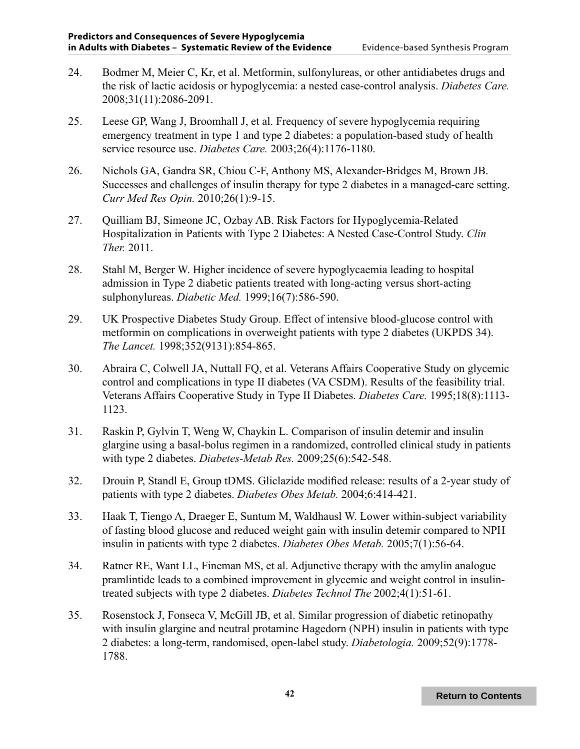- 24. Bodmer M, Meier C, Kr, et al. Metformin, sulfonylureas, or other antidiabetes drugs and the risk of lactic acidosis or hypoglycemia: a nested case-control analysis. *Diabetes Care.* 2008;31(11):2086-2091.
- 25. Leese GP, Wang J, Broomhall J, et al. Frequency of severe hypoglycemia requiring emergency treatment in type 1 and type 2 diabetes: a population-based study of health service resource use. *Diabetes Care.* 2003;26(4):1176-1180.
- 26. Nichols GA, Gandra SR, Chiou C-F, Anthony MS, Alexander-Bridges M, Brown JB. Successes and challenges of insulin therapy for type 2 diabetes in a managed-care setting. *Curr Med Res Opin.* 2010;26(1):9-15.
- 27. Quilliam BJ, Simeone JC, Ozbay AB. Risk Factors for Hypoglycemia-Related Hospitalization in Patients with Type 2 Diabetes: A Nested Case-Control Study. *Clin Ther.* 2011.
- 28. Stahl M, Berger W. Higher incidence of severe hypoglycaemia leading to hospital admission in Type 2 diabetic patients treated with long-acting versus short-acting sulphonylureas. *Diabetic Med.* 1999;16(7):586-590.
- 29. UK Prospective Diabetes Study Group. Effect of intensive blood-glucose control with metformin on complications in overweight patients with type 2 diabetes (UKPDS 34). *The Lancet.* 1998;352(9131):854-865.
- 30. Abraira C, Colwell JA, Nuttall FQ, et al. Veterans Affairs Cooperative Study on glycemic control and complications in type II diabetes (VA CSDM). Results of the feasibility trial. Veterans Affairs Cooperative Study in Type II Diabetes. *Diabetes Care.* 1995;18(8):1113- 1123.
- 31. Raskin P, Gylvin T, Weng W, Chaykin L. Comparison of insulin detemir and insulin glargine using a basal-bolus regimen in a randomized, controlled clinical study in patients with type 2 diabetes. *Diabetes-Metab Res.* 2009;25(6):542-548.
- 32. Drouin P, Standl E, Group tDMS. Gliclazide modified release: results of a 2-year study of patients with type 2 diabetes. *Diabetes Obes Metab.* 2004;6:414-421.
- 33. Haak T, Tiengo A, Draeger E, Suntum M, Waldhausl W. Lower within-subject variability of fasting blood glucose and reduced weight gain with insulin detemir compared to NPH insulin in patients with type 2 diabetes. *Diabetes Obes Metab.* 2005;7(1):56-64.
- 34. Ratner RE, Want LL, Fineman MS, et al. Adjunctive therapy with the amylin analogue pramlintide leads to a combined improvement in glycemic and weight control in insulintreated subjects with type 2 diabetes. *Diabetes Technol The* 2002;4(1):51-61.
- 35. Rosenstock J, Fonseca V, McGill JB, et al. Similar progression of diabetic retinopathy with insulin glargine and neutral protamine Hagedorn (NPH) insulin in patients with type 2 diabetes: a long-term, randomised, open-label study. *Diabetologia.* 2009;52(9):1778- 1788.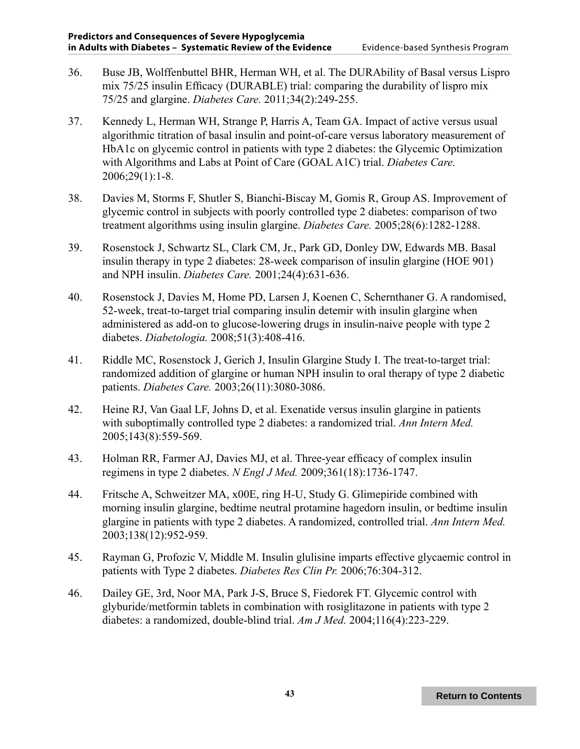- 36. Buse JB, Wolffenbuttel BHR, Herman WH, et al. The DURAbility of Basal versus Lispro mix 75/25 insulin Efficacy (DURABLE) trial: comparing the durability of lispro mix 75/25 and glargine. *Diabetes Care.* 2011;34(2):249-255.
- 37. Kennedy L, Herman WH, Strange P, Harris A, Team GA. Impact of active versus usual algorithmic titration of basal insulin and point-of-care versus laboratory measurement of HbA1c on glycemic control in patients with type 2 diabetes: the Glycemic Optimization with Algorithms and Labs at Point of Care (GOAL A1C) trial. *Diabetes Care.*  2006;29(1):1-8.
- 38. Davies M, Storms F, Shutler S, Bianchi-Biscay M, Gomis R, Group AS. Improvement of glycemic control in subjects with poorly controlled type 2 diabetes: comparison of two treatment algorithms using insulin glargine. *Diabetes Care.* 2005;28(6):1282-1288.
- 39. Rosenstock J, Schwartz SL, Clark CM, Jr., Park GD, Donley DW, Edwards MB. Basal insulin therapy in type 2 diabetes: 28-week comparison of insulin glargine (HOE 901) and NPH insulin. *Diabetes Care.* 2001;24(4):631-636.
- 40. Rosenstock J, Davies M, Home PD, Larsen J, Koenen C, Schernthaner G. A randomised, 52-week, treat-to-target trial comparing insulin detemir with insulin glargine when administered as add-on to glucose-lowering drugs in insulin-naive people with type 2 diabetes. *Diabetologia.* 2008;51(3):408-416.
- 41. Riddle MC, Rosenstock J, Gerich J, Insulin Glargine Study I. The treat-to-target trial: randomized addition of glargine or human NPH insulin to oral therapy of type 2 diabetic patients. *Diabetes Care.* 2003;26(11):3080-3086.
- 42. Heine RJ, Van Gaal LF, Johns D, et al. Exenatide versus insulin glargine in patients with suboptimally controlled type 2 diabetes: a randomized trial. *Ann Intern Med.* 2005;143(8):559-569.
- 43. Holman RR, Farmer AJ, Davies MJ, et al. Three-year efficacy of complex insulin regimens in type 2 diabetes. *N Engl J Med.* 2009;361(18):1736-1747.
- 44. Fritsche A, Schweitzer MA, x00E, ring H-U, Study G. Glimepiride combined with morning insulin glargine, bedtime neutral protamine hagedorn insulin, or bedtime insulin glargine in patients with type 2 diabetes. A randomized, controlled trial. *Ann Intern Med.* 2003;138(12):952-959.
- 45. Rayman G, Profozic V, Middle M. Insulin glulisine imparts effective glycaemic control in patients with Type 2 diabetes. *Diabetes Res Clin Pr.* 2006;76:304-312.
- 46. Dailey GE, 3rd, Noor MA, Park J-S, Bruce S, Fiedorek FT. Glycemic control with glyburide/metformin tablets in combination with rosiglitazone in patients with type 2 diabetes: a randomized, double-blind trial. *Am J Med.* 2004;116(4):223-229.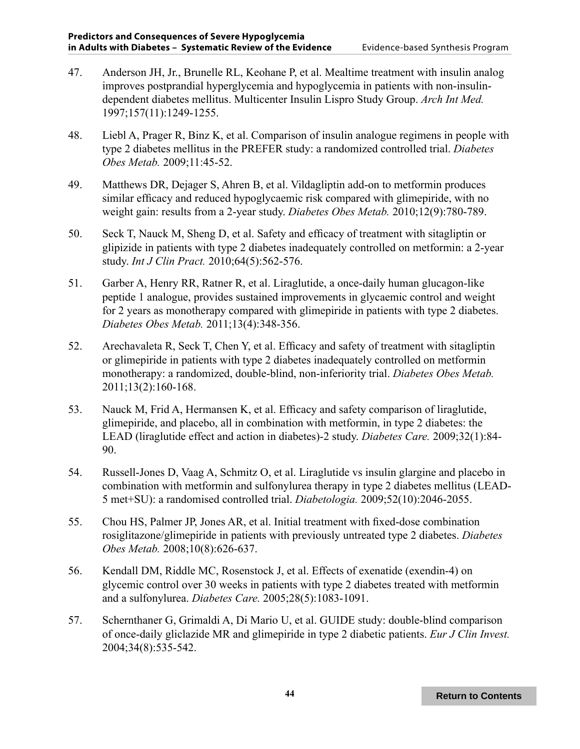- 47. Anderson JH, Jr., Brunelle RL, Keohane P, et al. Mealtime treatment with insulin analog improves postprandial hyperglycemia and hypoglycemia in patients with non-insulindependent diabetes mellitus. Multicenter Insulin Lispro Study Group. *Arch Int Med.* 1997;157(11):1249-1255.
- 48. Liebl A, Prager R, Binz K, et al. Comparison of insulin analogue regimens in people with type 2 diabetes mellitus in the PREFER study: a randomized controlled trial. *Diabetes Obes Metab.* 2009;11:45-52.
- 49. Matthews DR, Dejager S, Ahren B, et al. Vildagliptin add-on to metformin produces similar efficacy and reduced hypoglycaemic risk compared with glimepiride, with no weight gain: results from a 2-year study. *Diabetes Obes Metab.* 2010;12(9):780-789.
- 50. Seck T, Nauck M, Sheng D, et al. Safety and efficacy of treatment with sitagliptin or glipizide in patients with type 2 diabetes inadequately controlled on metformin: a 2-year study. *Int J Clin Pract.* 2010;64(5):562-576.
- 51. Garber A, Henry RR, Ratner R, et al. Liraglutide, a once-daily human glucagon-like peptide 1 analogue, provides sustained improvements in glycaemic control and weight for 2 years as monotherapy compared with glimepiride in patients with type 2 diabetes. *Diabetes Obes Metab.* 2011;13(4):348-356.
- 52. Arechavaleta R, Seck T, Chen Y, et al. Efficacy and safety of treatment with sitagliptin or glimepiride in patients with type 2 diabetes inadequately controlled on metformin monotherapy: a randomized, double-blind, non-inferiority trial. *Diabetes Obes Metab.* 2011;13(2):160-168.
- 53. Nauck M, Frid A, Hermansen K, et al. Efficacy and safety comparison of liraglutide, glimepiride, and placebo, all in combination with metformin, in type 2 diabetes: the LEAD (liraglutide effect and action in diabetes)-2 study. *Diabetes Care.* 2009;32(1):84- 90.
- 54. Russell-Jones D, Vaag A, Schmitz O, et al. Liraglutide vs insulin glargine and placebo in combination with metformin and sulfonylurea therapy in type 2 diabetes mellitus (LEAD-5 met+SU): a randomised controlled trial. *Diabetologia.* 2009;52(10):2046-2055.
- 55. Chou HS, Palmer JP, Jones AR, et al. Initial treatment with fixed-dose combination rosiglitazone/glimepiride in patients with previously untreated type 2 diabetes. *Diabetes Obes Metab.* 2008;10(8):626-637.
- 56. Kendall DM, Riddle MC, Rosenstock J, et al. Effects of exenatide (exendin-4) on glycemic control over 30 weeks in patients with type 2 diabetes treated with metformin and a sulfonylurea. *Diabetes Care.* 2005;28(5):1083-1091.
- 57. Schernthaner G, Grimaldi A, Di Mario U, et al. GUIDE study: double-blind comparison of once-daily gliclazide MR and glimepiride in type 2 diabetic patients. *Eur J Clin Invest.* 2004;34(8):535-542.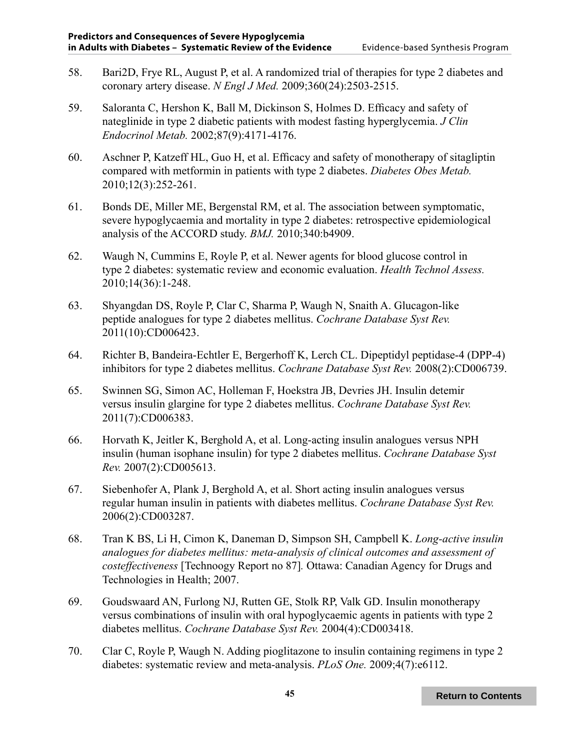- 58. Bari2D, Frye RL, August P, et al. A randomized trial of therapies for type 2 diabetes and coronary artery disease. *N Engl J Med.* 2009;360(24):2503-2515.
- 59. Saloranta C, Hershon K, Ball M, Dickinson S, Holmes D. Efficacy and safety of nateglinide in type 2 diabetic patients with modest fasting hyperglycemia. *J Clin Endocrinol Metab.* 2002;87(9):4171-4176.
- 60. Aschner P, Katzeff HL, Guo H, et al. Efficacy and safety of monotherapy of sitagliptin compared with metformin in patients with type 2 diabetes. *Diabetes Obes Metab.* 2010;12(3):252-261.
- 61. Bonds DE, Miller ME, Bergenstal RM, et al. The association between symptomatic, severe hypoglycaemia and mortality in type 2 diabetes: retrospective epidemiological analysis of the ACCORD study. *BMJ.* 2010;340:b4909.
- 62. Waugh N, Cummins E, Royle P, et al. Newer agents for blood glucose control in type 2 diabetes: systematic review and economic evaluation. *Health Technol Assess.* 2010;14(36):1-248.
- 63. Shyangdan DS, Royle P, Clar C, Sharma P, Waugh N, Snaith A. Glucagon-like peptide analogues for type 2 diabetes mellitus. *Cochrane Database Syst Rev.*  2011(10):CD006423.
- 64. Richter B, Bandeira-Echtler E, Bergerhoff K, Lerch CL. Dipeptidyl peptidase-4 (DPP-4) inhibitors for type 2 diabetes mellitus. *Cochrane Database Syst Rev.* 2008(2):CD006739.
- 65. Swinnen SG, Simon AC, Holleman F, Hoekstra JB, Devries JH. Insulin detemir versus insulin glargine for type 2 diabetes mellitus. *Cochrane Database Syst Rev.*  2011(7):CD006383.
- 66. Horvath K, Jeitler K, Berghold A, et al. Long-acting insulin analogues versus NPH insulin (human isophane insulin) for type 2 diabetes mellitus. *Cochrane Database Syst Rev.* 2007(2):CD005613.
- 67. Siebenhofer A, Plank J, Berghold A, et al. Short acting insulin analogues versus regular human insulin in patients with diabetes mellitus. *Cochrane Database Syst Rev.*  2006(2):CD003287.
- 68. Tran K BS, Li H, Cimon K, Daneman D, Simpson SH, Campbell K. *Long-active insulin analogues for diabetes mellitus: meta-analysis of clinical outcomes and assessment of costeffectiveness* [Technoogy Report no 87]*.* Ottawa: Canadian Agency for Drugs and Technologies in Health; 2007.
- 69. Goudswaard AN, Furlong NJ, Rutten GE, Stolk RP, Valk GD. Insulin monotherapy versus combinations of insulin with oral hypoglycaemic agents in patients with type 2 diabetes mellitus. *Cochrane Database Syst Rev.* 2004(4):CD003418.
- 70. Clar C, Royle P, Waugh N. Adding pioglitazone to insulin containing regimens in type 2 diabetes: systematic review and meta-analysis. *PLoS One.* 2009;4(7):e6112.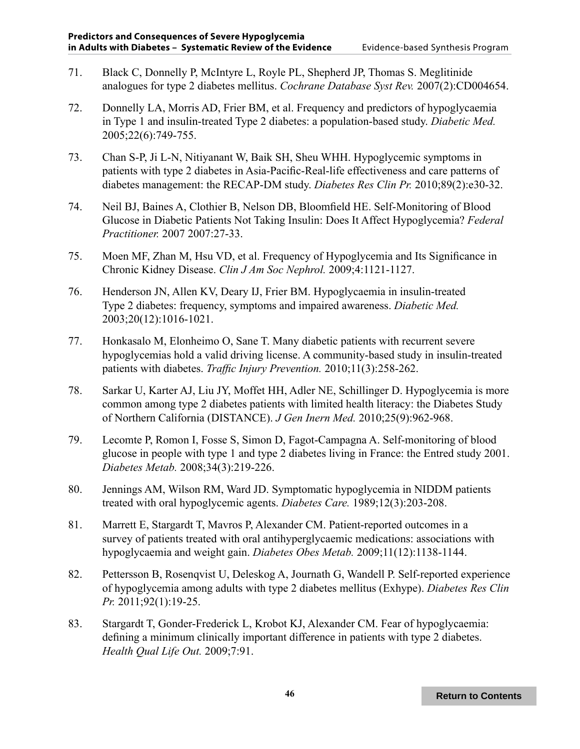- 71. Black C, Donnelly P, McIntyre L, Royle PL, Shepherd JP, Thomas S. Meglitinide analogues for type 2 diabetes mellitus. *Cochrane Database Syst Rev.* 2007(2):CD004654.
- 72. Donnelly LA, Morris AD, Frier BM, et al. Frequency and predictors of hypoglycaemia in Type 1 and insulin-treated Type 2 diabetes: a population-based study. *Diabetic Med.* 2005;22(6):749-755.
- 73. Chan S-P, Ji L-N, Nitiyanant W, Baik SH, Sheu WHH. Hypoglycemic symptoms in patients with type 2 diabetes in Asia-Pacific-Real-life effectiveness and care patterns of diabetes management: the RECAP-DM study. *Diabetes Res Clin Pr.* 2010;89(2):e30-32.
- 74. Neil BJ, Baines A, Clothier B, Nelson DB, Bloomfield HE. Self-Monitoring of Blood Glucose in Diabetic Patients Not Taking Insulin: Does It Affect Hypoglycemia? *Federal Practitioner.* 2007 2007:27-33.
- 75. Moen MF, Zhan M, Hsu VD, et al. Frequency of Hypoglycemia and Its Significance in Chronic Kidney Disease. *Clin J Am Soc Nephrol.* 2009;4:1121-1127.
- 76. Henderson JN, Allen KV, Deary IJ, Frier BM. Hypoglycaemia in insulin-treated Type 2 diabetes: frequency, symptoms and impaired awareness. *Diabetic Med.* 2003;20(12):1016-1021.
- 77. Honkasalo M, Elonheimo O, Sane T. Many diabetic patients with recurrent severe hypoglycemias hold a valid driving license. A community-based study in insulin-treated patients with diabetes. *Traffic Injury Prevention.* 2010;11(3):258-262.
- 78. Sarkar U, Karter AJ, Liu JY, Moffet HH, Adler NE, Schillinger D. Hypoglycemia is more common among type 2 diabetes patients with limited health literacy: the Diabetes Study of Northern California (DISTANCE). *J Gen Inern Med.* 2010;25(9):962-968.
- 79. Lecomte P, Romon I, Fosse S, Simon D, Fagot-Campagna A. Self-monitoring of blood glucose in people with type 1 and type 2 diabetes living in France: the Entred study 2001. *Diabetes Metab.* 2008;34(3):219-226.
- 80. Jennings AM, Wilson RM, Ward JD. Symptomatic hypoglycemia in NIDDM patients treated with oral hypoglycemic agents. *Diabetes Care.* 1989;12(3):203-208.
- 81. Marrett E, Stargardt T, Mavros P, Alexander CM. Patient-reported outcomes in a survey of patients treated with oral antihyperglycaemic medications: associations with hypoglycaemia and weight gain. *Diabetes Obes Metab.* 2009;11(12):1138-1144.
- 82. Pettersson B, Rosenqvist U, Deleskog A, Journath G, Wandell P. Self-reported experience of hypoglycemia among adults with type 2 diabetes mellitus (Exhype). *Diabetes Res Clin Pr.* 2011;92(1):19-25.
- 83. Stargardt T, Gonder-Frederick L, Krobot KJ, Alexander CM. Fear of hypoglycaemia: defining a minimum clinically important difference in patients with type 2 diabetes. *Health Qual Life Out.* 2009;7:91.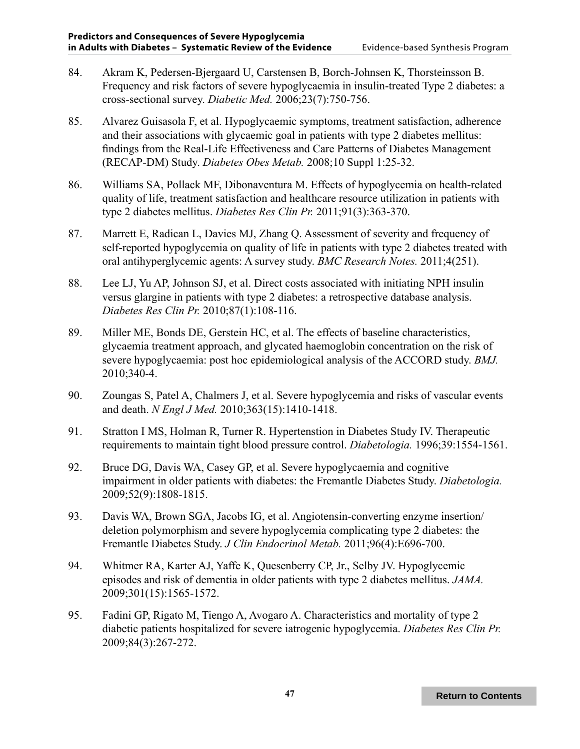- 84. Akram K, Pedersen-Bjergaard U, Carstensen B, Borch-Johnsen K, Thorsteinsson B. Frequency and risk factors of severe hypoglycaemia in insulin-treated Type 2 diabetes: a cross-sectional survey. *Diabetic Med.* 2006;23(7):750-756.
- 85. Alvarez Guisasola F, et al. Hypoglycaemic symptoms, treatment satisfaction, adherence and their associations with glycaemic goal in patients with type 2 diabetes mellitus: findings from the Real-Life Effectiveness and Care Patterns of Diabetes Management (RECAP-DM) Study. *Diabetes Obes Metab.* 2008;10 Suppl 1:25-32.
- 86. Williams SA, Pollack MF, Dibonaventura M. Effects of hypoglycemia on health-related quality of life, treatment satisfaction and healthcare resource utilization in patients with type 2 diabetes mellitus. *Diabetes Res Clin Pr.* 2011;91(3):363-370.
- 87. Marrett E, Radican L, Davies MJ, Zhang Q. Assessment of severity and frequency of self-reported hypoglycemia on quality of life in patients with type 2 diabetes treated with oral antihyperglycemic agents: A survey study. *BMC Research Notes.* 2011;4(251).
- 88. Lee LJ, Yu AP, Johnson SJ, et al. Direct costs associated with initiating NPH insulin versus glargine in patients with type 2 diabetes: a retrospective database analysis. *Diabetes Res Clin Pr.* 2010;87(1):108-116.
- 89. Miller ME, Bonds DE, Gerstein HC, et al. The effects of baseline characteristics, glycaemia treatment approach, and glycated haemoglobin concentration on the risk of severe hypoglycaemia: post hoc epidemiological analysis of the ACCORD study. *BMJ.*  2010;340-4.
- 90. Zoungas S, Patel A, Chalmers J, et al. Severe hypoglycemia and risks of vascular events and death. *N Engl J Med.* 2010;363(15):1410-1418.
- 91. Stratton I MS, Holman R, Turner R. Hypertenstion in Diabetes Study IV. Therapeutic requirements to maintain tight blood pressure control. *Diabetologia.* 1996;39:1554-1561.
- 92. Bruce DG, Davis WA, Casey GP, et al. Severe hypoglycaemia and cognitive impairment in older patients with diabetes: the Fremantle Diabetes Study. *Diabetologia.* 2009;52(9):1808-1815.
- 93. Davis WA, Brown SGA, Jacobs IG, et al. Angiotensin-converting enzyme insertion/ deletion polymorphism and severe hypoglycemia complicating type 2 diabetes: the Fremantle Diabetes Study. *J Clin Endocrinol Metab.* 2011;96(4):E696-700.
- 94. Whitmer RA, Karter AJ, Yaffe K, Quesenberry CP, Jr., Selby JV. Hypoglycemic episodes and risk of dementia in older patients with type 2 diabetes mellitus. *JAMA.* 2009;301(15):1565-1572.
- 95. Fadini GP, Rigato M, Tiengo A, Avogaro A. Characteristics and mortality of type 2 diabetic patients hospitalized for severe iatrogenic hypoglycemia. *Diabetes Res Clin Pr.* 2009;84(3):267-272.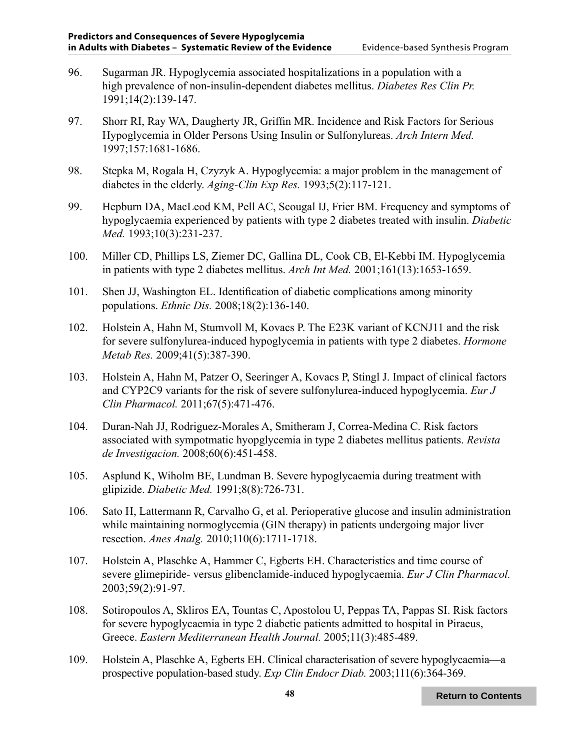- 96. Sugarman JR. Hypoglycemia associated hospitalizations in a population with a high prevalence of non-insulin-dependent diabetes mellitus. *Diabetes Res Clin Pr.* 1991;14(2):139-147.
- 97. Shorr RI, Ray WA, Daugherty JR, Griffin MR. Incidence and Risk Factors for Serious Hypoglycemia in Older Persons Using Insulin or Sulfonylureas. *Arch Intern Med.*  1997;157:1681-1686.
- 98. Stepka M, Rogala H, Czyzyk A. Hypoglycemia: a major problem in the management of diabetes in the elderly. *Aging-Clin Exp Res.* 1993;5(2):117-121.
- 99. Hepburn DA, MacLeod KM, Pell AC, Scougal IJ, Frier BM. Frequency and symptoms of hypoglycaemia experienced by patients with type 2 diabetes treated with insulin. *Diabetic Med.* 1993;10(3):231-237.
- 100. Miller CD, Phillips LS, Ziemer DC, Gallina DL, Cook CB, El-Kebbi IM. Hypoglycemia in patients with type 2 diabetes mellitus. *Arch Int Med.* 2001;161(13):1653-1659.
- 101. Shen JJ, Washington EL. Identification of diabetic complications among minority populations. *Ethnic Dis.* 2008;18(2):136-140.
- 102. Holstein A, Hahn M, Stumvoll M, Kovacs P. The E23K variant of KCNJ11 and the risk for severe sulfonylurea-induced hypoglycemia in patients with type 2 diabetes. *Hormone Metab Res.* 2009;41(5):387-390.
- 103. Holstein A, Hahn M, Patzer O, Seeringer A, Kovacs P, Stingl J. Impact of clinical factors and CYP2C9 variants for the risk of severe sulfonylurea-induced hypoglycemia. *Eur J Clin Pharmacol.* 2011;67(5):471-476.
- 104. Duran-Nah JJ, Rodriguez-Morales A, Smitheram J, Correa-Medina C. Risk factors associated with sympotmatic hyopglycemia in type 2 diabetes mellitus patients. *Revista de Investigacion.* 2008;60(6):451-458.
- 105. Asplund K, Wiholm BE, Lundman B. Severe hypoglycaemia during treatment with glipizide. *Diabetic Med.* 1991;8(8):726-731.
- 106. Sato H, Lattermann R, Carvalho G, et al. Perioperative glucose and insulin administration while maintaining normoglycemia (GIN therapy) in patients undergoing major liver resection. *Anes Analg.* 2010;110(6):1711-1718.
- 107. Holstein A, Plaschke A, Hammer C, Egberts EH. Characteristics and time course of severe glimepiride- versus glibenclamide-induced hypoglycaemia. *Eur J Clin Pharmacol.*  2003;59(2):91-97.
- 108. Sotiropoulos A, Skliros EA, Tountas C, Apostolou U, Peppas TA, Pappas SI. Risk factors for severe hypoglycaemia in type 2 diabetic patients admitted to hospital in Piraeus, Greece. *Eastern Mediterranean Health Journal.* 2005;11(3):485-489.
- 109. Holstein A, Plaschke A, Egberts EH. Clinical characterisation of severe hypoglycaemia—a prospective population-based study. *Exp Clin Endocr Diab.* 2003;111(6):364-369.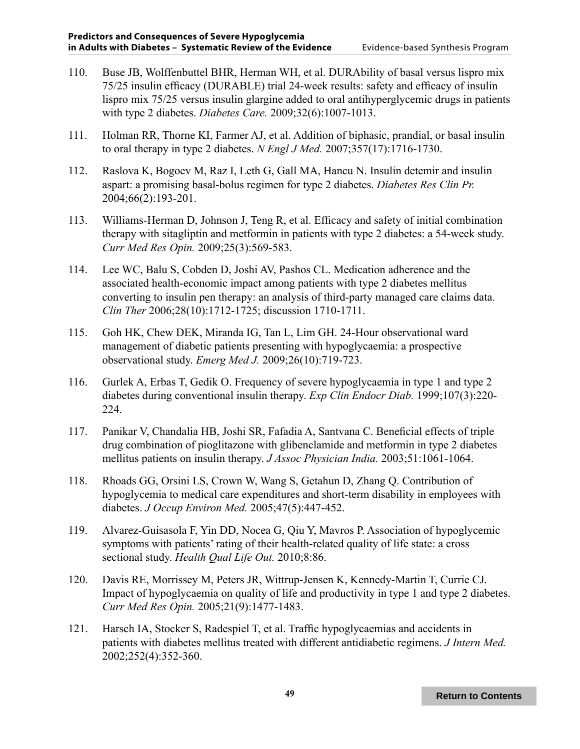- 110. Buse JB, Wolffenbuttel BHR, Herman WH, et al. DURAbility of basal versus lispro mix 75/25 insulin efficacy (DURABLE) trial 24-week results: safety and efficacy of insulin lispro mix 75/25 versus insulin glargine added to oral antihyperglycemic drugs in patients with type 2 diabetes. *Diabetes Care.* 2009;32(6):1007-1013.
- 111. Holman RR, Thorne KI, Farmer AJ, et al. Addition of biphasic, prandial, or basal insulin to oral therapy in type 2 diabetes. *N Engl J Med.* 2007;357(17):1716-1730.
- 112. Raslova K, Bogoev M, Raz I, Leth G, Gall MA, Hancu N. Insulin detemir and insulin aspart: a promising basal-bolus regimen for type 2 diabetes. *Diabetes Res Clin Pr.* 2004;66(2):193-201.
- 113. Williams-Herman D, Johnson J, Teng R, et al. Efficacy and safety of initial combination therapy with sitagliptin and metformin in patients with type 2 diabetes: a 54-week study. *Curr Med Res Opin.* 2009;25(3):569-583.
- 114. Lee WC, Balu S, Cobden D, Joshi AV, Pashos CL. Medication adherence and the associated health-economic impact among patients with type 2 diabetes mellitus converting to insulin pen therapy: an analysis of third-party managed care claims data. *Clin Ther* 2006;28(10):1712-1725; discussion 1710-1711.
- 115. Goh HK, Chew DEK, Miranda IG, Tan L, Lim GH. 24-Hour observational ward management of diabetic patients presenting with hypoglycaemia: a prospective observational study. *Emerg Med J.* 2009;26(10):719-723.
- 116. Gurlek A, Erbas T, Gedik O. Frequency of severe hypoglycaemia in type 1 and type 2 diabetes during conventional insulin therapy. *Exp Clin Endocr Diab.* 1999;107(3):220- 224.
- 117. Panikar V, Chandalia HB, Joshi SR, Fafadia A, Santvana C. Beneficial effects of triple drug combination of pioglitazone with glibenclamide and metformin in type 2 diabetes mellitus patients on insulin therapy. *J Assoc Physician India.* 2003;51:1061-1064.
- 118. Rhoads GG, Orsini LS, Crown W, Wang S, Getahun D, Zhang Q. Contribution of hypoglycemia to medical care expenditures and short-term disability in employees with diabetes. *J Occup Environ Med.* 2005;47(5):447-452.
- 119. Alvarez-Guisasola F, Yin DD, Nocea G, Qiu Y, Mavros P. Association of hypoglycemic symptoms with patients' rating of their health-related quality of life state: a cross sectional study. *Health Qual Life Out.* 2010;8:86.
- 120. Davis RE, Morrissey M, Peters JR, Wittrup-Jensen K, Kennedy-Martin T, Currie CJ. Impact of hypoglycaemia on quality of life and productivity in type 1 and type 2 diabetes. *Curr Med Res Opin.* 2005;21(9):1477-1483.
- 121. Harsch IA, Stocker S, Radespiel T, et al. Traffic hypoglycaemias and accidents in patients with diabetes mellitus treated with different antidiabetic regimens. *J Intern Med.* 2002;252(4):352-360.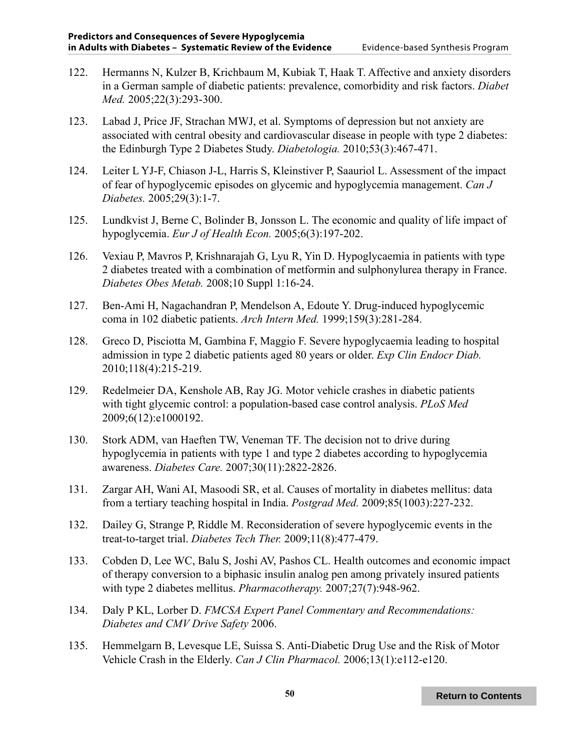- 122. Hermanns N, Kulzer B, Krichbaum M, Kubiak T, Haak T. Affective and anxiety disorders in a German sample of diabetic patients: prevalence, comorbidity and risk factors. *Diabet Med.* 2005;22(3):293-300.
- 123. Labad J, Price JF, Strachan MWJ, et al. Symptoms of depression but not anxiety are associated with central obesity and cardiovascular disease in people with type 2 diabetes: the Edinburgh Type 2 Diabetes Study. *Diabetologia.* 2010;53(3):467-471.
- 124. Leiter L YJ-F, Chiason J-L, Harris S, Kleinstiver P, Saauriol L. Assessment of the impact of fear of hypoglycemic episodes on glycemic and hypoglycemia management. *Can J Diabetes.* 2005;29(3):1-7.
- 125. Lundkvist J, Berne C, Bolinder B, Jonsson L. The economic and quality of life impact of hypoglycemia. *Eur J of Health Econ.* 2005;6(3):197-202.
- 126. Vexiau P, Mavros P, Krishnarajah G, Lyu R, Yin D. Hypoglycaemia in patients with type 2 diabetes treated with a combination of metformin and sulphonylurea therapy in France. *Diabetes Obes Metab.* 2008;10 Suppl 1:16-24.
- 127. Ben-Ami H, Nagachandran P, Mendelson A, Edoute Y. Drug-induced hypoglycemic coma in 102 diabetic patients. *Arch Intern Med.* 1999;159(3):281-284.
- 128. Greco D, Pisciotta M, Gambina F, Maggio F. Severe hypoglycaemia leading to hospital admission in type 2 diabetic patients aged 80 years or older. *Exp Clin Endocr Diab.* 2010;118(4):215-219.
- 129. Redelmeier DA, Kenshole AB, Ray JG. Motor vehicle crashes in diabetic patients with tight glycemic control: a population-based case control analysis. *PLoS Med* 2009;6(12):e1000192.
- 130. Stork ADM, van Haeften TW, Veneman TF. The decision not to drive during hypoglycemia in patients with type 1 and type 2 diabetes according to hypoglycemia awareness. *Diabetes Care.* 2007;30(11):2822-2826.
- 131. Zargar AH, Wani AI, Masoodi SR, et al. Causes of mortality in diabetes mellitus: data from a tertiary teaching hospital in India. *Postgrad Med.* 2009;85(1003):227-232.
- 132. Dailey G, Strange P, Riddle M. Reconsideration of severe hypoglycemic events in the treat-to-target trial. *Diabetes Tech Ther.* 2009;11(8):477-479.
- 133. Cobden D, Lee WC, Balu S, Joshi AV, Pashos CL. Health outcomes and economic impact of therapy conversion to a biphasic insulin analog pen among privately insured patients with type 2 diabetes mellitus. *Pharmacotherapy.* 2007;27(7):948-962.
- 134. Daly P KL, Lorber D. *FMCSA Expert Panel Commentary and Recommendations: Diabetes and CMV Drive Safety* 2006.
- 135. Hemmelgarn B, Levesque LE, Suissa S. Anti-Diabetic Drug Use and the Risk of Motor Vehicle Crash in the Elderly. *Can J Clin Pharmacol.* 2006;13(1):e112-e120.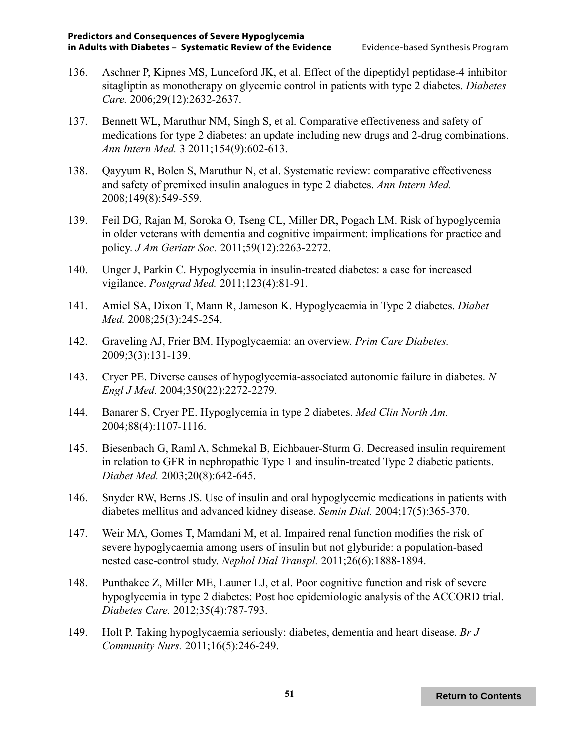- 136. Aschner P, Kipnes MS, Lunceford JK, et al. Effect of the dipeptidyl peptidase-4 inhibitor sitagliptin as monotherapy on glycemic control in patients with type 2 diabetes. *Diabetes Care.* 2006;29(12):2632-2637.
- 137. Bennett WL, Maruthur NM, Singh S, et al. Comparative effectiveness and safety of medications for type 2 diabetes: an update including new drugs and 2-drug combinations. *Ann Intern Med.* 3 2011;154(9):602-613.
- 138. Qayyum R, Bolen S, Maruthur N, et al. Systematic review: comparative effectiveness and safety of premixed insulin analogues in type 2 diabetes. *Ann Intern Med.* 2008;149(8):549-559.
- 139. Feil DG, Rajan M, Soroka O, Tseng CL, Miller DR, Pogach LM. Risk of hypoglycemia in older veterans with dementia and cognitive impairment: implications for practice and policy. *J Am Geriatr Soc.* 2011;59(12):2263-2272.
- 140. Unger J, Parkin C. Hypoglycemia in insulin-treated diabetes: a case for increased vigilance. *Postgrad Med.* 2011;123(4):81-91.
- 141. Amiel SA, Dixon T, Mann R, Jameson K. Hypoglycaemia in Type 2 diabetes. *Diabet Med.* 2008;25(3):245-254.
- 142. Graveling AJ, Frier BM. Hypoglycaemia: an overview. *Prim Care Diabetes.* 2009;3(3):131-139.
- 143. Cryer PE. Diverse causes of hypoglycemia-associated autonomic failure in diabetes. *N Engl J Med.* 2004;350(22):2272-2279.
- 144. Banarer S, Cryer PE. Hypoglycemia in type 2 diabetes. *Med Clin North Am.*  2004;88(4):1107-1116.
- 145. Biesenbach G, Raml A, Schmekal B, Eichbauer-Sturm G. Decreased insulin requirement in relation to GFR in nephropathic Type 1 and insulin-treated Type 2 diabetic patients. *Diabet Med.* 2003;20(8):642-645.
- 146. Snyder RW, Berns JS. Use of insulin and oral hypoglycemic medications in patients with diabetes mellitus and advanced kidney disease. *Semin Dial.* 2004;17(5):365-370.
- 147. Weir MA, Gomes T, Mamdani M, et al. Impaired renal function modifies the risk of severe hypoglycaemia among users of insulin but not glyburide: a population-based nested case-control study. *Nephol Dial Transpl.* 2011;26(6):1888-1894.
- 148. Punthakee Z, Miller ME, Launer LJ, et al. Poor cognitive function and risk of severe hypoglycemia in type 2 diabetes: Post hoc epidemiologic analysis of the ACCORD trial. *Diabetes Care.* 2012;35(4):787-793.
- 149. Holt P. Taking hypoglycaemia seriously: diabetes, dementia and heart disease. *Br J Community Nurs.* 2011;16(5):246-249.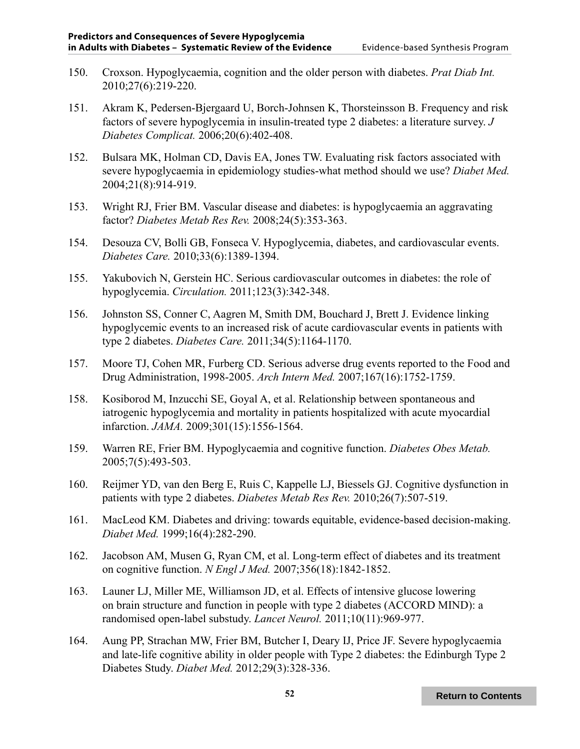- 150. Croxson. Hypoglycaemia, cognition and the older person with diabetes. *Prat Diab Int.*  2010;27(6):219-220.
- 151. Akram K, Pedersen-Bjergaard U, Borch-Johnsen K, Thorsteinsson B. Frequency and risk factors of severe hypoglycemia in insulin-treated type 2 diabetes: a literature survey. *J Diabetes Complicat.* 2006;20(6):402-408.
- 152. Bulsara MK, Holman CD, Davis EA, Jones TW. Evaluating risk factors associated with severe hypoglycaemia in epidemiology studies-what method should we use? *Diabet Med.* 2004;21(8):914-919.
- 153. Wright RJ, Frier BM. Vascular disease and diabetes: is hypoglycaemia an aggravating factor? *Diabetes Metab Res Rev.* 2008;24(5):353-363.
- 154. Desouza CV, Bolli GB, Fonseca V. Hypoglycemia, diabetes, and cardiovascular events. *Diabetes Care.* 2010;33(6):1389-1394.
- 155. Yakubovich N, Gerstein HC. Serious cardiovascular outcomes in diabetes: the role of hypoglycemia. *Circulation.* 2011;123(3):342-348.
- 156. Johnston SS, Conner C, Aagren M, Smith DM, Bouchard J, Brett J. Evidence linking hypoglycemic events to an increased risk of acute cardiovascular events in patients with type 2 diabetes. *Diabetes Care.* 2011;34(5):1164-1170.
- 157. Moore TJ, Cohen MR, Furberg CD. Serious adverse drug events reported to the Food and Drug Administration, 1998-2005. *Arch Intern Med.* 2007;167(16):1752-1759.
- 158. Kosiborod M, Inzucchi SE, Goyal A, et al. Relationship between spontaneous and iatrogenic hypoglycemia and mortality in patients hospitalized with acute myocardial infarction. *JAMA.* 2009;301(15):1556-1564.
- 159. Warren RE, Frier BM. Hypoglycaemia and cognitive function. *Diabetes Obes Metab.* 2005;7(5):493-503.
- 160. Reijmer YD, van den Berg E, Ruis C, Kappelle LJ, Biessels GJ. Cognitive dysfunction in patients with type 2 diabetes. *Diabetes Metab Res Rev.* 2010;26(7):507-519.
- 161. MacLeod KM. Diabetes and driving: towards equitable, evidence-based decision-making. *Diabet Med.* 1999;16(4):282-290.
- 162. Jacobson AM, Musen G, Ryan CM, et al. Long-term effect of diabetes and its treatment on cognitive function. *N Engl J Med.* 2007;356(18):1842-1852.
- 163. Launer LJ, Miller ME, Williamson JD, et al. Effects of intensive glucose lowering on brain structure and function in people with type 2 diabetes (ACCORD MIND): a randomised open-label substudy. *Lancet Neurol.* 2011;10(11):969-977.
- 164. Aung PP, Strachan MW, Frier BM, Butcher I, Deary IJ, Price JF. Severe hypoglycaemia and late-life cognitive ability in older people with Type 2 diabetes: the Edinburgh Type 2 Diabetes Study. *Diabet Med.* 2012;29(3):328-336.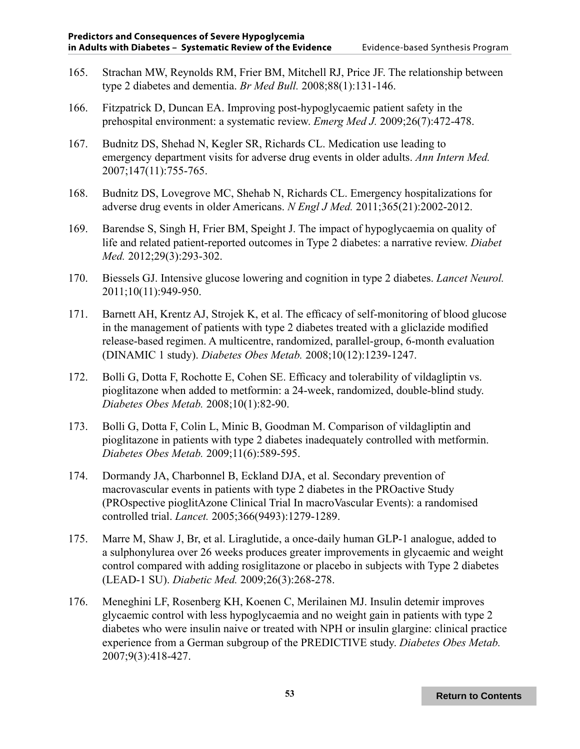- 165. Strachan MW, Reynolds RM, Frier BM, Mitchell RJ, Price JF. The relationship between type 2 diabetes and dementia. *Br Med Bull.* 2008;88(1):131-146.
- 166. Fitzpatrick D, Duncan EA. Improving post-hypoglycaemic patient safety in the prehospital environment: a systematic review. *Emerg Med J.* 2009;26(7):472-478.
- 167. Budnitz DS, Shehad N, Kegler SR, Richards CL. Medication use leading to emergency department visits for adverse drug events in older adults. *Ann Intern Med.*  2007;147(11):755-765.
- 168. Budnitz DS, Lovegrove MC, Shehab N, Richards CL. Emergency hospitalizations for adverse drug events in older Americans. *N Engl J Med.* 2011;365(21):2002-2012.
- 169. Barendse S, Singh H, Frier BM, Speight J. The impact of hypoglycaemia on quality of life and related patient-reported outcomes in Type 2 diabetes: a narrative review. *Diabet Med.* 2012;29(3):293-302.
- 170. Biessels GJ. Intensive glucose lowering and cognition in type 2 diabetes. *Lancet Neurol.* 2011;10(11):949-950.
- 171. Barnett AH, Krentz AJ, Strojek K, et al. The efficacy of self-monitoring of blood glucose in the management of patients with type 2 diabetes treated with a gliclazide modified release-based regimen. A multicentre, randomized, parallel-group, 6-month evaluation (DINAMIC 1 study). *Diabetes Obes Metab.* 2008;10(12):1239-1247.
- 172. Bolli G, Dotta F, Rochotte E, Cohen SE. Efficacy and tolerability of vildagliptin vs. pioglitazone when added to metformin: a 24-week, randomized, double-blind study. *Diabetes Obes Metab.* 2008;10(1):82-90.
- 173. Bolli G, Dotta F, Colin L, Minic B, Goodman M. Comparison of vildagliptin and pioglitazone in patients with type 2 diabetes inadequately controlled with metformin. *Diabetes Obes Metab.* 2009;11(6):589-595.
- 174. Dormandy JA, Charbonnel B, Eckland DJA, et al. Secondary prevention of macrovascular events in patients with type 2 diabetes in the PROactive Study (PROspective pioglitAzone Clinical Trial In macroVascular Events): a randomised controlled trial. *Lancet.* 2005;366(9493):1279-1289.
- 175. Marre M, Shaw J, Br, et al. Liraglutide, a once-daily human GLP-1 analogue, added to a sulphonylurea over 26 weeks produces greater improvements in glycaemic and weight control compared with adding rosiglitazone or placebo in subjects with Type 2 diabetes (LEAD-1 SU). *Diabetic Med.* 2009;26(3):268-278.
- 176. Meneghini LF, Rosenberg KH, Koenen C, Merilainen MJ. Insulin detemir improves glycaemic control with less hypoglycaemia and no weight gain in patients with type 2 diabetes who were insulin naive or treated with NPH or insulin glargine: clinical practice experience from a German subgroup of the PREDICTIVE study. *Diabetes Obes Metab.* 2007;9(3):418-427.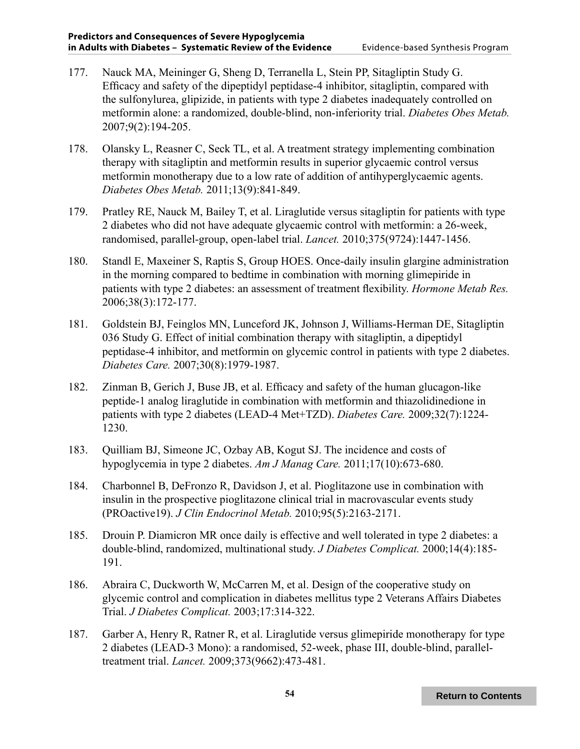- 177. Nauck MA, Meininger G, Sheng D, Terranella L, Stein PP, Sitagliptin Study G. Efficacy and safety of the dipeptidyl peptidase-4 inhibitor, sitagliptin, compared with the sulfonylurea, glipizide, in patients with type 2 diabetes inadequately controlled on metformin alone: a randomized, double-blind, non-inferiority trial. *Diabetes Obes Metab.* 2007;9(2):194-205.
- 178. Olansky L, Reasner C, Seck TL, et al. A treatment strategy implementing combination therapy with sitagliptin and metformin results in superior glycaemic control versus metformin monotherapy due to a low rate of addition of antihyperglycaemic agents. *Diabetes Obes Metab.* 2011;13(9):841-849.
- 179. Pratley RE, Nauck M, Bailey T, et al. Liraglutide versus sitagliptin for patients with type 2 diabetes who did not have adequate glycaemic control with metformin: a 26-week, randomised, parallel-group, open-label trial. *Lancet.* 2010;375(9724):1447-1456.
- 180. Standl E, Maxeiner S, Raptis S, Group HOES. Once-daily insulin glargine administration in the morning compared to bedtime in combination with morning glimepiride in patients with type 2 diabetes: an assessment of treatment flexibility. *Hormone Metab Res.* 2006;38(3):172-177.
- 181. Goldstein BJ, Feinglos MN, Lunceford JK, Johnson J, Williams-Herman DE, Sitagliptin 036 Study G. Effect of initial combination therapy with sitagliptin, a dipeptidyl peptidase-4 inhibitor, and metformin on glycemic control in patients with type 2 diabetes. *Diabetes Care.* 2007;30(8):1979-1987.
- 182. Zinman B, Gerich J, Buse JB, et al. Efficacy and safety of the human glucagon-like peptide-1 analog liraglutide in combination with metformin and thiazolidinedione in patients with type 2 diabetes (LEAD-4 Met+TZD). *Diabetes Care.* 2009;32(7):1224- 1230.
- 183. Quilliam BJ, Simeone JC, Ozbay AB, Kogut SJ. The incidence and costs of hypoglycemia in type 2 diabetes. *Am J Manag Care.* 2011;17(10):673-680.
- 184. Charbonnel B, DeFronzo R, Davidson J, et al. Pioglitazone use in combination with insulin in the prospective pioglitazone clinical trial in macrovascular events study (PROactive19). *J Clin Endocrinol Metab.* 2010;95(5):2163-2171.
- 185. Drouin P. Diamicron MR once daily is effective and well tolerated in type 2 diabetes: a double-blind, randomized, multinational study. *J Diabetes Complicat.* 2000;14(4):185- 191.
- 186. Abraira C, Duckworth W, McCarren M, et al. Design of the cooperative study on glycemic control and complication in diabetes mellitus type 2 Veterans Affairs Diabetes Trial. *J Diabetes Complicat.* 2003;17:314-322.
- 187. Garber A, Henry R, Ratner R, et al. Liraglutide versus glimepiride monotherapy for type 2 diabetes (LEAD-3 Mono): a randomised, 52-week, phase III, double-blind, paralleltreatment trial. *Lancet.* 2009;373(9662):473-481.